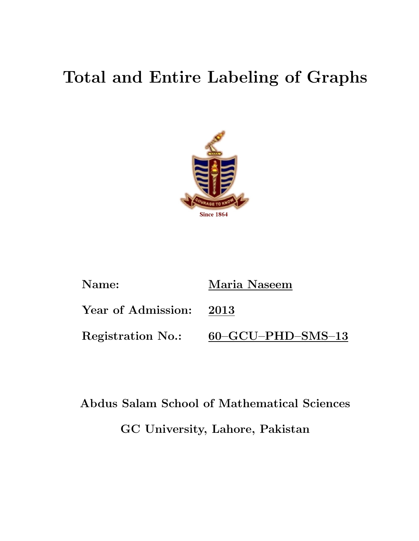# Total and Entire Labeling of Graphs



| Name:                    | Maria Naseem                        |
|--------------------------|-------------------------------------|
| Year of Admission: 2013  |                                     |
| <b>Registration No.:</b> | $60$ – $GCU$ – $PHD$ – $SMS$ – $13$ |

# Abdus Salam School of Mathematical Sciences GC University, Lahore, Pakistan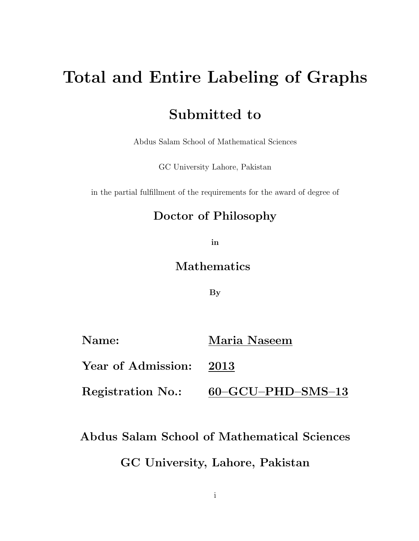# Total and Entire Labeling of Graphs

## Submitted to

Abdus Salam School of Mathematical Sciences

GC University Lahore, Pakistan

in the partial fulfillment of the requirements for the award of degree of

## Doctor of Philosophy

in

### Mathematics

By

| Name:                    | Maria Naseem                        |
|--------------------------|-------------------------------------|
| Year of Admission: 2013  |                                     |
| <b>Registration No.:</b> | $60$ – $GCU$ – $PHD$ – $SMS$ – $13$ |

## Abdus Salam School of Mathematical Sciences

### GC University, Lahore, Pakistan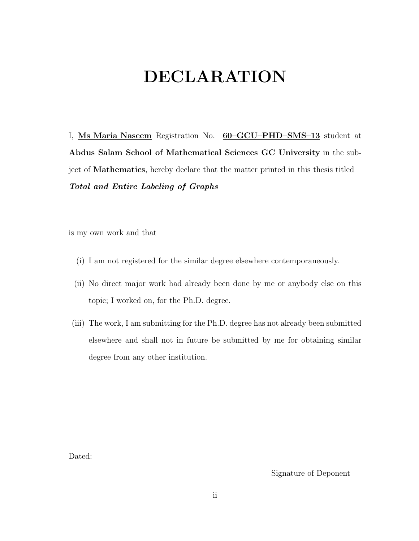# DECLARATION

I, Ms Maria Naseem Registration No. 60–GCU–PHD–SMS–13 student at Abdus Salam School of Mathematical Sciences GC University in the subject of Mathematics, hereby declare that the matter printed in this thesis titled Total and Entire Labeling of Graphs

is my own work and that

- (i) I am not registered for the similar degree elsewhere contemporaneously.
- (ii) No direct major work had already been done by me or anybody else on this topic; I worked on, for the Ph.D. degree.
- (iii) The work, I am submitting for the Ph.D. degree has not already been submitted elsewhere and shall not in future be submitted by me for obtaining similar degree from any other institution.

Dated:

Signature of Deponent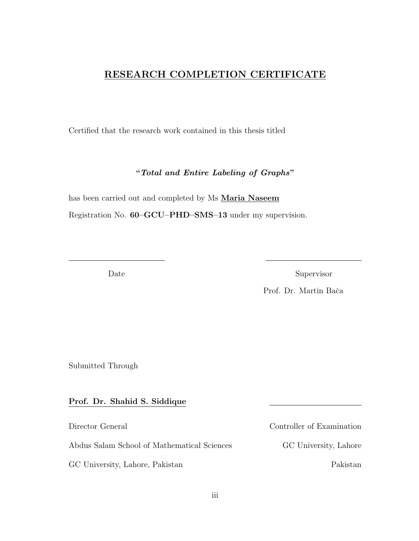### RESEARCH COMPLETION CERTIFICATE

Certified that the research work contained in this thesis titled

"Total and Entire Labeling of Graphs"

 $\frac{1}{2}$  , and the contribution of the contribution of the contribution of the contribution of the contribution of the contribution of the contribution of the contribution of the contribution of the contribution of the c

has been carried out and completed by Ms Maria Naseem

Registration No. 60–GCU–PHD–SMS–13 under my supervision.

Date Supervisor

Prof. Dr. Martin Bača

Submitted Through

#### Prof. Dr. Shahid S. Siddique

Abdus Salam School of Mathematical Sciences GC University, Lahore

GC University, Lahore, Pakistan Pakistan

Director General Controller of Examination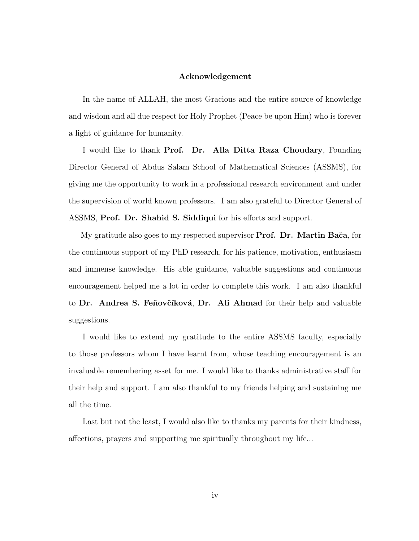#### Acknowledgement

In the name of ALLAH, the most Gracious and the entire source of knowledge and wisdom and all due respect for Holy Prophet (Peace be upon Him) who is forever a light of guidance for humanity.

I would like to thank Prof. Dr. Alla Ditta Raza Choudary, Founding Director General of Abdus Salam School of Mathematical Sciences (ASSMS), for giving me the opportunity to work in a professional research environment and under the supervision of world known professors. I am also grateful to Director General of ASSMS, Prof. Dr. Shahid S. Siddiqui for his efforts and support.

My gratitude also goes to my respected supervisor **Prof.** Dr. Martin Bača, for the continuous support of my PhD research, for his patience, motivation, enthusiasm and immense knowledge. His able guidance, valuable suggestions and continuous encouragement helped me a lot in order to complete this work. I am also thankful to Dr. Andrea S. Feňovčíková, Dr. Ali Ahmad for their help and valuable suggestions.

I would like to extend my gratitude to the entire ASSMS faculty, especially to those professors whom I have learnt from, whose teaching encouragement is an invaluable remembering asset for me. I would like to thanks administrative staff for their help and support. I am also thankful to my friends helping and sustaining me all the time.

Last but not the least, I would also like to thanks my parents for their kindness, affections, prayers and supporting me spiritually throughout my life...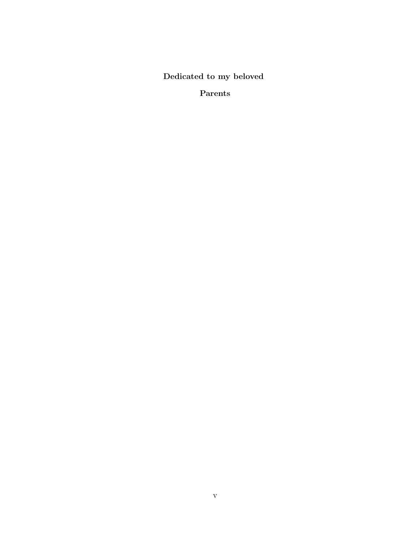Dedicated to my beloved

Parents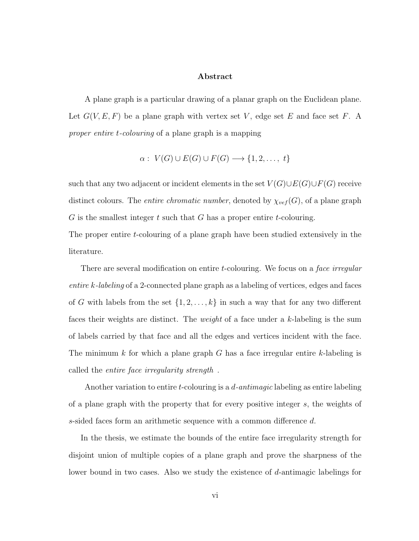#### Abstract

"A plane graph is a particular drawing of a planar graph on the Euclidean plane. Let  $G(V, E, F)$  be a plane graph with vertex set V, edge set E and face set F. A proper entire t-colouring of a plane graph is a mapping

$$
\alpha: V(G) \cup E(G) \cup F(G) \longrightarrow \{1, 2, \ldots, t\}
$$

such that any two adjacent or incident elements in the set  $V(G) \cup E(G) \cup F(G)$  receive distinct colours. The *entire chromatic number*, denoted by  $\chi_{vef}(G)$ , of a plane graph  $G$  is the smallest integer  $t$  such that  $G$  has a proper entire  $t$ -colouring.

The proper entire t-colouring of a plane graph have been studied extensively in the literature.

There are several modification on entire t-colouring. We focus on a face irregular entire k-labeling of a 2-connected plane graph as a labeling of vertices, edges and faces of G with labels from the set  $\{1, 2, ..., k\}$  in such a way that for any two different faces their weights are distinct. The weight of a face under a k-labeling is the sum of labels carried by that face and all the edges and vertices incident with the face. The minimum k for which a plane graph G has a face irregular entire k-labeling is called the *entire face irregularity strength*.

Another variation to entire t-colouring is a d-antimagic labeling as entire labeling of a plane graph with the property that for every positive integer s, the weights of s-sided faces form an arithmetic sequence with a common difference d.

In the thesis, we estimate the bounds of the entire face irregularity strength for disjoint union of multiple copies of a plane graph and prove the sharpness of the lower bound in two cases. Also we study the existence of d-antimagic labelings for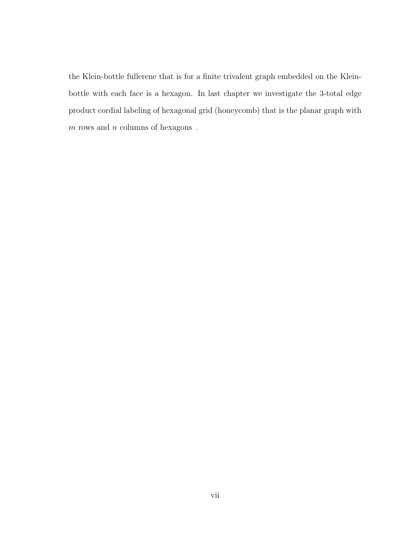the Klein-bottle fullerene that is for a finite trivalent graph embedded on the Kleinbottle with each face is a hexagon. In last chapter we investigate the 3-total edge product cordial labeling of hexagonal grid (honeycomb) that is the planar graph with  $m$  rows and  $n$  columns of hexagons  $\,$  .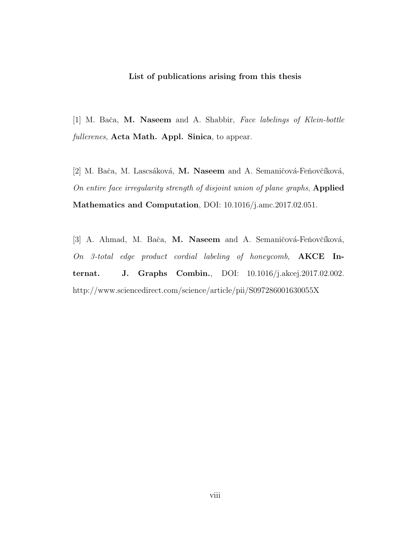#### List of publications arising from this thesis

[1] M. Bača, M. Naseem and A. Shabbir, Face labelings of Klein-bottle fullerenes, Acta Math. Appl. Sinica, to appear.

[2] M. Bača, M. Lascsáková, M. Naseem and A. Semaničová-Feňovčíková, On entire face irregularity strength of disjoint union of plane graphs, Applied Mathematics and Computation, DOI: 10.1016/j.amc.2017.02.051.

[3] A. Ahmad, M. Bača, M. Naseem and A. Semaničová-Feňovčíková, On 3-total edge product cordial labeling of honeycomb, AKCE Internat. J. Graphs Combin., DOI: 10.1016/j.akcej.2017.02.002. http://www.sciencedirect.com/science/article/pii/S097286001630055X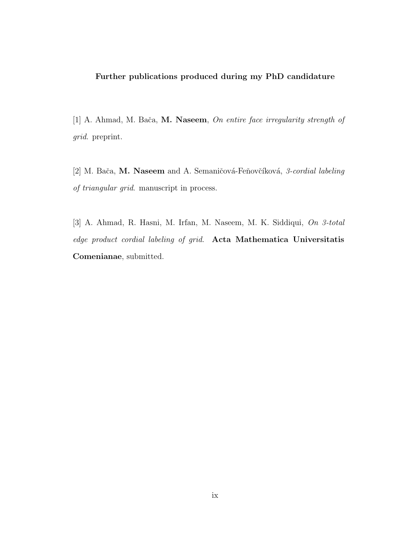#### Further publications produced during my PhD candidature

[1] A. Ahmad, M. Bača, M. Naseem, On entire face irregularity strength of grid. preprint.

[2] M. Bača, M. Naseem and A. Semaničová-Feňovčíková, 3-cordial labeling of triangular grid. manuscript in process.

[3] A. Ahmad, R. Hasni, M. Irfan, M. Naseem, M. K. Siddiqui, On 3-total edge product cordial labeling of grid. Acta Mathematica Universitatis Comenianae, submitted.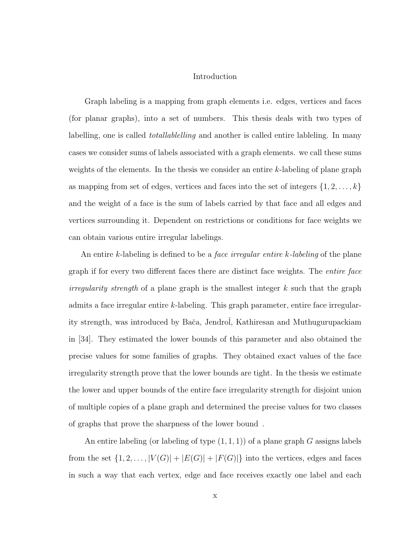#### Introduction

Graph labeling is a mapping from graph elements i.e. edges, vertices and faces (for planar graphs), into a set of numbers. This thesis deals with two types of labelling, one is called *totallablelling* and another is called entire lableling. In many cases we consider sums of labels associated with a graph elements. we call these sums weights of the elements. In the thesis we consider an entire k-labeling of plane graph as mapping from set of edges, vertices and faces into the set of integers  $\{1, 2, \ldots, k\}$ and the weight of a face is the sum of labels carried by that face and all edges and vertices surrounding it. Dependent on restrictions or conditions for face weights we can obtain various entire irregular labelings.

An entire k-labeling is defined to be a *face irregular entire k-labeling* of the plane graph if for every two different faces there are distinct face weights. The entire face *irregularity strength* of a plane graph is the smallest integer  $k$  such that the graph admits a face irregular entire k-labeling. This graph parameter, entire face irregularity strength, was introduced by Bača, Jendrol, Kathiresan and Muthugurupackiam in [34]. They estimated the lower bounds of this parameter and also obtained the precise values for some families of graphs. They obtained exact values of the face irregularity strength prove that the lower bounds are tight. In the thesis we estimate the lower and upper bounds of the entire face irregularity strength for disjoint union of multiple copies of a plane graph and determined the precise values for two classes of graphs that prove the sharpness of the lower bound".

An entire labeling (or labeling of type  $(1,1,1)$ ) of a plane graph G assigns labels from the set  $\{1, 2, ..., |V(G)| + |E(G)| + |F(G)|\}$  into the vertices, edges and faces in such a way that each vertex, edge and face receives exactly one label and each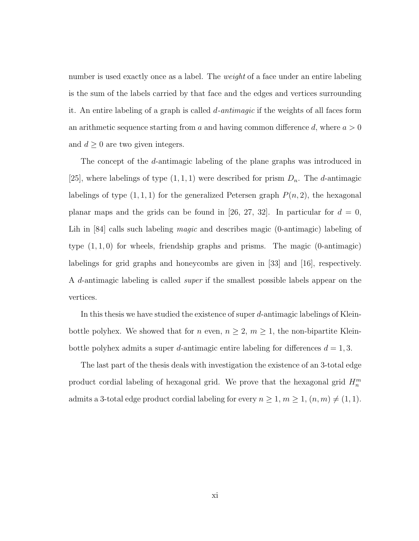number is used exactly once as a label. The *weight* of a face under an entire labeling is the sum of the labels carried by that face and the edges and vertices surrounding it. An entire labeling of a graph is called  $d$ -antimagic if the weights of all faces form an arithmetic sequence starting from a and having common difference d, where  $a > 0$ and  $d \geq 0$  are two given integers.

The concept of the d-antimagic labeling of the plane graphs was introduced in [25], where labelings of type  $(1, 1, 1)$  were described for prism  $D_n$ . The d-antimagic labelings of type  $(1, 1, 1)$  for the generalized Petersen graph  $P(n, 2)$ , the hexagonal planar maps and the grids can be found in [26, 27, 32]. In particular for  $d = 0$ , Lih in [84] calls such labeling *magic* and describes magic (0-antimagic) labeling of type  $(1, 1, 0)$  for wheels, friendship graphs and prisms. The magic  $(0\text{-antimagic})$ labelings for grid graphs and honeycombs are given in [33] and [16], respectively. A d-antimagic labeling is called super if the smallest possible labels appear on the vertices.

In this thesis we have studied the existence of super d-antimagic labelings of Kleinbottle polyhex. We showed that for  $n$  even,  $n \geq 2$ ,  $m \geq 1$ , the non-bipartite Kleinbottle polyhex admits a super d-antimagic entire labeling for differences  $d = 1, 3$ .

The last part of the thesis deals with investigation the existence of an 3-total edge product cordial labeling of hexagonal grid. We prove that the hexagonal grid  $H_n^m$ admits a 3-total edge product cordial labeling for every  $n \geq 1$ ,  $m \geq 1$ ,  $(n, m) \neq (1, 1)$ .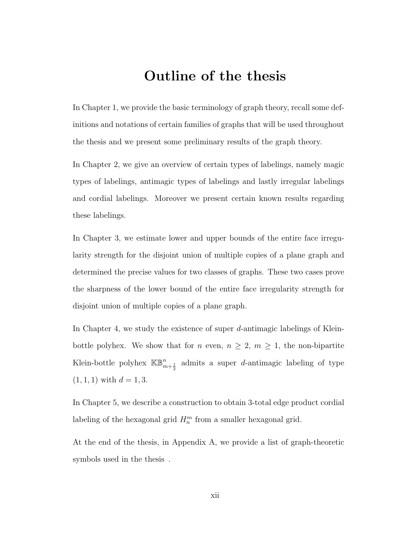## Outline of the thesis

In Chapter 1, we provide the basic terminology of graph theory, recall some definitions and notations of certain families of graphs that will be used throughout the thesis and we present some preliminary results of the graph theory.

In Chapter 2, we give an overview of certain types of labelings, namely magic types of labelings, antimagic types of labelings and lastly irregular labelings and cordial labelings. Moreover we present certain known results regarding these labelings.

In Chapter 3, we estimate lower and upper bounds of the entire face irregularity strength for the disjoint union of multiple copies of a plane graph and determined the precise values for two classes of graphs. These two cases prove the sharpness of the lower bound of the entire face irregularity strength for disjoint union of multiple copies of a plane graph.

In Chapter 4, we study the existence of super d-antimagic labelings of Kleinbottle polyhex. We show that for *n* even,  $n \geq 2$ ,  $m \geq 1$ , the non-bipartite Klein-bottle polyhex  $\mathbb{KB}_{m+\frac{1}{2}}^{n}$  admits a super *d*-antimagic labeling of type  $(1, 1, 1)$  with  $d = 1, 3$ .

In Chapter 5, we describe a construction to obtain 3-total edge product cordial labeling of the hexagonal grid  $H_n^m$  from a smaller hexagonal grid.

At the end of the thesis, in Appendix A, we provide a list of graph-theoretic symbols used in the thesis.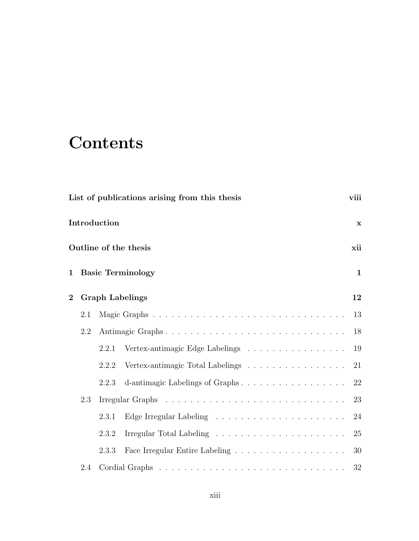# **Contents**

|                |     |              | List of publications arising from this thesis | viii         |
|----------------|-----|--------------|-----------------------------------------------|--------------|
|                |     | Introduction |                                               | $\mathbf x$  |
|                |     |              | Outline of the thesis                         | xii          |
| $\mathbf{1}$   |     |              | <b>Basic Terminology</b>                      | $\mathbf{1}$ |
| $\overline{2}$ |     |              | <b>Graph Labelings</b>                        | 12           |
|                | 2.1 |              |                                               | 13           |
|                | 2.2 |              | Antimagic Graphs                              | 18           |
|                |     | 2.2.1        | Vertex-antimagic Edge Labelings               | 19           |
|                |     | 2.2.2        | Vertex-antimagic Total Labelings              | 21           |
|                |     | 2.2.3        | d-antimagic Labelings of Graphs               | 22           |
|                | 2.3 |              |                                               | 23           |
|                |     | 2.3.1        |                                               | 24           |
|                |     | 2.3.2        |                                               | 25           |
|                |     | 2.3.3        |                                               | 30           |
|                | 2.4 |              |                                               | 32           |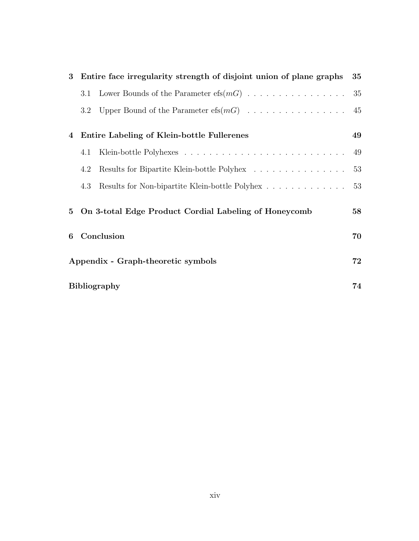| 3 |                                    | Entire face irregularity strength of disjoint union of plane graphs | 35 |
|---|------------------------------------|---------------------------------------------------------------------|----|
|   | 3.1                                |                                                                     | 35 |
|   | $3.2\,$                            | Upper Bound of the Parameter $\mathrm{efs}(m)$                      | 45 |
| 4 |                                    | Entire Labeling of Klein-bottle Fullerenes                          | 49 |
|   | 4.1                                |                                                                     | 49 |
|   | 4.2                                | Results for Bipartite Klein-bottle Polyhex                          | 53 |
|   | 4.3                                | Results for Non-bipartite Klein-bottle Polyhex                      | 53 |
| 5 |                                    | On 3-total Edge Product Cordial Labeling of Honeycomb               | 58 |
| 6 |                                    | Conclusion                                                          | 70 |
|   | Appendix - Graph-theoretic symbols |                                                                     | 72 |
|   |                                    | <b>Bibliography</b>                                                 | 74 |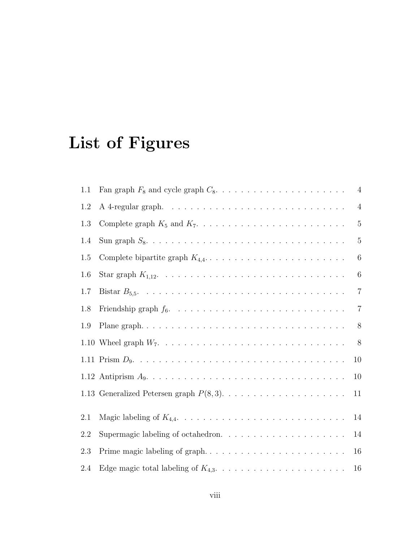# List of Figures

| 1.1 | $\overline{4}$                                                                                                  |  |
|-----|-----------------------------------------------------------------------------------------------------------------|--|
| 1.2 | $\overline{4}$                                                                                                  |  |
| 1.3 | $\overline{5}$                                                                                                  |  |
| 1.4 | $\overline{5}$                                                                                                  |  |
| 1.5 | 6                                                                                                               |  |
| 1.6 | $6\phantom{.}6$                                                                                                 |  |
| 1.7 | $\overline{7}$                                                                                                  |  |
| 1.8 | $\overline{7}$                                                                                                  |  |
| 1.9 | $8\,$                                                                                                           |  |
|     | 8                                                                                                               |  |
|     | 10                                                                                                              |  |
|     | 1.12 Antiprism $A_9. \ldots \ldots \ldots \ldots \ldots \ldots \ldots \ldots \ldots \ldots \ldots \ldots$<br>10 |  |
|     | 11                                                                                                              |  |
| 2.1 | 14                                                                                                              |  |
| 2.2 | Supermagic labeling of octahedron. $\ldots \ldots \ldots \ldots \ldots \ldots \ldots$<br>14                     |  |
| 2.3 | 16                                                                                                              |  |
| 2.4 | 16                                                                                                              |  |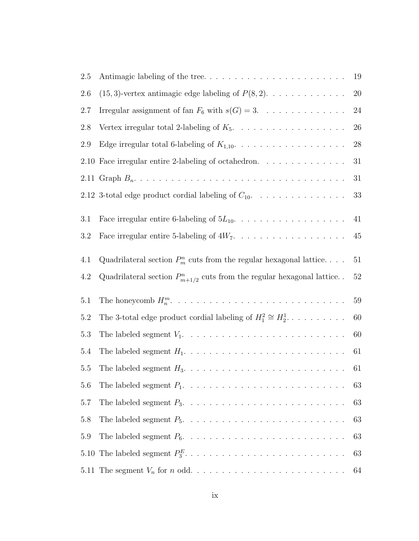| 2.5        | Antimagic labeling of the tree                                                                  | 19       |
|------------|-------------------------------------------------------------------------------------------------|----------|
| 2.6        | $(15,3)$ -vertex antimagic edge labeling of $P(8,2)$ .                                          | 20       |
| 2.7        | Irregular assignment of fan $F_6$ with $s(G) = 3$ .                                             | 24       |
| 2.8        | Vertex irregular total 2-labeling of $K_5$ .                                                    | 26       |
| 2.9        | Edge irregular total 6-labeling of $K_{1,10}$ .                                                 | 28       |
|            | 2.10 Face irregular entire 2-labeling of octahedron. $\ldots \ldots \ldots \ldots$              | 31       |
|            |                                                                                                 | 31       |
|            | 2.12 3-total edge product cordial labeling of $C_{10}$ .                                        | 33       |
| 3.1<br>3.2 | Face irregular entire 6-labeling of $5L_{10}$ .<br>Face irregular entire 5-labeling of $4W_7$ . | 41<br>45 |
|            |                                                                                                 |          |
| 4.1        | Quadrilateral section $P_m^n$ cuts from the regular hexagonal lattice                           | 51       |
| 4.2        | Quadrilateral section $P_{m+1/2}^n$ cuts from the regular hexagonal lattice                     | 52       |
| 5.1        |                                                                                                 | $59\,$   |
| 5.2        | The 3-total edge product cordial labeling of $H_1^2 \cong H_2^1$                                | 60       |
| 5.3        |                                                                                                 | 60       |
| 5.4        |                                                                                                 | 61       |
| 5.5        |                                                                                                 | 61       |
| 5.6        |                                                                                                 | 63       |
| 5.7        |                                                                                                 | 63       |
| 5.8        |                                                                                                 | 63       |
| 5.9        |                                                                                                 | 63       |
|            |                                                                                                 | 63       |
|            |                                                                                                 | 64       |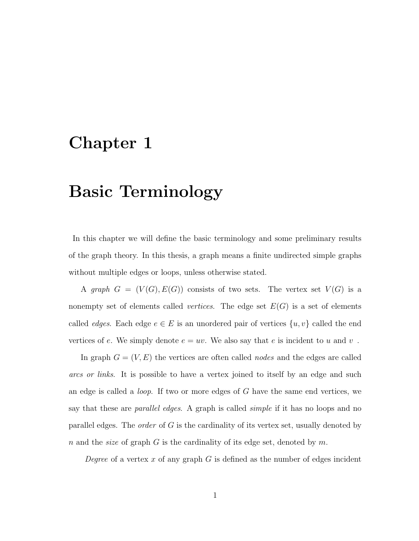## Chapter 1

# Basic Terminology

In this chapter we will define the basic terminology and some preliminary results of the graph theory. In this thesis, a graph means a finite undirected simple graphs without multiple edges or loops, unless otherwise stated.

A graph  $G = (V(G), E(G))$  consists of two sets. The vertex set  $V(G)$  is a nonempty set of elements called *vertices*. The edge set  $E(G)$  is a set of elements called *edges*. Each edge  $e \in E$  is an unordered pair of vertices  $\{u, v\}$  called the end vertices of e. We simply denote  $e = uv$ . We also say that e is incident to u and v.

In graph  $G = (V, E)$  the vertices are often called *nodes* and the edges are called arcs or links. It is possible to have a vertex joined to itself by an edge and such an edge is called a loop. If two or more edges of G have the same end vertices, we say that these are *parallel edges*. A graph is called *simple* if it has no loops and no parallel edges. The *order* of  $G$  is the cardinality of its vertex set, usually denoted by n and the *size* of graph G is the cardinality of its edge set, denoted by m.

Degree of a vertex x of any graph  $G$  is defined as the number of edges incident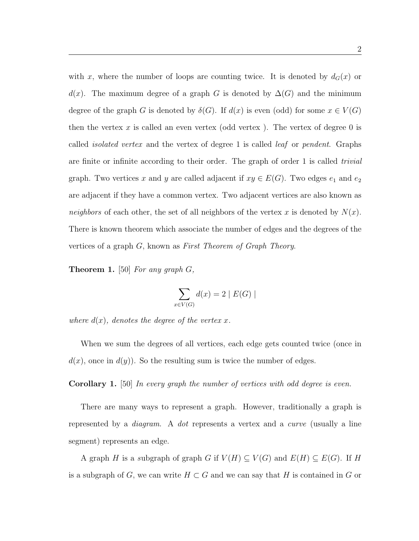with x, where the number of loops are counting twice. It is denoted by  $d_G(x)$  or  $d(x)$ . The maximum degree of a graph G is denoted by  $\Delta(G)$  and the minimum degree of the graph G is denoted by  $\delta(G)$ . If  $d(x)$  is even (odd) for some  $x \in V(G)$ then the vertex  $x$  is called an even vertex (odd vertex). The vertex of degree 0 is called isolated vertex and the vertex of degree 1 is called leaf or pendent. Graphs are finite or infinite according to their order. The graph of order 1 is called trivial graph. Two vertices x and y are called adjacent if  $xy \in E(G)$ . Two edges  $e_1$  and  $e_2$ are adjacent if they have a common vertex. Two adjacent vertices are also known as neighbors of each other, the set of all neighbors of the vertex x is denoted by  $N(x)$ . There is known theorem which associate the number of edges and the degrees of the vertices of a graph G, known as First Theorem of Graph Theory.

**Theorem 1.** [50] For any graph  $G$ ,

$$
\sum_{x \in V(G)} d(x) = 2 \mid E(G) \mid
$$

where  $d(x)$ , denotes the degree of the vertex x.

When we sum the degrees of all vertices, each edge gets counted twice (once in  $d(x)$ , once in  $d(y)$ . So the resulting sum is twice the number of edges.

Corollary 1. [50] In every graph the number of vertices with odd degree is even.

There are many ways to represent a graph. However, traditionally a graph is represented by a diagram. A dot represents a vertex and a curve (usually a line segment) represents an edge.

A graph H is a subgraph of graph G if  $V(H) \subseteq V(G)$  and  $E(H) \subseteq E(G)$ . If H is a subgraph of G, we can write  $H \subset G$  and we can say that H is contained in G or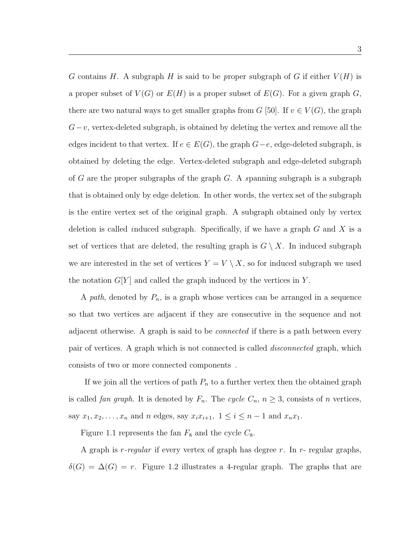G contains H. A subgraph H is said to be proper subgraph of G if either  $V(H)$  is a proper subset of  $V(G)$  or  $E(H)$  is a proper subset of  $E(G)$ . For a given graph G, there are two natural ways to get smaller graphs from  $G$  [50]. If  $v \in V(G)$ , the graph  $G-v$ , vertex-deleted subgraph, is obtained by deleting the vertex and remove all the edges incident to that vertex. If  $e \in E(G)$ , the graph  $G-e$ , edge-deleted subgraph, is obtained by deleting the edge. Vertex-deleted subgraph and edge-deleted subgraph of G are the proper subgraphs of the graph  $G$ . A spanning subgraph is a subgraph that is obtained only by edge deletion. In other words, the vertex set of the subgraph is the entire vertex set of the original graph. A subgraph obtained only by vertex deletion is called induced subgraph. Specifically, if we have a graph  $G$  and  $X$  is a set of vertices that are deleted, the resulting graph is  $G \setminus X$ . In induced subgraph we are interested in the set of vertices  $Y = V \setminus X$ , so for induced subgraph we used the notation  $G[Y]$  and called the graph induced by the vertices in Y.

A path, denoted by  $P_n$ , is a graph whose vertices can be arranged in a sequence so that two vertices are adjacent if they are consecutive in the sequence and not adjacent otherwise. A graph is said to be *connected* if there is a path between every pair of vertices. A graph which is not connected is called disconnected graph, which consists of two or more connected components.

If we join all the vertices of path  $P_n$  to a further vertex then the obtained graph is called *fan graph*. It is denoted by  $F_n$ . The cycle  $C_n$ ,  $n \geq 3$ , consists of n vertices, say  $x_1, x_2, ..., x_n$  and n edges, say  $x_i x_{i+1}, 1 \le i \le n-1$  and  $x_n x_1$ .

Figure 1.1 represents the fan  $F_8$  and the cycle  $C_8$ .

A graph is  $r$ -regular if every vertex of graph has degree r. In  $r$ - regular graphs,  $\delta(G) = \Delta(G) = r$ . Figure 1.2 illustrates a 4-regular graph. The graphs that are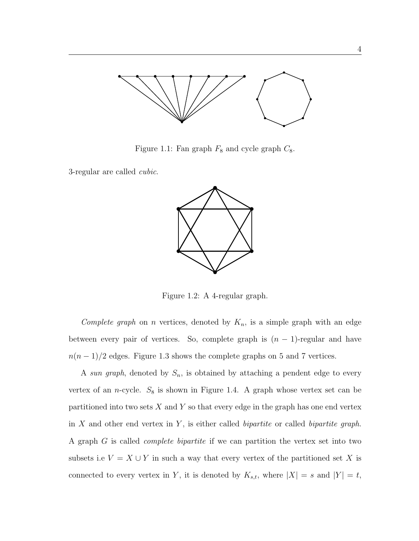

Figure 1.1: Fan graph  $F_8$  and cycle graph  $C_8$ .

3-regular are called cubic.



Figure 1.2: A 4-regular graph.

Complete graph on n vertices, denoted by  $K_n$ , is a simple graph with an edge between every pair of vertices. So, complete graph is  $(n - 1)$ -regular and have  $n(n-1)/2$  edges. Figure 1.3 shows the complete graphs on 5 and 7 vertices.

A sun graph, denoted by  $S_n$ , is obtained by attaching a pendent edge to every vertex of an *n*-cycle.  $S_8$  is shown in Figure 1.4. A graph whose vertex set can be partitioned into two sets  $X$  and  $Y$  so that every edge in the graph has one end vertex in  $X$  and other end vertex in  $Y$ , is either called *bipartite* or called *bipartite* graph. A graph G is called complete bipartite if we can partition the vertex set into two subsets i.e  $V = X \cup Y$  in such a way that every vertex of the partitioned set X is connected to every vertex in Y, it is denoted by  $K_{s,t}$ , where  $|X| = s$  and  $|Y| = t$ ,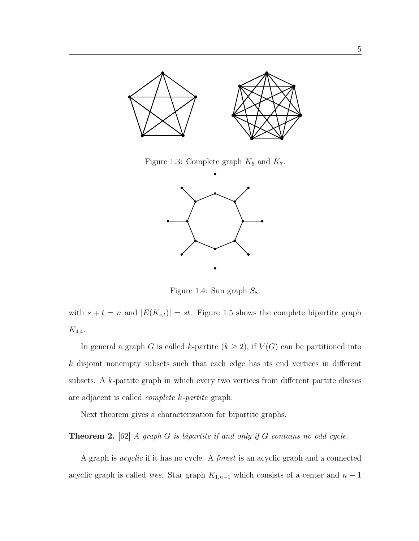

Figure 1.3: Complete graph  $K_5$  and  $K_7$ .



Figure 1.4: Sun graph  $S_8$ .

with  $s + t = n$  and  $|E(K_{s,t})| = st$ . Figure 1.5 shows the complete bipartite graph  $K_{4,4}.$ 

In general a graph G is called k-partite ( $k \geq 2$ ), if  $V(G)$  can be partitioned into k disjoint nonempty subsets such that each edge has its end vertices in different subsets. A k-partite graph in which every two vertices from different partite classes are adjacent is called complete k-partite graph.

Next theorem gives a characterization for bipartite graphs.

**Theorem 2.** [62] A graph  $G$  is bipartite if and only if  $G$  contains no odd cycle.

A graph is acyclic if it has no cycle. A forest is an acyclic graph and a connected acyclic graph is called *tree.* Star graph  $K_{1,n-1}$  which consists of a center and  $n-1$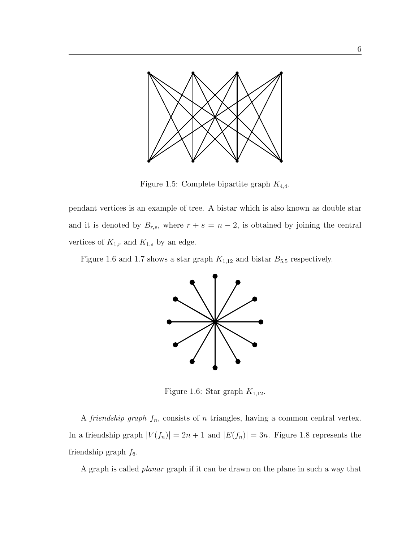

Figure 1.5: Complete bipartite graph  $K_{4,4}$ .

pendant vertices is an example of tree. A bistar which is also known as double star and it is denoted by  $B_{r,s}$ , where  $r + s = n - 2$ , is obtained by joining the central vertices of  $K_{1,r}$  and  $K_{1,s}$  by an edge.

Figure 1.6 and 1.7 shows a star graph  $K_{1,12}$  and bistar  $B_{5,5}$  respectively.



Figure 1.6: Star graph  $K_{1,12}$ .

A *friendship graph*  $f_n$ , consists of *n* triangles, having a common central vertex. In a friendship graph  $|V(f_n)| = 2n + 1$  and  $|E(f_n)| = 3n$ . Figure 1.8 represents the friendship graph  $f_6$ .

A graph is called planar graph if it can be drawn on the plane in such a way that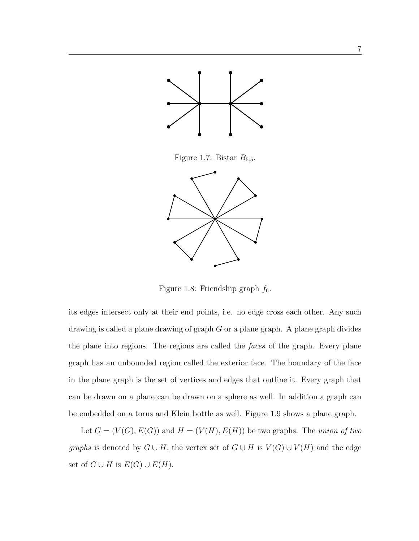

Figure 1.7: Bistar  $B_{5,5}$ .



Figure 1.8: Friendship graph  $f_6$ .

its edges intersect only at their end points, i.e. no edge cross each other. Any such drawing is called a plane drawing of graph G or a plane graph. A plane graph divides the plane into regions. The regions are called the faces of the graph. Every plane graph has an unbounded region called the exterior face. The boundary of the face in the plane graph is the set of vertices and edges that outline it. Every graph that can be drawn on a plane can be drawn on a sphere as well. In addition a graph can be embedded on a torus and Klein bottle as well. Figure 1.9 shows a plane graph.

Let  $G = (V(G), E(G))$  and  $H = (V(H), E(H))$  be two graphs. The union of two graphs is denoted by  $G \cup H$ , the vertex set of  $G \cup H$  is  $V(G) \cup V(H)$  and the edge set of  $G \cup H$  is  $E(G) \cup E(H)$ .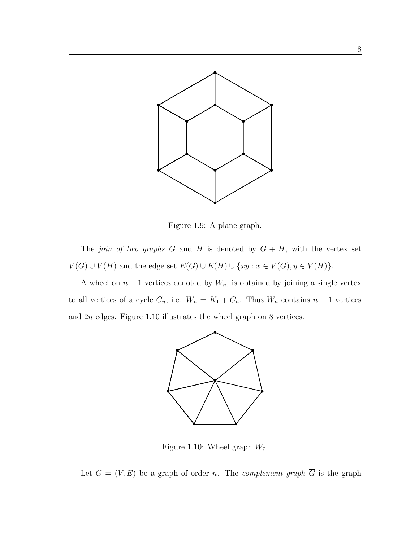

Figure 1.9: A plane graph.

The join of two graphs G and H is denoted by  $G + H$ , with the vertex set  $V(G) \cup V(H)$  and the edge set  $E(G) \cup E(H) \cup \{xy : x \in V(G), y \in V(H)\}.$ 

A wheel on  $n + 1$  vertices denoted by  $W_n$ , is obtained by joining a single vertex to all vertices of a cycle  $C_n$ , i.e.  $W_n = K_1 + C_n$ . Thus  $W_n$  contains  $n + 1$  vertices and 2n edges. Figure 1.10 illustrates the wheel graph on 8 vertices.



Figure 1.10: Wheel graph  $W_7$ .

Let  $G = (V, E)$  be a graph of order *n*. The *complement graph*  $\overline{G}$  is the graph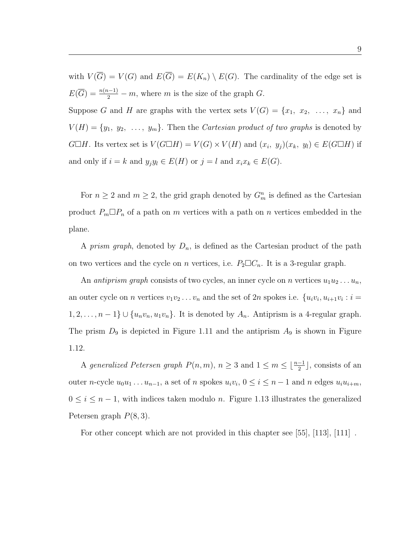with  $V(\overline{G}) = V(G)$  and  $E(\overline{G}) = E(K_n) \setminus E(G)$ . The cardinality of the edge set is  $E(\overline{G}) = \frac{n(n-1)}{2} - m$ , where m is the size of the graph  $G$ . Suppose G and H are graphs with the vertex sets  $V(G) = \{x_1, x_2, \ldots, x_n\}$  and  $V(H) = \{y_1, y_2, \ldots, y_m\}$ . Then the *Cartesian product of two graphs* is denoted by  $G \Box H$ . Its vertex set is  $V(G \Box H) = V(G) \times V(H)$  and  $(x_i, y_j)(x_k, y_l) \in E(G \Box H)$  if and only if  $i = k$  and  $y_j y_l \in E(H)$  or  $j = l$  and  $x_i x_k \in E(G)$ .

For  $n \geq 2$  and  $m \geq 2$ , the grid graph denoted by  $G_m^n$  is defined as the Cartesian product  $P_m \Box P_n$  of a path on m vertices with a path on n vertices embedded in the plane.

A *prism graph*, denoted by  $D_n$ , is defined as the Cartesian product of the path on two vertices and the cycle on *n* vertices, i.e.  $P_2 \Box C_n$ . It is a 3-regular graph.

An *antiprism graph* consists of two cycles, an inner cycle on *n* vertices  $u_1u_2 \ldots u_n$ , an outer cycle on *n* vertices  $v_1v_2 \ldots v_n$  and the set of 2*n* spokes i.e.  $\{u_iv_i, u_{i+1}v_i : i =$  $1, 2, \ldots, n-1\} \cup \{u_n v_n, u_1 v_n\}.$  It is denoted by  $A_n$ . Antiprism is a 4-regular graph. The prism  $D_9$  is depicted in Figure 1.11 and the antiprism  $A_9$  is shown in Figure 1.12.

A generalized Petersen graph  $P(n, m)$ ,  $n \geq 3$  and  $1 \leq m \leq \lfloor \frac{n-1}{2} \rfloor$ , consists of an outer *n*-cycle  $u_0u_1 \ldots u_{n-1}$ , a set of *n* spokes  $u_iv_i$ ,  $0 \le i \le n-1$  and *n* edges  $u_iu_{i+m}$ ,  $0 \leq i \leq n-1$ , with indices taken modulo n. Figure 1.13 illustrates the generalized Petersen graph  $P(8, 3)$ .

For other concept which are not provided in this chapter see  $[55]$ ,  $[113]$ ,  $[111]$ .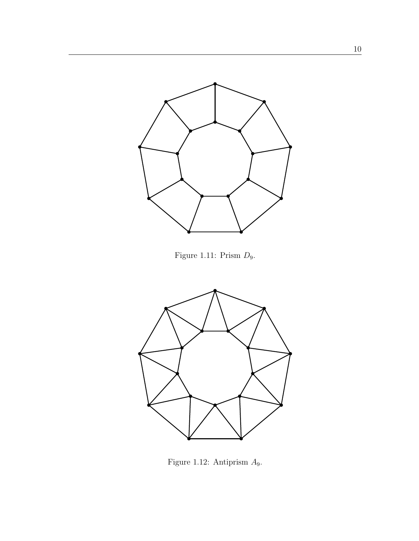

Figure 1.11: Prism D9.



Figure 1.12: Antiprism A9.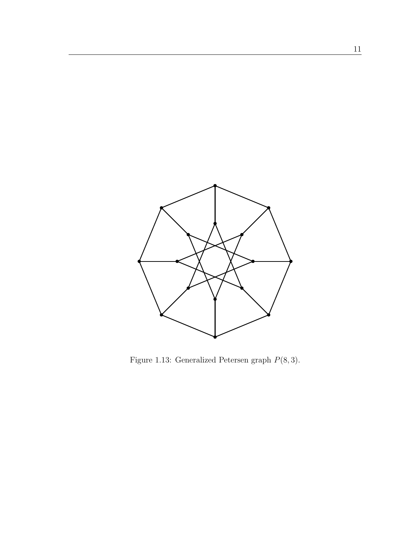

Figure 1.13: Generalized Petersen graph  $P(8,3)$ .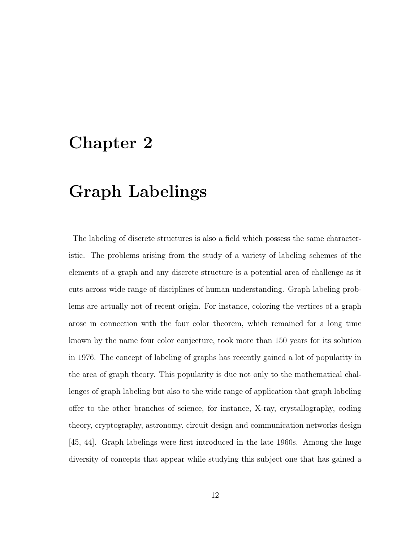## Chapter 2

# Graph Labelings

The labeling of discrete structures is also a field which possess the same characteristic. The problems arising from the study of a variety of labeling schemes of the elements of a graph and any discrete structure is a potential area of challenge as it cuts across wide range of disciplines of human understanding. Graph labeling problems are actually not of recent origin. For instance, coloring the vertices of a graph arose in connection with the four color theorem, which remained for a long time known by the name four color conjecture, took more than 150 years for its solution in 1976. The concept of labeling of graphs has recently gained a lot of popularity in the area of graph theory. This popularity is due not only to the mathematical challenges of graph labeling but also to the wide range of application that graph labeling offer to the other branches of science, for instance, X-ray, crystallography, coding theory, cryptography, astronomy, circuit design and communication networks design [45, 44]. Graph labelings were first introduced in the late 1960s. Among the huge diversity of concepts that appear while studying this subject one that has gained a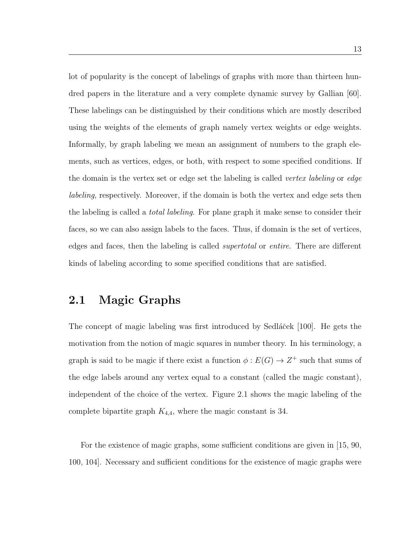lot of popularity is the concept of labelings of graphs with more than thirteen hundred papers in the literature and a very complete dynamic survey by Gallian [60]. These labelings can be distinguished by their conditions which are mostly described using the weights of the elements of graph namely vertex weights or edge weights. Informally, by graph labeling we mean an assignment of numbers to the graph elements, such as vertices, edges, or both, with respect to some specified conditions. If the domain is the vertex set or edge set the labeling is called *vertex labeling* or *edge* labeling, respectively. Moreover, if the domain is both the vertex and edge sets then the labeling is called a total labeling. For plane graph it make sense to consider their faces, so we can also assign labels to the faces. Thus, if domain is the set of vertices, edges and faces, then the labeling is called supertotal or entire. There are different kinds of labeling according to some specified conditions that are satisfied.

### 2.1 Magic Graphs

The concept of magic labeling was first introduced by Sedláček [100]. He gets the motivation from the notion of magic squares in number theory. In his terminology, a graph is said to be magic if there exist a function  $\phi : E(G) \to Z^+$  such that sums of the edge labels around any vertex equal to a constant (called the magic constant), independent of the choice of the vertex. Figure 2.1 shows the magic labeling of the complete bipartite graph  $K_{4,4}$ , where the magic constant is 34.

For the existence of magic graphs, some sufficient conditions are given in [15, 90, 100, 104]. Necessary and sufficient conditions for the existence of magic graphs were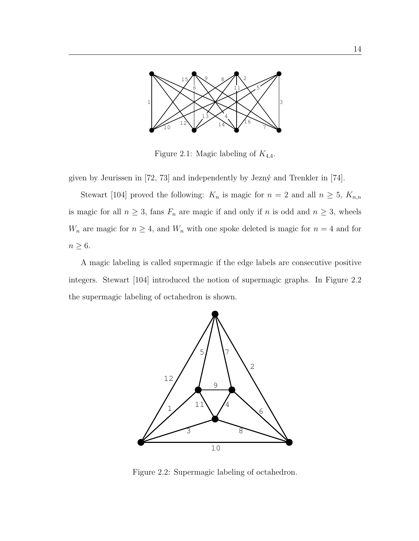

Figure 2.1: Magic labeling of  $K_{4,4}$ .

given by Jeurissen in  $[72, 73]$  and independently by Jezný and Trenkler in  $[74]$ .

Stewart [104] proved the following:  $K_n$  is magic for  $n = 2$  and all  $n \geq 5$ ,  $K_{n,n}$ is magic for all  $n \geq 3$ , fans  $F_n$  are magic if and only if n is odd and  $n \geq 3$ , wheels  $W_n$  are magic for  $n \geq 4$ , and  $W_n$  with one spoke deleted is magic for  $n = 4$  and for  $n \geq 6$ .

A magic labeling is called supermagic if the edge labels are consecutive positive integers. Stewart [104] introduced the notion of supermagic graphs. In Figure 2.2 the supermagic labeling of octahedron is shown.



Figure 2.2: Supermagic labeling of octahedron.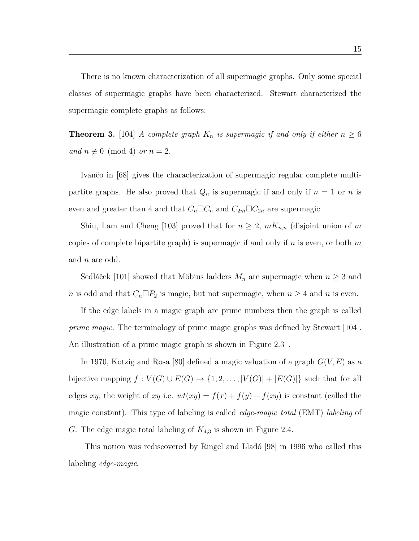There is no known characterization of all supermagic graphs. Only some special classes of supermagic graphs have been characterized. Stewart characterized the supermagic complete graphs as follows:

**Theorem 3.** [104] A complete graph  $K_n$  is supermagic if and only if either  $n \geq 6$ and  $n \not\equiv 0 \pmod{4}$  or  $n = 2$ .

Ivančo in [68] gives the characterization of supermagic regular complete multipartite graphs. He also proved that  $Q_n$  is supermagic if and only if  $n = 1$  or n is even and greater than 4 and that  $C_n \Box C_n$  and  $C_{2m} \Box C_{2n}$  are supermagic.

Shiu, Lam and Cheng [103] proved that for  $n \geq 2$ ,  $mK_{n,n}$  (disjoint union of m copies of complete bipartite graph) is supermagic if and only if n is even, or both m and n are odd.

Sedláček [101] showed that Möbius ladders  $M_n$  are supermagic when  $n \geq 3$  and *n* is odd and that  $C_n \Box P_2$  is magic, but not supermagic, when  $n \geq 4$  and *n* is even.

If the edge labels in a magic graph are prime numbers then the graph is called prime magic. The terminology of prime magic graphs was defined by Stewart [104]. An illustration of a prime magic graph is shown in Figure 2.3.

In 1970, Kotzig and Rosa [80] defined a magic valuation of a graph  $G(V, E)$  as a bijective mapping  $f : V(G) \cup E(G) \rightarrow \{1, 2, ..., |V(G)| + |E(G)|\}$  such that for all edges xy, the weight of xy i.e.  $wt(xy) = f(x) + f(y) + f(xy)$  is constant (called the magic constant). This type of labeling is called *edge-magic total* (EMT) *labeling* of G. The edge magic total labeling of  $K_{4,3}$  is shown in Figure 2.4.

This notion was rediscovered by Ringel and Lladó [98] in 1996 who called this labeling edge-magic.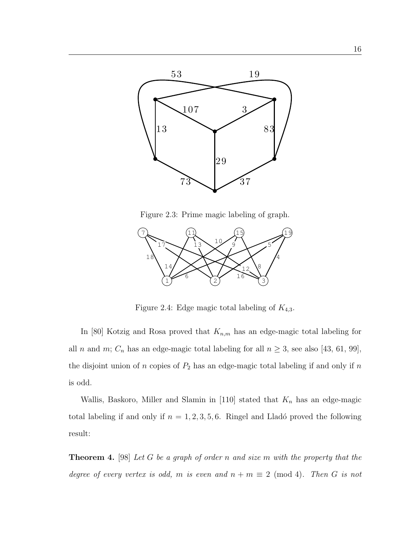

Figure 2.3: Prime magic labeling of graph.



Figure 2.4: Edge magic total labeling of  $K_{4,3}$ .

In [80] Kotzig and Rosa proved that  $K_{n,m}$  has an edge-magic total labeling for all *n* and *m*;  $C_n$  has an edge-magic total labeling for all  $n \geq 3$ , see also [43, 61, 99], the disjoint union of  $n$  copies of  $P_2$  has an edge-magic total labeling if and only if  $n$ is odd.

Wallis, Baskoro, Miller and Slamin in [110] stated that  $K_n$  has an edge-magic total labeling if and only if  $n = 1, 2, 3, 5, 6$ . Ringel and Lladó proved the following result:

**Theorem 4.** [98] Let G be a graph of order n and size m with the property that the degree of every vertex is odd, m is even and  $n + m \equiv 2 \pmod{4}$ . Then G is not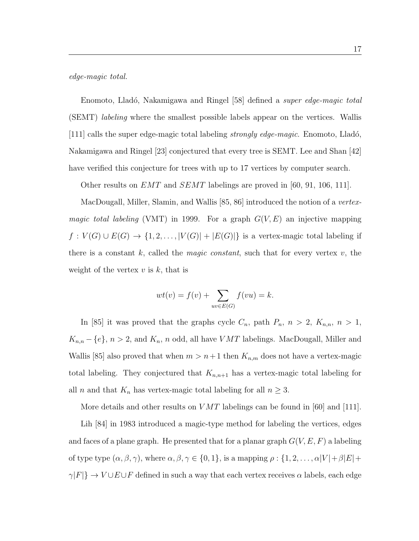edge-magic total.

Enomoto, Lladó, Nakamigawa and Ringel [58] defined a *super edge-magic total* (SEMT) labeling where the smallest possible labels appear on the vertices. Wallis [111] calls the super edge-magic total labeling *strongly edge-magic*. Enomoto, Lladó, Nakamigawa and Ringel [23] conjectured that every tree is SEMT. Lee and Shan [42] have verified this conjecture for trees with up to 17 vertices by computer search.

Other results on  $EMT$  and  $SEMT$  labelings are proved in [60, 91, 106, 111].

MacDougall, Miller, Slamin, and Wallis [85, 86] introduced the notion of a vertex*magic total labeling* (VMT) in 1999. For a graph  $G(V, E)$  an injective mapping  $f: V(G) \cup E(G) \rightarrow \{1, 2, ..., |V(G)| + |E(G)|\}$  is a vertex-magic total labeling if there is a constant k, called the *magic constant*, such that for every vertex  $v$ , the weight of the vertex  $v$  is  $k$ , that is

$$
wt(v) = f(v) + \sum_{uv \in E(G)} f(vu) = k.
$$

In [85] it was proved that the graphs cycle  $C_n$ , path  $P_n$ ,  $n > 2$ ,  $K_{n,n}$ ,  $n > 1$ ,  $K_{n,n} - \{e\}$ ,  $n > 2$ , and  $K_n$ , n odd, all have  $VMT$  labelings. MacDougall, Miller and Wallis [85] also proved that when  $m > n+1$  then  $K_{n,m}$  does not have a vertex-magic total labeling. They conjectured that  $K_{n,n+1}$  has a vertex-magic total labeling for all *n* and that  $K_n$  has vertex-magic total labeling for all  $n \geq 3$ .

More details and other results on  $VMT$  labelings can be found in [60] and [111].

Lih [84] in 1983 introduced a magic-type method for labeling the vertices, edges and faces of a plane graph. He presented that for a planar graph  $G(V, E, F)$  a labeling of type type  $(\alpha, \beta, \gamma)$ , where  $\alpha, \beta, \gamma \in \{0, 1\}$ , is a mapping  $\rho : \{1, 2, ..., \alpha |V| + \beta |E| +$  $\gamma|F|\}\rightarrow V\cup E\cup F$  defined in such a way that each vertex receives  $\alpha$  labels, each edge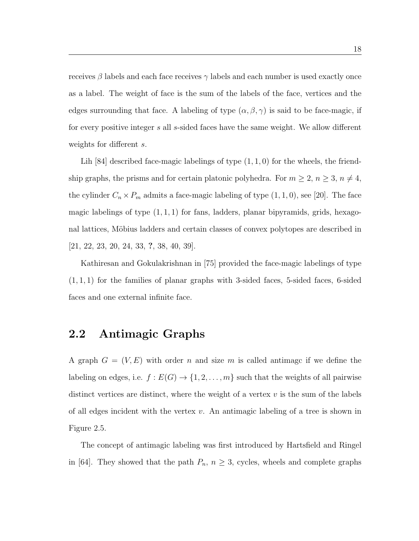receives  $\beta$  labels and each face receives  $\gamma$  labels and each number is used exactly once as a label. The weight of face is the sum of the labels of the face, vertices and the edges surrounding that face. A labeling of type  $(\alpha, \beta, \gamma)$  is said to be face-magic, if for every positive integer s all s-sided faces have the same weight. We allow different weights for different s.

Lih  $[84]$  described face-magic labelings of type  $(1, 1, 0)$  for the wheels, the friendship graphs, the prisms and for certain platonic polyhedra. For  $m \ge 2$ ,  $n \ge 3$ ,  $n \ne 4$ , the cylinder  $C_n \times P_m$  admits a face-magic labeling of type  $(1, 1, 0)$ , see [20]. The face magic labelings of type  $(1, 1, 1)$  for fans, ladders, planar bipyramids, grids, hexagonal lattices, Möbius ladders and certain classes of convex polytopes are described in [21, 22, 23, 20, 24, 33, ?, 38, 40, 39].

Kathiresan and Gokulakrishnan in [75] provided the face-magic labelings of type  $(1, 1, 1)$  for the families of planar graphs with 3-sided faces, 5-sided faces, 6-sided faces and one external infinite face.

### 2.2 Antimagic Graphs

A graph  $G = (V, E)$  with order n and size m is called antimage if we define the labeling on edges, i.e.  $f : E(G) \to \{1, 2, ..., m\}$  such that the weights of all pairwise distinct vertices are distinct, where the weight of a vertex  $v$  is the sum of the labels of all edges incident with the vertex  $v$ . An antimagic labeling of a tree is shown in Figure 2.5.

The concept of antimagic labeling was first introduced by Hartsfield and Ringel in [64]. They showed that the path  $P_n$ ,  $n \geq 3$ , cycles, wheels and complete graphs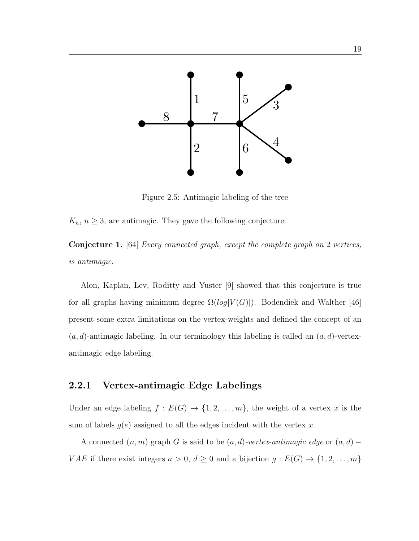

Figure 2.5: Antimagic labeling of the tree

 $K_n$ ,  $n \geq 3$ , are antimagic. They gave the following conjecture:

Conjecture 1. [64] Every connected graph, except the complete graph on 2 vertices, is antimagic.

Alon, Kaplan, Lev, Roditty and Yuster [9] showed that this conjecture is true for all graphs having minimum degree  $\Omega(log|V(G)|)$ . Bodendiek and Walther [46] present some extra limitations on the vertex-weights and defined the concept of an  $(a, d)$ -antimagic labeling. In our terminology this labeling is called an  $(a, d)$ -vertexantimagic edge labeling.

### 2.2.1 Vertex-antimagic Edge Labelings

Under an edge labeling  $f : E(G) \to \{1, 2, ..., m\}$ , the weight of a vertex x is the sum of labels  $g(e)$  assigned to all the edges incident with the vertex x.

A connected  $(n, m)$  graph G is said to be  $(a, d)$ -vertex-antimagic edge or  $(a, d)$  – *VAE* if there exist integers  $a > 0$ ,  $d \ge 0$  and a bijection  $g : E(G) \to \{1, 2, ..., m\}$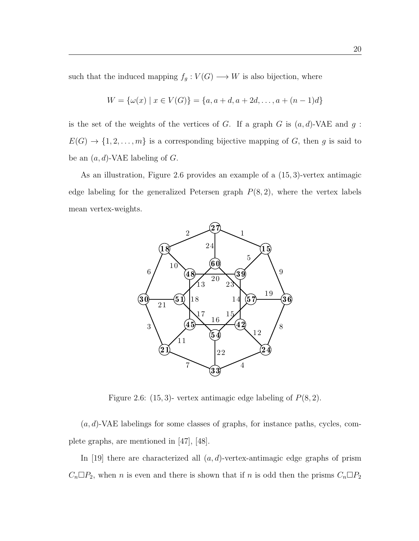such that the induced mapping  $f_g: V(G) \longrightarrow W$  is also bijection, where

$$
W = \{ \omega(x) \mid x \in V(G) \} = \{ a, a+d, a+2d, \dots, a+(n-1)d \}
$$

is the set of the weights of the vertices of G. If a graph G is  $(a, d)$ -VAE and  $g$ :  $E(G) \to \{1, 2, \ldots, m\}$  is a corresponding bijective mapping of G, then g is said to be an  $(a, d)$ -VAE labeling of  $G$ .

As an illustration, Figure 2.6 provides an example of a (15, 3)-vertex antimagic edge labeling for the generalized Petersen graph  $P(8, 2)$ , where the vertex labels mean vertex-weights.



Figure 2.6: (15, 3)- vertex antimagic edge labeling of  $P(8, 2)$ .

 $(a, d)$ -VAE labelings for some classes of graphs, for instance paths, cycles, complete graphs, are mentioned in [47], [48].

In [19] there are characterized all  $(a, d)$ -vertex-antimagic edge graphs of prism  $C_n \Box P_2$ , when *n* is even and there is shown that if *n* is odd then the prisms  $C_n \Box P_2$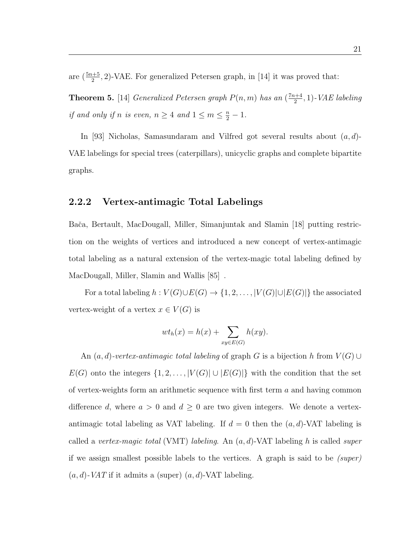are  $(\frac{5n+5}{2}, 2)$ -VAE. For generalized Petersen graph, in [14] it was proved that:

**Theorem 5.** [14] Generalized Petersen graph  $P(n,m)$  has an  $\left(\frac{7n+4}{2}\right)$  $\frac{n+4}{2}$ , 1) - VAE labeling if and only if n is even,  $n \geq 4$  and  $1 \leq m \leq \frac{n}{2} - 1$ .

In [93] Nicholas, Samasundaram and Vilfred got several results about  $(a, d)$ -VAE labelings for special trees (caterpillars), unicyclic graphs and complete bipartite graphs.

### 2.2.2 Vertex-antimagic Total Labelings

Baˇca, Bertault, MacDougall, Miller, Simanjuntak and Slamin [18] putting restriction on the weights of vertices and introduced a new concept of vertex-antimagic total labeling as a natural extension of the vertex-magic total labeling defined by MacDougall, Miller, Slamin and Wallis [85]".

For a total labeling  $h: V(G) \cup E(G) \rightarrow \{1, 2, ..., |V(G)| \cup |E(G)|\}$  the associated vertex-weight of a vertex  $x \in V(G)$  is

$$
wt_h(x) = h(x) + \sum_{xy \in E(G)} h(xy).
$$

An  $(a, d)$ -vertex-antimagic total labeling of graph G is a bijection h from  $V(G) \cup$  $E(G)$  onto the integers  $\{1, 2, ..., |V(G)| \cup |E(G)|\}$  with the condition that the set of vertex-weights form an arithmetic sequence with first term  $a$  and having common difference d, where  $a > 0$  and  $d \geq 0$  are two given integers. We denote a vertexantimagic total labeling as VAT labeling. If  $d = 0$  then the  $(a, d)$ -VAT labeling is called a vertex-magic total (VMT) labeling. An  $(a, d)$ -VAT labeling h is called super if we assign smallest possible labels to the vertices. A graph is said to be  $(super)$  $(a, d)$ -VAT if it admits a (super)  $(a, d)$ -VAT labeling.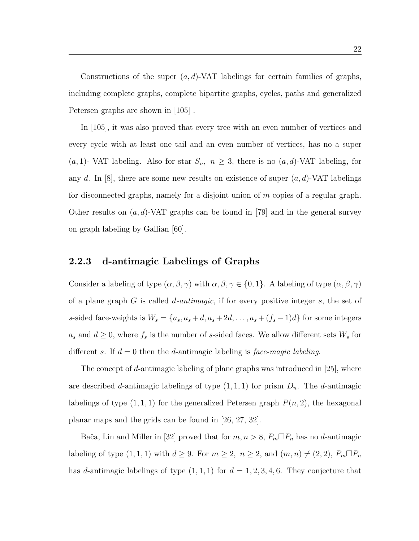Constructions of the super  $(a, d)$ -VAT labelings for certain families of graphs, including complete graphs, complete bipartite graphs, cycles, paths and generalized Petersen graphs are shown in [105] .

In [105], it was also proved that every tree with an even number of vertices and every cycle with at least one tail and an even number of vertices, has no a super (a, 1)- VAT labeling. Also for star  $S_n$ ,  $n \geq 3$ , there is no  $(a, d)$ -VAT labeling, for any d. In [8], there are some new results on existence of super  $(a, d)$ -VAT labelings for disconnected graphs, namely for a disjoint union of m copies of a regular graph. Other results on  $(a, d)$ -VAT graphs can be found in [79] and in the general survey on graph labeling by Gallian [60].

### 2.2.3 d-antimagic Labelings of Graphs

Consider a labeling of type  $(\alpha, \beta, \gamma)$  with  $\alpha, \beta, \gamma \in \{0, 1\}$ . A labeling of type  $(\alpha, \beta, \gamma)$ of a plane graph G is called d-antimagic, if for every positive integer s, the set of s-sided face-weights is  $W_s = \{a_s, a_s + d, a_s + 2d, \dots, a_s + (f_s - 1)d\}$  for some integers  $a_s$  and  $d \geq 0$ , where  $f_s$  is the number of s-sided faces. We allow different sets  $W_s$  for different s. If  $d = 0$  then the d-antimagic labeling is face-magic labeling.

The concept of d-antimagic labeling of plane graphs was introduced in  $|25|$ , where are described d-antimagic labelings of type  $(1, 1, 1)$  for prism  $D_n$ . The d-antimagic labelings of type  $(1, 1, 1)$  for the generalized Petersen graph  $P(n, 2)$ , the hexagonal planar maps and the grids can be found in [26, 27, 32].

Bača, Lin and Miller in [32] proved that for  $m, n > 8$ ,  $P_m \Box P_n$  has no d-antimagic labeling of type  $(1, 1, 1)$  with  $d \geq 9$ . For  $m \geq 2$ ,  $n \geq 2$ , and  $(m, n) \neq (2, 2)$ ,  $P_m \square P_n$ has d-antimagic labelings of type  $(1, 1, 1)$  for  $d = 1, 2, 3, 4, 6$ . They conjecture that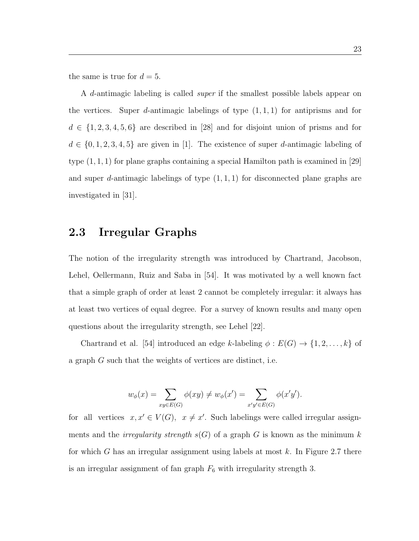the same is true for  $d = 5$ .

A d-antimagic labeling is called super if the smallest possible labels appear on the vertices. Super *d*-antimagic labelings of type  $(1, 1, 1)$  for antiprisms and for  $d \in \{1, 2, 3, 4, 5, 6\}$  are described in [28] and for disjoint union of prisms and for  $d \in \{0, 1, 2, 3, 4, 5\}$  are given in [1]. The existence of super d-antimagic labeling of type  $(1, 1, 1)$  for plane graphs containing a special Hamilton path is examined in [29] and super d-antimagic labelings of type  $(1, 1, 1)$  for disconnected plane graphs are investigated in [31].

## 2.3 Irregular Graphs

The notion of the irregularity strength was introduced by Chartrand, Jacobson, Lehel, Oellermann, Ruiz and Saba in [54]. It was motivated by a well known fact that a simple graph of order at least 2 cannot be completely irregular: it always has at least two vertices of equal degree. For a survey of known results and many open questions about the irregularity strength, see Lehel [22].

Chartrand et al. [54] introduced an edge k-labeling  $\phi : E(G) \rightarrow \{1, 2, ..., k\}$  of a graph G such that the weights of vertices are distinct, i.e.

$$
w_{\phi}(x) = \sum_{xy \in E(G)} \phi(xy) \neq w_{\phi}(x') = \sum_{x'y' \in E(G)} \phi(x'y').
$$

for all vertices  $x, x' \in V(G)$ ,  $x \neq x'$ . Such labelings were called irregular assignments and the *irregularity strength*  $s(G)$  of a graph G is known as the minimum k for which G has an irregular assignment using labels at most  $k$ . In Figure 2.7 there is an irregular assignment of fan graph  $F_6$  with irregularity strength 3.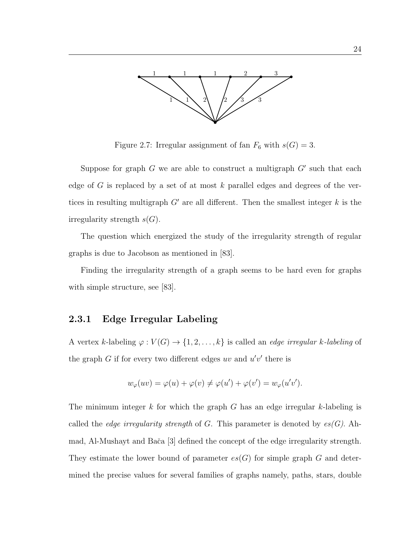

Figure 2.7: Irregular assignment of fan  $F_6$  with  $s(G) = 3$ .

Suppose for graph  $G$  we are able to construct a multigraph  $G'$  such that each edge of G is replaced by a set of at most  $k$  parallel edges and degrees of the vertices in resulting multigraph  $G'$  are all different. Then the smallest integer  $k$  is the irregularity strength  $s(G)$ .

The question which energized the study of the irregularity strength of regular graphs is due to Jacobson as mentioned in [83].

Finding the irregularity strength of a graph seems to be hard even for graphs with simple structure, see [83].

#### 2.3.1 Edge Irregular Labeling

A vertex k-labeling  $\varphi: V(G) \to \{1, 2, ..., k\}$  is called an *edge irregular k-labeling* of the graph  $G$  if for every two different edges uv and  $u'v'$  there is

$$
w_{\varphi}(uv) = \varphi(u) + \varphi(v) \neq \varphi(u') + \varphi(v') = w_{\varphi}(u'v').
$$

The minimum integer k for which the graph G has an edge irregular k-labeling is called the *edge irregularity strength* of G. This parameter is denoted by  $es(G)$ . Ahmad, Al-Mushayt and Baˇca [3] defined the concept of the edge irregularity strength. They estimate the lower bound of parameter  $es(G)$  for simple graph G and determined the precise values for several families of graphs namely, paths, stars, double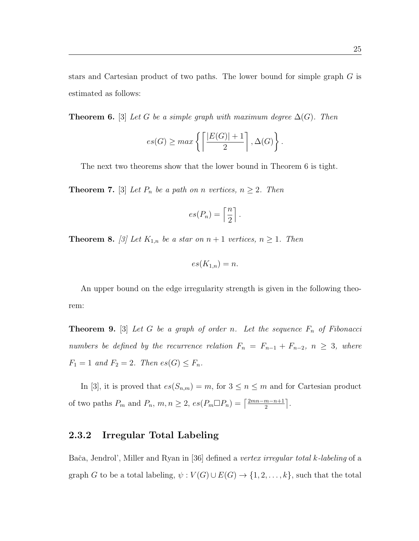stars and Cartesian product of two paths. The lower bound for simple graph G is estimated as follows:

**Theorem 6.** [3] Let G be a simple graph with maximum degree  $\Delta(G)$ . Then

$$
es(G) \geq max \left\{ \left\lceil \frac{|E(G)|+1}{2} \right\rceil, \Delta(G) \right\}.
$$

The next two theorems show that the lower bound in Theorem 6 is tight.

**Theorem 7.** [3] Let  $P_n$  be a path on n vertices,  $n \geq 2$ . Then

$$
es(P_n) = \left\lceil \frac{n}{2} \right\rceil.
$$

**Theorem 8.** [3] Let  $K_{1,n}$  be a star on  $n+1$  vertices,  $n \geq 1$ . Then

$$
es(K_{1,n}) = n.
$$

An upper bound on the edge irregularity strength is given in the following theorem:

**Theorem 9.** [3] Let G be a graph of order n. Let the sequence  $F_n$  of Fibonacci numbers be defined by the recurrence relation  $F_n = F_{n-1} + F_{n-2}$ ,  $n \geq 3$ , where  $F_1 = 1$  and  $F_2 = 2$ . Then  $es(G) \leq F_n$ .

In [3], it is proved that  $es(S_{n,m}) = m$ , for  $3 \le n \le m$  and for Cartesian product of two paths  $P_m$  and  $P_n$ ,  $m, n \geq 2$ ,  $es(P_m \Box P_n) = \lceil \frac{2mn-m-n+1}{2} \rceil$  $\frac{m-n+1}{2}$ .

#### 2.3.2 Irregular Total Labeling

Bača, Jendrol', Miller and Ryan in [36] defined a vertex irregular total k-labeling of a graph G to be a total labeling,  $\psi : V(G) \cup E(G) \rightarrow \{1, 2, ..., k\}$ , such that the total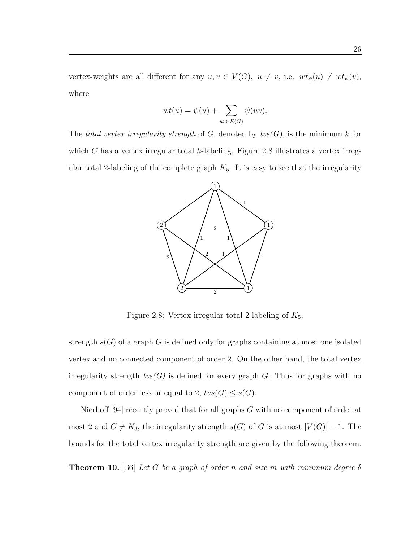vertex-weights are all different for any  $u, v \in V(G)$ ,  $u \neq v$ , i.e.  $wt_{\psi}(u) \neq wt_{\psi}(v)$ , where

$$
wt(u) = \psi(u) + \sum_{uv \in E(G)} \psi(uv).
$$

The total vertex irregularity strength of G, denoted by  $tvs(G)$ , is the minimum k for which G has a vertex irregular total  $k$ -labeling. Figure 2.8 illustrates a vertex irregular total 2-labeling of the complete graph  $K_5$ . It is easy to see that the irregularity



Figure 2.8: Vertex irregular total 2-labeling of  $K_5$ .

strength  $s(G)$  of a graph G is defined only for graphs containing at most one isolated vertex and no connected component of order 2. On the other hand, the total vertex irregularity strength  $tvs(G)$  is defined for every graph G. Thus for graphs with no component of order less or equal to 2,  $tvs(G) \leq s(G)$ .

Nierhoff [94] recently proved that for all graphs  $G$  with no component of order at most 2 and  $G \neq K_3$ , the irregularity strength  $s(G)$  of G is at most  $|V(G)| - 1$ . The bounds for the total vertex irregularity strength are given by the following theorem.

**Theorem 10.** [36] Let G be a graph of order n and size m with minimum degree  $\delta$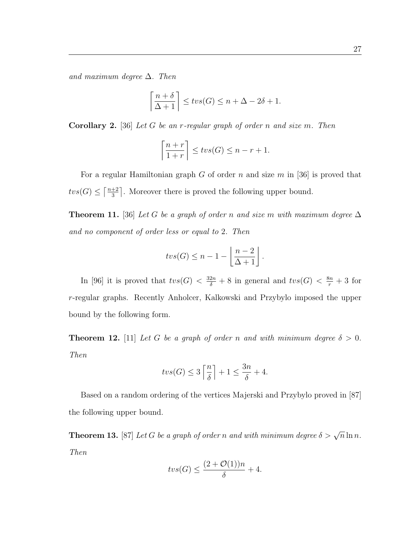and maximum degree  $\Delta$ . Then

$$
\left\lceil \frac{n+\delta}{\Delta+1} \right\rceil \leq tvs(G) \leq n+\Delta - 2\delta + 1.
$$

**Corollary 2.** [36] Let G be an r-regular graph of order n and size m. Then

$$
\left\lceil \frac{n+r}{1+r} \right\rceil \leq tvs(G) \leq n-r+1.
$$

For a regular Hamiltonian graph  $G$  of order  $n$  and size  $m$  in [36] is proved that  $tvs(G) \leq \lceil \frac{n+2}{3} \rceil$  $\frac{+2}{3}$ . Moreover there is proved the following upper bound.

**Theorem 11.** [36] Let G be a graph of order n and size m with maximum degree  $\Delta$ and no component of order less or equal to 2. Then

$$
tvs(G) \leq n-1 - \left\lfloor \frac{n-2}{\Delta+1} \right\rfloor.
$$

In [96] it is proved that  $tvs(G) < \frac{32n}{\delta} + 8$  in general and  $tvs(G) < \frac{8n}{r} + 3$  for r-regular graphs. Recently Anholcer, Kalkowski and Przybylo imposed the upper bound by the following form.

**Theorem 12.** [11] Let G be a graph of order n and with minimum degree  $\delta > 0$ . Then

$$
tvs(G) \le 3\left\lceil \frac{n}{\delta} \right\rceil + 1 \le \frac{3n}{\delta} + 4.
$$

Based on a random ordering of the vertices Majerski and Przybylo proved in [87] the following upper bound.

**Theorem 13.** [87] Let G be a graph of order n and with minimum degree  $\delta > \sqrt{n} \ln n$ . Then

$$
tvs(G) \le \frac{(2+\mathcal{O}(1))n}{\delta} + 4.
$$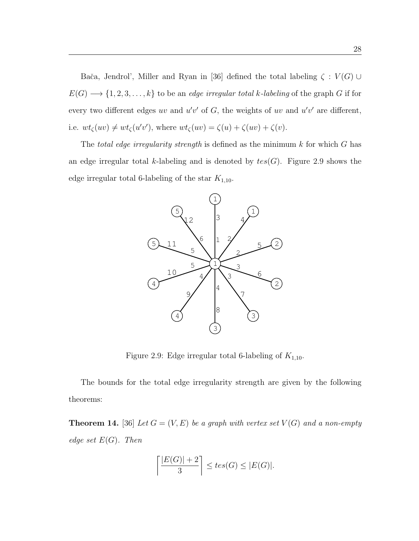Bača, Jendrol', Miller and Ryan in [36] defined the total labeling  $\zeta : V(G) \cup$  $E(G) \longrightarrow \{1, 2, 3, \ldots, k\}$  to be an *edge irregular total k-labeling* of the graph G if for every two different edges uv and  $u'v'$  of G, the weights of uv and  $u'v'$  are different, i.e.  $wt_{\zeta}(uv) \neq wt_{\zeta}(u'v')$ , where  $wt_{\zeta}(uv) = \zeta(u) + \zeta(uv) + \zeta(v)$ .

The total edge irregularity strength is defined as the minimum  $k$  for which  $G$  has an edge irregular total k-labeling and is denoted by  $tes(G)$ . Figure 2.9 shows the edge irregular total 6-labeling of the star  $K_{1,10}$ .



Figure 2.9: Edge irregular total 6-labeling of  $K_{1,10}$ .

The bounds for the total edge irregularity strength are given by the following theorems:

**Theorem 14.** [36] Let  $G = (V, E)$  be a graph with vertex set  $V(G)$  and a non-empty edge set  $E(G)$ . Then

$$
\left\lceil \frac{|E(G)|+2}{3} \right\rceil \le \operatorname{tes}(G) \le |E(G)|.
$$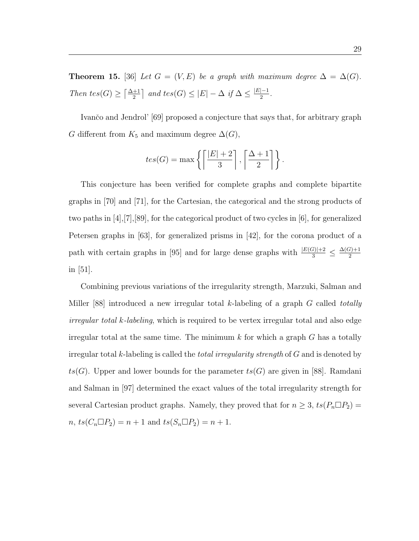Theorem 15. [36] Let  $G = (V, E)$  be a graph with maximum degree  $\Delta = \Delta(G)$ . Then tes(G)  $\geq \left\lceil \frac{\Delta+1}{2} \right\rceil$  and tes(G)  $\leq |E| - \Delta$  if  $\Delta \leq \frac{|E|-1}{2}$  $\frac{|-1|}{2}$ .

Ivančo and Jendrol' [69] proposed a conjecture that says that, for arbitrary graph G different from  $K_5$  and maximum degree  $\Delta(G)$ ,

$$
tes(G) = \max\left\{ \left\lceil \frac{|E|+2}{3} \right\rceil, \left\lceil \frac{\Delta+1}{2} \right\rceil \right\}.
$$

This conjecture has been verified for complete graphs and complete bipartite graphs in [70] and [71], for the Cartesian, the categorical and the strong products of two paths in [4],[7],[89], for the categorical product of two cycles in [6], for generalized Petersen graphs in [63], for generalized prisms in [42], for the corona product of a path with certain graphs in [95] and for large dense graphs with  $\frac{|E(G)|+2}{3} \leq \frac{\Delta(G)+1}{2}$ 2 in [51].

Combining previous variations of the irregularity strength, Marzuki, Salman and Miller [88] introduced a new irregular total k-labeling of a graph  $G$  called totally *irregular total k-labeling*, which is required to be vertex irregular total and also edge irregular total at the same time. The minimum  $k$  for which a graph  $G$  has a totally irregular total k-labeling is called the *total irregularity strength* of  $G$  and is denoted by  $ts(G)$ . Upper and lower bounds for the parameter  $ts(G)$  are given in [88]. Ramdani and Salman in [97] determined the exact values of the total irregularity strength for several Cartesian product graphs. Namely, they proved that for  $n \geq 3$ ,  $ts(P_n \Box P_2)$  =  $n, \, ts(C_n \Box P_2) = n + 1 \text{ and } ts(S_n \Box P_2) = n + 1.$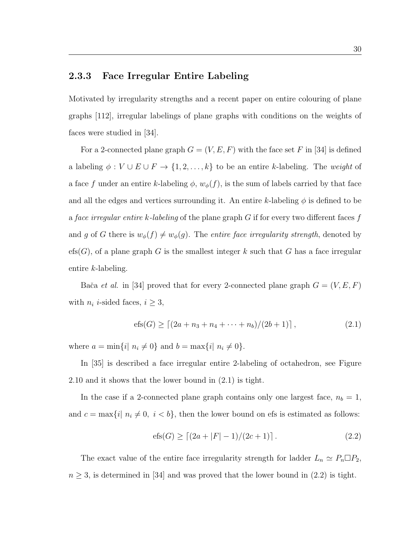### 2.3.3 Face Irregular Entire Labeling

Motivated by irregularity strengths and a recent paper on entire colouring of plane graphs [112], irregular labelings of plane graphs with conditions on the weights of faces were studied in [34].

For a 2-connected plane graph  $G = (V, E, F)$  with the face set F in [34] is defined a labeling  $\phi: V \cup E \cup F \rightarrow \{1, 2, ..., k\}$  to be an entire k-labeling. The *weight* of a face f under an entire k-labeling  $\phi$ ,  $w_{\phi}(f)$ , is the sum of labels carried by that face and all the edges and vertices surrounding it. An entire k-labeling  $\phi$  is defined to be a face irregular entire k-labeling of the plane graph  $G$  if for every two different faces f and g of G there is  $w_{\phi}(f) \neq w_{\phi}(g)$ . The entire face irregularity strength, denoted by efs $(G)$ , of a plane graph G is the smallest integer k such that G has a face irregular entire k-labeling.

Bača et al. in [34] proved that for every 2-connected plane graph  $G = (V, E, F)$ with  $n_i$  *i*-sided faces,  $i \geq 3$ ,

$$
efs(G) \ge \left[ (2a + n_3 + n_4 + \dots + n_b) / (2b + 1) \right],
$$
\n(2.1)

where  $a = \min\{i | n_i \neq 0\}$  and  $b = \max\{i | n_i \neq 0\}$ .

In [35] is described a face irregular entire 2-labeling of octahedron, see Figure 2.10 and it shows that the lower bound in (2.1) is tight.

In the case if a 2-connected plane graph contains only one largest face,  $n_b = 1$ , and  $c = \max\{i | n_i \neq 0, i < b\}$ , then the lower bound on efs is estimated as follows:

$$
efs(G) \ge [(2a + |F| - 1)/(2c + 1)]. \tag{2.2}
$$

The exact value of the entire face irregularity strength for ladder  $L_n \simeq P_n \square P_2$ ,  $n \geq 3$ , is determined in [34] and was proved that the lower bound in (2.2) is tight.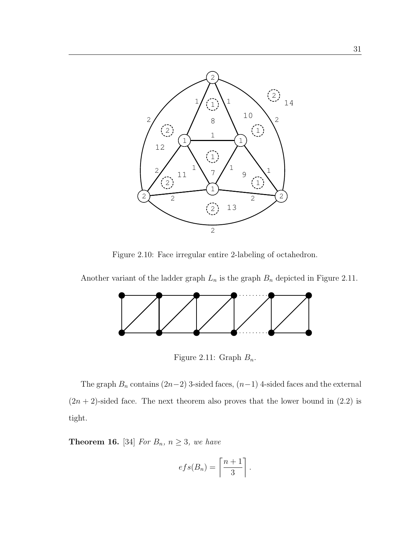

Figure 2.10: Face irregular entire 2-labeling of octahedron.

Another variant of the ladder graph  $L_n$  is the graph  $B_n$  depicted in Figure 2.11.



Figure 2.11: Graph  $B_n$ .

The graph  $B_n$  contains  $(2n-2)$  3-sided faces,  $(n-1)$  4-sided faces and the external  $(2n + 2)$ -sided face. The next theorem also proves that the lower bound in  $(2.2)$  is tight.

**Theorem 16.** [34] For  $B_n$ ,  $n \geq 3$ , we have

$$
efs(B_n) = \left\lceil \frac{n+1}{3} \right\rceil.
$$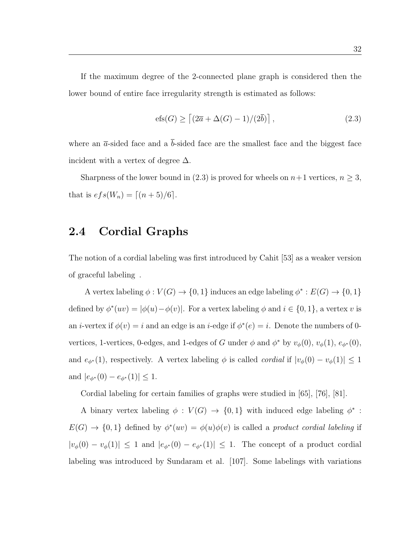If the maximum degree of the 2-connected plane graph is considered then the lower bound of entire face irregularity strength is estimated as follows:

$$
efs(G) \ge \left[ (2\overline{a} + \Delta(G) - 1)/(2\overline{b}) \right],\tag{2.3}
$$

where an  $\bar{a}$ -sided face and a  $\bar{b}$ -sided face are the smallest face and the biggest face incident with a vertex of degree  $\Delta$ .

Sharpness of the lower bound in (2.3) is proved for wheels on  $n+1$  vertices,  $n \geq 3$ , that is  $efs(W_n) = \lceil (n + 5)/6 \rceil$ .

## 2.4 Cordial Graphs

The notion of a cordial labeling was first introduced by Cahit [53] as a weaker version of graceful labeling".

A vertex labeling  $\phi: V(G) \to \{0,1\}$  induces an edge labeling  $\phi^*: E(G) \to \{0,1\}$ defined by  $\phi^*(uv) = |\phi(u) - \phi(v)|$ . For a vertex labeling  $\phi$  and  $i \in \{0, 1\}$ , a vertex v is an *i*-vertex if  $\phi(v) = i$  and an edge is an *i*-edge if  $\phi^*(e) = i$ . Denote the numbers of 0vertices, 1-vertices, 0-edges, and 1-edges of G under  $\phi$  and  $\phi^*$  by  $v_{\phi}(0)$ ,  $v_{\phi}(1)$ ,  $e_{\phi^*}(0)$ , and  $e_{\phi^*}(1)$ , respectively. A vertex labeling  $\phi$  is called *cordial* if  $|v_{\phi}(0) - v_{\phi}(1)| \leq 1$ and  $|e_{\phi^*}(0) - e_{\phi^*}(1)| \leq 1$ .

Cordial labeling for certain families of graphs were studied in [65], [76], [81].

A binary vertex labeling  $\phi: V(G) \to \{0,1\}$  with induced edge labeling  $\phi^*$ :  $E(G) \to \{0,1\}$  defined by  $\phi^*(uv) = \phi(u)\phi(v)$  is called a product cordial labeling if  $|v_{\phi}(0) - v_{\phi}(1)| \leq 1$  and  $|e_{\phi^*}(0) - e_{\phi^*}(1)| \leq 1$ . The concept of a product cordial labeling was introduced by Sundaram et al. [107]. Some labelings with variations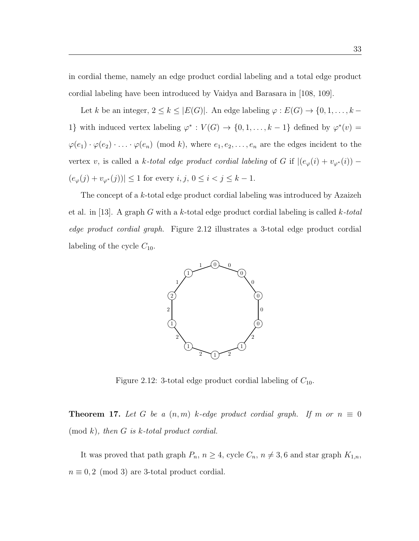in cordial theme, namely an edge product cordial labeling and a total edge product cordial labeling have been introduced by Vaidya and Barasara in [108, 109].

Let k be an integer,  $2 \le k \le |E(G)|$ . An edge labeling  $\varphi : E(G) \to \{0, 1, \ldots, k -$ 1} with induced vertex labeling  $\varphi^* : V(G) \to \{0, 1, ..., k-1\}$  defined by  $\varphi^*(v) =$  $\varphi(e_1) \cdot \varphi(e_2) \cdot \ldots \cdot \varphi(e_n)$  (mod k), where  $e_1, e_2, \ldots, e_n$  are the edges incident to the vertex v, is called a k-total edge product cordial labeling of G if  $|(e_{\varphi}(i) + v_{\varphi^*}(i)) (e_{\varphi}(j) + v_{\varphi^*}(j)) \leq 1$  for every  $i, j, 0 \leq i < j \leq k - 1$ .

The concept of a k-total edge product cordial labeling was introduced by Azaizeh et al. in [13]. A graph G with a k-total edge product cordial labeling is called  $k$ -total edge product cordial graph. Figure 2.12 illustrates a 3-total edge product cordial labeling of the cycle  $C_{10}$ .



Figure 2.12: 3-total edge product cordial labeling of  $C_{10}$ .

**Theorem 17.** Let G be a  $(n, m)$  k-edge product cordial graph. If m or  $n \equiv 0$  $p(\mod k)$ , then G is k-total product cordial.

It was proved that path graph  $P_n$ ,  $n \geq 4$ , cycle  $C_n$ ,  $n \neq 3, 6$  and star graph  $K_{1,n}$ ,  $n \equiv 0, 2 \pmod{3}$  are 3-total product cordial.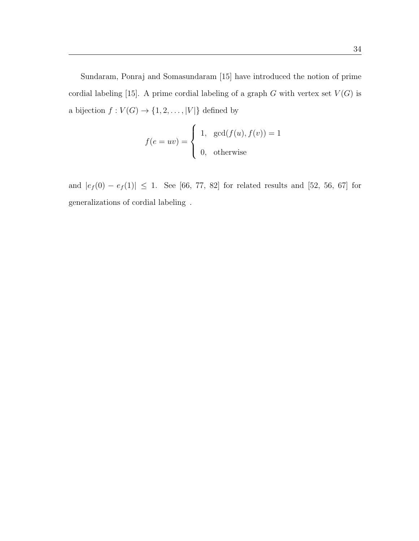Sundaram, Ponraj and Somasundaram [15] have introduced the notion of prime cordial labeling [15]. A prime cordial labeling of a graph  $G$  with vertex set  $V(G)$  is a bijection  $f: V(G) \to \{1, 2, ..., |V|\}$  defined by

$$
f(e = uv) = \begin{cases} 1, & \gcd(f(u), f(v)) = 1 \\ 0, & \text{otherwise} \end{cases}
$$

and  $|e_f(0) - e_f(1)| \le 1$ . See [66, 77, 82] for related results and [52, 56, 67] for generalizations of cordial labeling.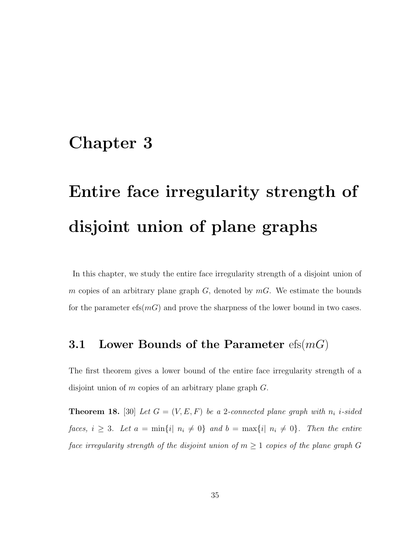# Chapter 3

# Entire face irregularity strength of disjoint union of plane graphs

In this chapter, we study the entire face irregularity strength of a disjoint union of m copies of an arbitrary plane graph  $G$ , denoted by  $mG$ . We estimate the bounds for the parameter  $\operatorname{efs}(m)$  and prove the sharpness of the lower bound in two cases.

## 3.1 Lower Bounds of the Parameter  $\text{efs}(m)$

The first theorem gives a lower bound of the entire face irregularity strength of a disjoint union of  $m$  copies of an arbitrary plane graph  $G$ .

**Theorem 18.** [30] Let  $G = (V, E, F)$  be a 2-connected plane graph with  $n_i$  i-sided faces,  $i \geq 3$ . Let  $a = \min\{i | n_i \neq 0\}$  and  $b = \max\{i | n_i \neq 0\}$ . Then the entire face irregularity strength of the disjoint union of  $m \geq 1$  copies of the plane graph G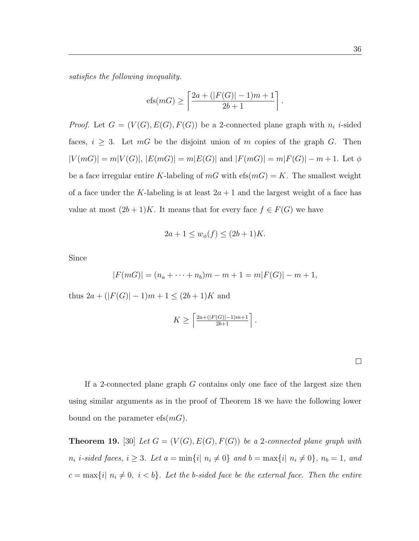satisfies the following inequality.

$$
efs(mG) \ge \left\lceil \frac{2a + (|F(G)| - 1)m + 1}{2b + 1} \right\rceil
$$
.

*Proof.* Let  $G = (V(G), E(G), F(G))$  be a 2-connected plane graph with  $n_i$  *i*-sided faces,  $i \geq 3$ . Let  $mG$  be the disjoint union of m copies of the graph G. Then  $|V(mG)| = m|V(G)|, |E(mG)| = m|E(G)|$  and  $|F(mG)| = m|F(G)| - m + 1$ . Let  $\phi$ be a face irregular entire K-labeling of  $mG$  with  $e f s(m) = K$ . The smallest weight of a face under the K-labeling is at least  $2a + 1$  and the largest weight of a face has value at most  $(2b+1)K$ . It means that for every face  $f \in F(G)$  we have

$$
2a + 1 \le w_{\phi}(f) \le (2b + 1)K.
$$

Since

$$
|F(mG)| = (n_a + \dots + n_b)m - m + 1 = m|F(G)| - m + 1,
$$

thus  $2a + (|F(G)| - 1)m + 1 \le (2b + 1)K$  and

$$
K \geq \left\lceil \frac{2a + (|F(G)| - 1)m + 1}{2b + 1} \right\rceil.
$$

If a 2-connected plane graph  $G$  contains only one face of the largest size then using similar arguments as in the proof of Theorem 18 we have the following lower bound on the parameter  $efs(mG)$ .

**Theorem 19.** [30] Let  $G = (V(G), E(G), F(G))$  be a 2-connected plane graph with  $n_i$  i-sided faces,  $i \geq 3$ . Let  $a = \min\{i | n_i \neq 0\}$  and  $b = \max\{i | n_i \neq 0\}$ ,  $n_b = 1$ , and  $c = \max\{i \mid n_i \neq 0, i < b\}$ . Let the b-sided face be the external face. Then the entire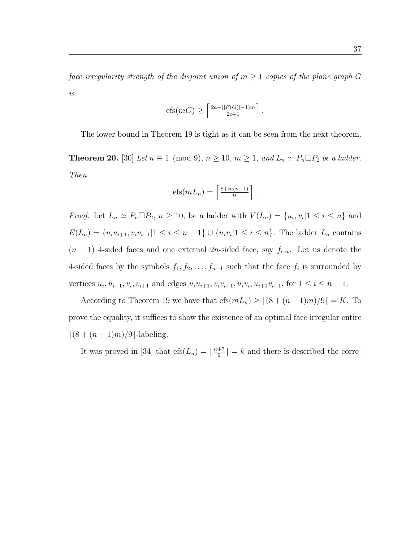face irregularity strength of the disjoint union of  $m \geq 1$  copies of the plane graph G is

$$
efs(mG) \geq \left\lceil \frac{2a + (|F(G)| - 1)m}{2c + 1} \right\rceil.
$$

The lower bound in Theorem 19 is tight as it can be seen from the next theorem.

**Theorem 20.** [30] Let  $n \equiv 1 \pmod{9}$ ,  $n \ge 10$ ,  $m \ge 1$ , and  $L_n \simeq P_n \square P_2$  be a ladder. Then

$$
efs(mL_n) = \left\lceil \frac{8 + m(n-1)}{9} \right\rceil.
$$

*Proof.* Let  $L_n \simeq P_n \square P_2$ ,  $n \geq 10$ , be a ladder with  $V(L_n) = \{u_i, v_i | 1 \leq i \leq n\}$  and  $E(L_n) = \{u_i u_{i+1}, v_i v_{i+1} | 1 \le i \le n-1\} \cup \{u_i v_i | 1 \le i \le n\}.$  The ladder  $L_n$  contains  $(n-1)$  4-sided faces and one external 2n-sided face, say  $f_{ext}$ . Let us denote the 4-sided faces by the symbols  $f_1, f_2, \ldots, f_{n-1}$  such that the face  $f_i$  is surrounded by vertices  $u_i, u_{i+1}, v_i, v_{i+1}$  and edges  $u_i u_{i+1}, v_i v_{i+1}, u_i v_i, u_{i+1} v_{i+1}$ , for  $1 \le i \le n-1$ .

According to Theorem 19 we have that  $\operatorname{efs}(mL_n) \geq \lceil (8 + (n-1)m)/9 \rceil = K$ . To prove the equality, it suffices to show the existence of an optimal face irregular entire  $\lceil(8 + (n-1)m)/9\rceil$ -labeling.

It was proved in [34] that  $\text{efs}(L_n) = \lceil \frac{n+7}{9} \rceil$  $\frac{+7}{9}$  = k and there is described the corre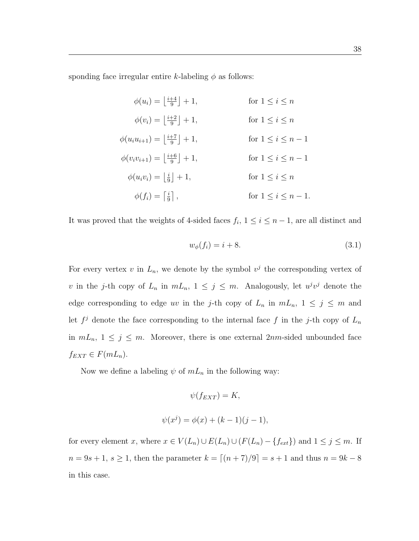sponding face irregular entire k-labeling  $\phi$  as follows:

| $\phi(u_i) = \left  \frac{i+4}{9} \right  + 1,$       | for $1 \leq i \leq n$     |
|-------------------------------------------------------|---------------------------|
| $\phi(v_i) = \left  \frac{i+2}{9} \right  + 1,$       | for $1 \leq i \leq n$     |
| $\phi(u_iu_{i+1}) = \left \frac{i+7}{9}\right  + 1,$  | for $1 \leq i \leq n-1$   |
| $\phi(v_i v_{i+1}) = \left \frac{i+6}{9}\right  + 1,$ | for $1 \leq i \leq n-1$   |
| $\phi(u_i v_i) =  \frac{i}{9}  + 1,$                  | for $1 \leq i \leq n$     |
| $\phi(f_i) = \left  \frac{i}{9} \right  ,$            | for $1 \leq i \leq n-1$ . |

It was proved that the weights of 4-sided faces  $f_i$ ,  $1 \leq i \leq n-1$ , are all distinct and

$$
w_{\phi}(f_i) = i + 8.\tag{3.1}
$$

For every vertex v in  $L_n$ , we denote by the symbol  $v^j$  the corresponding vertex of v in the j-th copy of  $L_n$  in  $mL_n$ ,  $1 \leq j \leq m$ . Analogously, let  $u^jv^j$  denote the edge corresponding to edge uv in the j-th copy of  $L_n$  in  $mL_n$ ,  $1 \le j \le m$  and let  $f^j$  denote the face corresponding to the internal face f in the j-th copy of  $L_n$ in  $mL_n$ ,  $1 \leq j \leq m$ . Moreover, there is one external  $2nm$ -sided unbounded face  $f_{EXT} \in F(mL_n).$ 

Now we define a labeling  $\psi$  of  $mL_n$  in the following way:

$$
\psi(f_{EXT}) = K,
$$
  

$$
\psi(x^j) = \phi(x) + (k-1)(j-1),
$$

for every element x, where  $x \in V(L_n) \cup E(L_n) \cup (F(L_n) - \{f_{ext}\})$  and  $1 \le j \le m$ . If  $n = 9s + 1, s \ge 1$ , then the parameter  $k = \lfloor (n + 7)/9 \rfloor = s + 1$  and thus  $n = 9k - 8$ in this case.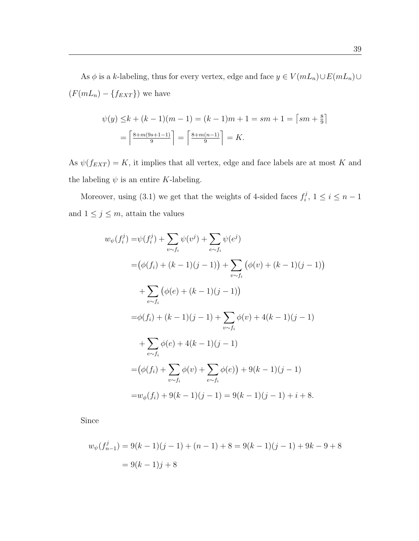As  $\phi$  is a k-labeling, thus for every vertex, edge and face  $y \in V(mL_n) \cup E(mL_n) \cup$  $(F(mL_n) - \{f_{EXT}\})$  we have

$$
\psi(y) \le k + (k - 1)(m - 1) = (k - 1)m + 1 = sm + 1 = \lceil sm + \frac{8}{9} \rceil
$$

$$
= \lceil \frac{8 + m(9s + 1 - 1)}{9} \rceil = \lceil \frac{8 + m(n - 1)}{9} \rceil = K.
$$

As  $\psi(f_{EXT})=K$ , it implies that all vertex, edge and face labels are at most K and the labeling  $\psi$  is an entire K-labeling.

Moreover, using (3.1) we get that the weights of 4-sided faces  $f_i^j$  $i^j, 1 \leq i \leq n-1$ and  $1 \leq j \leq m$ , attain the values

$$
w_{\psi}(f_i^j) = \psi(f_i^j) + \sum_{v \sim f_i} \psi(v^j) + \sum_{e \sim f_i} \psi(e^j)
$$
  
\n
$$
= (\phi(f_i) + (k-1)(j-1)) + \sum_{v \sim f_i} (\phi(v) + (k-1)(j-1))
$$
  
\n
$$
+ \sum_{e \sim f_i} (\phi(e) + (k-1)(j-1))
$$
  
\n
$$
= \phi(f_i) + (k-1)(j-1) + \sum_{v \sim f_i} \phi(v) + 4(k-1)(j-1)
$$
  
\n
$$
+ \sum_{e \sim f_i} \phi(e) + 4(k-1)(j-1)
$$
  
\n
$$
= (\phi(f_i) + \sum_{v \sim f_i} \phi(v) + \sum_{e \sim f_i} \phi(e)) + 9(k-1)(j-1)
$$
  
\n
$$
= w_{\phi}(f_i) + 9(k-1)(j-1) = 9(k-1)(j-1) + i + 8.
$$

Since

$$
w_{\psi}(f_{n-1}^{j}) = 9(k-1)(j-1) + (n-1) + 8 = 9(k-1)(j-1) + 9k - 9 + 8
$$

$$
= 9(k-1)j + 8
$$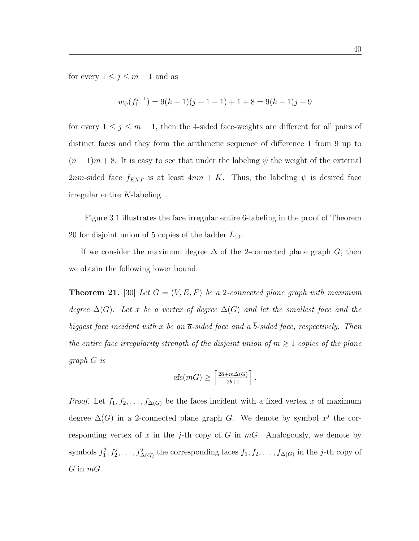for every  $1 \leq j \leq m-1$  and as

$$
w_{\psi}(f_1^{j+1}) = 9(k-1)(j+1-1) + 1 + 8 = 9(k-1)j + 9
$$

for every  $1 \leq j \leq m-1$ , then the 4-sided face-weights are different for all pairs of distinct faces and they form the arithmetic sequence of difference 1 from 9 up to  $(n-1)m+8$ . It is easy to see that under the labeling  $\psi$  the weight of the external 2nm-sided face  $f_{EXT}$  is at least  $4nm + K$ . Thus, the labeling  $\psi$  is desired face irregular entire  $K$ -labeling.  $\Box$ 

Figure 3.1 illustrates the face irregular entire 6-labeling in the proof of Theorem 20 for disjoint union of 5 copies of the ladder  $L_{10}$ .

If we consider the maximum degree  $\Delta$  of the 2-connected plane graph G, then we obtain the following lower bound:

**Theorem 21.** [30] Let  $G = (V, E, F)$  be a 2-connected plane graph with maximum degree  $\Delta(G)$ . Let x be a vertex of degree  $\Delta(G)$  and let the smallest face and the biggest face incident with x be an  $\bar{a}$ -sided face and a  $\bar{b}$ -sided face, respectively. Then the entire face irregularity strength of the disjoint union of  $m \geq 1$  copies of the plane graph G is

$$
\mathrm{efs}(mG) \ge \left\lceil \tfrac{2\overline{a} + m\Delta(G)}{2\overline{b} + 1} \right\rceil.
$$

*Proof.* Let  $f_1, f_2, \ldots, f_{\Delta(G)}$  be the faces incident with a fixed vertex x of maximum degree  $\Delta(G)$  in a 2-connected plane graph G. We denote by symbol  $x^j$  the corresponding vertex of x in the j-th copy of G in  $mG$ . Analogously, we denote by symbols  $f_1^j$  $f_1^j, f_2^j, \ldots, f_{\Delta(G)}^j$  the corresponding faces  $f_1, f_2, \ldots, f_{\Delta(G)}$  in the *j*-th copy of  $G$  in  $mG$ .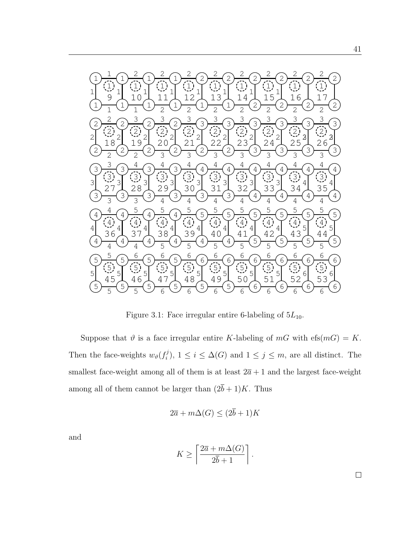

Figure 3.1: Face irregular entire 6-labeling of  $5L_{10}$ .

Suppose that  $\vartheta$  is a face irregular entire K-labeling of  $mG$  with  $e f s(m) = K$ . Then the face-weights  $w_{\theta}(f_i^j)$ <sup>j</sup>),  $1 \leq i \leq \Delta(G)$  and  $1 \leq j \leq m$ , are all distinct. The smallest face-weight among all of them is at least  $2\bar{a} + 1$  and the largest face-weight among all of them cannot be larger than  $(2\bar{b} + 1)K$ . Thus

$$
2\overline{a} + m\Delta(G) \le (2\overline{b} + 1)K
$$

and

$$
K \ge \left\lceil \frac{2\overline{a} + m\Delta(G)}{2\overline{b} + 1} \right\rceil.
$$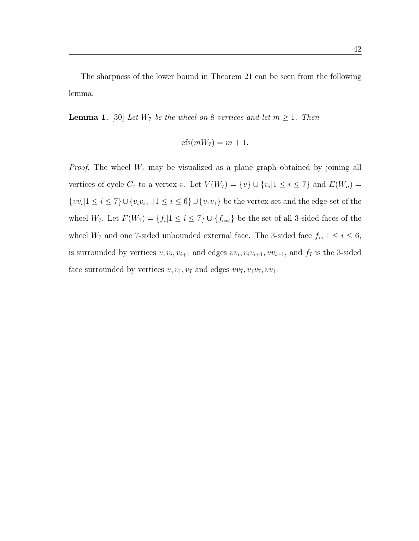The sharpness of the lower bound in Theorem 21 can be seen from the following lemma.

**Lemma 1.** [30] Let  $W_7$  be the wheel on 8 vertices and let  $m \geq 1$ . Then

$$
efs(mW_7) = m + 1.
$$

*Proof.* The wheel  $W_7$  may be visualized as a plane graph obtained by joining all vertices of cycle  $C_7$  to a vertex v. Let  $V(W_7) = \{v\} \cup \{v_i | 1 \le i \le 7\}$  and  $E(W_n) =$  $\{vv_i|1 \leq i \leq 7\} \cup \{v_iv_{i+1}|1 \leq i \leq 6\} \cup \{v_7v_1\}$  be the vertex-set and the edge-set of the wheel  $W_7$ . Let  $F(W_7) = \{f_i | 1 \leq i \leq 7\} \cup \{f_{ext}\}\$ be the set of all 3-sided faces of the wheel  $W_7$  and one 7-sided unbounded external face. The 3-sided face  $f_i$ ,  $1 \le i \le 6$ , is surrounded by vertices  $v, v_i, v_{i+1}$  and edges  $vv_i, v_i v_{i+1}, vv_{i+1}$ , and  $f_7$  is the 3-sided face surrounded by vertices  $v, v_1, v_7$  and edges  $vv_7, v_1v_7, vv_1$ .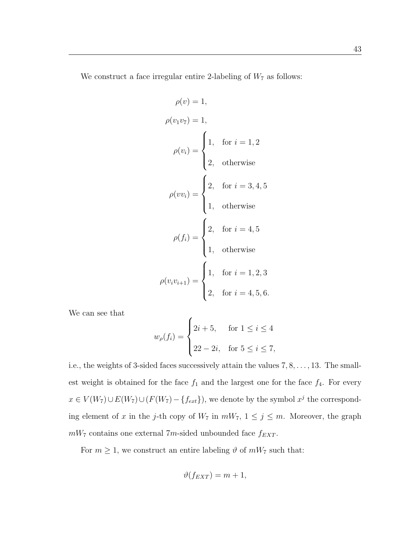We construct a face irregular entire 2-labeling of  $W<sub>7</sub>$  as follows:

$$
\rho(v) = 1,
$$
  
\n
$$
\rho(v_1v_7) = 1,
$$
  
\n
$$
\rho(v_i) = \begin{cases}\n1, & \text{for } i = 1, 2 \\
2, & \text{otherwise}\n\end{cases}
$$
  
\n
$$
\rho(vv_i) = \begin{cases}\n2, & \text{for } i = 3, 4, 5 \\
1, & \text{otherwise}\n\end{cases}
$$
  
\n
$$
\rho(f_i) = \begin{cases}\n2, & \text{for } i = 4, 5 \\
1, & \text{otherwise}\n\end{cases}
$$
  
\n
$$
\rho(v_iv_{i+1}) = \begin{cases}\n1, & \text{for } i = 1, 2, 3 \\
2, & \text{for } i = 4, 5, 6.\n\end{cases}
$$

We can see that

$$
w_{\rho}(f_i) = \begin{cases} 2i+5, & \text{for } 1 \le i \le 4 \\ 22-2i, & \text{for } 5 \le i \le 7, \end{cases}
$$

i.e., the weights of 3-sided faces successively attain the values 7, 8, . . . , 13. The smallest weight is obtained for the face  $f_1$  and the largest one for the face  $f_4$ . For every  $x \in V(W_7) \cup E(W_7) \cup (F(W_7) - \{f_{ext}\})$ , we denote by the symbol  $x^j$  the corresponding element of x in the j-th copy of  $W_7$  in  $mW_7$ ,  $1 \le j \le m$ . Moreover, the graph  $mW_7$  contains one external 7m-sided unbounded face  $f_{EXT}$ .

For  $m \geq 1$ , we construct an entire labeling  $\vartheta$  of  $mW_7$  such that:

$$
\vartheta(f_{EXT}) = m+1,
$$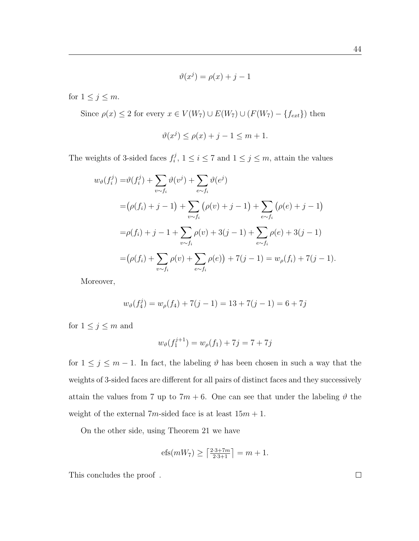$$
\vartheta(x^j) = \rho(x) + j - 1
$$

for  $1 \leq j \leq m$ .

Since  $\rho(x) \le 2$  for every  $x \in V(W_7) \cup E(W_7) \cup (F(W_7) - \{f_{ext}\})$  then

$$
\vartheta(x^j) \le \rho(x) + j - 1 \le m + 1.
$$

The weights of 3-sided faces  $f_i^j$  $i<sup>j</sup>$ ,  $1 \le i \le 7$  and  $1 \le j \le m$ , attain the values

$$
w_{\vartheta}(f_i^j) = \vartheta(f_i^j) + \sum_{v \sim f_i} \vartheta(v^j) + \sum_{e \sim f_i} \vartheta(e^j)
$$
  
=  $(\rho(f_i) + j - 1) + \sum_{v \sim f_i} (\rho(v) + j - 1) + \sum_{e \sim f_i} (\rho(e) + j - 1)$   
=  $\rho(f_i) + j - 1 + \sum_{v \sim f_i} \rho(v) + 3(j - 1) + \sum_{e \sim f_i} \rho(e) + 3(j - 1)$   
=  $(\rho(f_i) + \sum_{v \sim f_i} \rho(v) + \sum_{e \sim f_i} \rho(e)) + 7(j - 1) = w_{\rho}(f_i) + 7(j - 1).$ 

Moreover,

$$
w_{\vartheta}(f_4^j) = w_{\rho}(f_4) + 7(j - 1) = 13 + 7(j - 1) = 6 + 7j
$$

for  $1\leq j\leq m$  and

$$
w_{\vartheta}(f_1^{j+1}) = w_{\rho}(f_1) + 7j = 7 + 7j
$$

for  $1 \leq j \leq m-1$ . In fact, the labeling  $\vartheta$  has been chosen in such a way that the weights of 3-sided faces are different for all pairs of distinct faces and they successively attain the values from 7 up to  $7m + 6$ . One can see that under the labeling  $\vartheta$  the weight of the external  $7m$ -sided face is at least  $15m + 1$ .

On the other side, using Theorem 21 we have

$$
\mathrm{efs}(mW_7) \ge \left\lceil \tfrac{2\cdot 3 + 7m}{2\cdot 3 + 1} \right\rceil = m + 1.
$$

This concludes the proof.

44

 $\Box$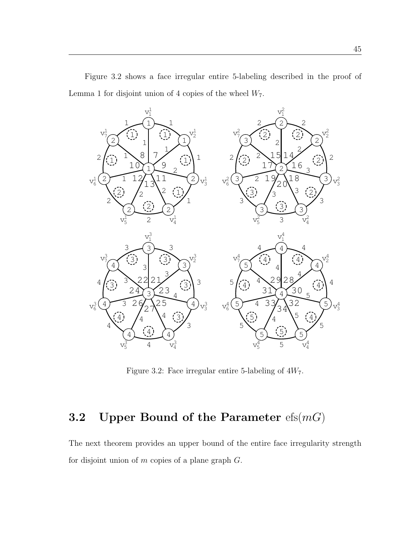

Figure 3.2 shows a face irregular entire 5-labeling described in the proof of Lemma 1 for disjoint union of 4 copies of the wheel  $W_7$ .

Figure 3.2: Face irregular entire 5-labeling of  $4W_7$ .

# 3.2 Upper Bound of the Parameter  $efs(mG)$

The next theorem provides an upper bound of the entire face irregularity strength for disjoint union of  $m$  copies of a plane graph  $G$ .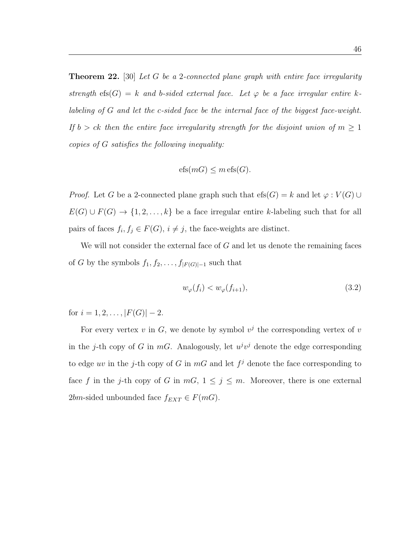**Theorem 22.** [30] Let G be a 2-connected plane graph with entire face irregularity strength efs(G) = k and b-sided external face. Let  $\varphi$  be a face irregular entire klabeling of G and let the c-sided face be the internal face of the biggest face-weight. If  $b > ck$  then the entire face irregularity strength for the disjoint union of  $m \geq 1$ copies of G satisfies the following inequality:

$$
efs(mG) \le m \operatorname{efs}(G).
$$

*Proof.* Let G be a 2-connected plane graph such that  $efs(G) = k$  and let  $\varphi : V(G) \cup$  $E(G) \cup F(G) \rightarrow \{1, 2, ..., k\}$  be a face irregular entire k-labeling such that for all pairs of faces  $f_i, f_j \in F(G), i \neq j$ , the face-weights are distinct.

We will not consider the external face of  $G$  and let us denote the remaining faces of G by the symbols  $f_1, f_2, \ldots, f_{|F(G)|-1}$  such that

$$
w_{\varphi}(f_i) < w_{\varphi}(f_{i+1}),\tag{3.2}
$$

for  $i = 1, 2, \ldots, |F(G)| - 2$ .

For every vertex v in G, we denote by symbol  $v^j$  the corresponding vertex of v in the j-th copy of G in  $mG$ . Analogously, let  $u^jv^j$  denote the edge corresponding to edge uv in the j-th copy of G in  $mG$  and let  $f^j$  denote the face corresponding to face f in the j-th copy of G in  $mG$ ,  $1 \le j \le m$ . Moreover, there is one external 2bm-sided unbounded face  $f_{EXT} \in F(mG)$ .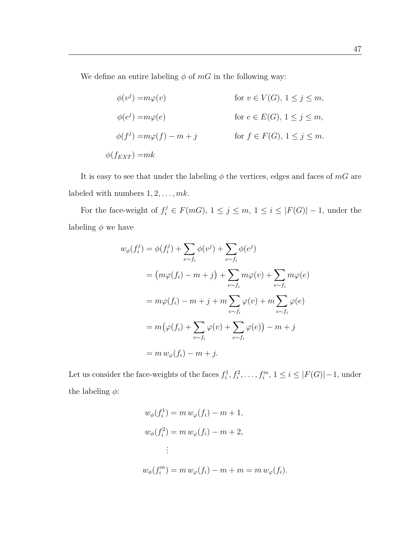We define an entire labeling  $\phi$  of mG in the following way:

$$
\phi(v^j) = m\varphi(v) \qquad \text{for } v \in V(G), 1 \le j \le m,
$$
  
\n
$$
\phi(e^j) = m\varphi(e) \qquad \text{for } e \in E(G), 1 \le j \le m,
$$
  
\n
$$
\phi(f^j) = m\varphi(f) - m + j \qquad \text{for } f \in F(G), 1 \le j \le m.
$$
  
\n
$$
\phi(f_{EXT}) = mk
$$

It is easy to see that under the labeling  $\phi$  the vertices, edges and faces of  $mG$  are labeled with numbers  $1, 2, \ldots, mk$ .

For the face-weight of  $f_i^j \in F(mG)$ ,  $1 \leq j \leq m$ ,  $1 \leq i \leq |F(G)| - 1$ , under the labeling  $\phi$  we have

$$
w_{\phi}(f_i^j) = \phi(f_i^j) + \sum_{v \sim f_i} \phi(v^j) + \sum_{e \sim f_i} \phi(e^j)
$$
  

$$
= (m\varphi(f_i) - m + j) + \sum_{v \sim f_i} m\varphi(v) + \sum_{e \sim f_i} m\varphi(e)
$$
  

$$
= m\varphi(f_i) - m + j + m \sum_{v \sim f_i} \varphi(v) + m \sum_{e \sim f_i} \varphi(e)
$$
  

$$
= m(\varphi(f_i) + \sum_{v \sim f_i} \varphi(v) + \sum_{e \sim f_i} \varphi(e)) - m + j
$$
  

$$
= m w_{\varphi}(f_i) - m + j.
$$

Let us consider the face-weights of the faces  $f_i^1, f_i^2, \ldots, f_i^m, 1 \le i \le |F(G)| - 1$ , under the labeling  $\phi$ :

$$
w_{\phi}(f_i^1) = m w_{\varphi}(f_i) - m + 1,
$$
  
\n
$$
w_{\phi}(f_i^2) = m w_{\varphi}(f_i) - m + 2,
$$
  
\n
$$
\vdots
$$
  
\n
$$
w_{\phi}(f_i^m) = m w_{\varphi}(f_i) - m + m = m w_{\varphi}(f_i).
$$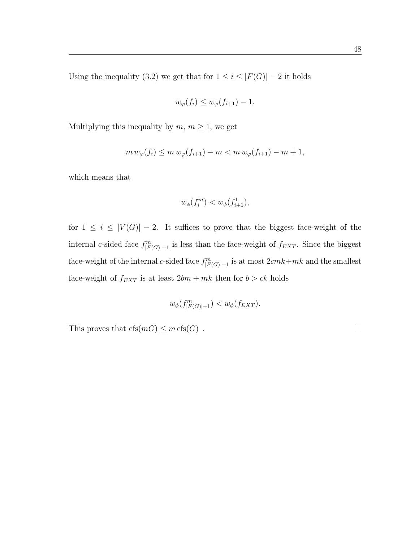Using the inequality (3.2) we get that for  $1 \leq i \leq |F(G)| - 2$  it holds

$$
w_{\varphi}(f_i) \le w_{\varphi}(f_{i+1}) - 1.
$$

Multiplying this inequality by  $m, m \geq 1$ , we get

$$
m w_{\varphi}(f_i) \le m w_{\varphi}(f_{i+1}) - m < m w_{\varphi}(f_{i+1}) - m + 1,
$$

which means that

$$
w_{\phi}(f_i^m) < w_{\phi}(f_{i+1}^1),
$$

for  $1 \leq i \leq |V(G)| - 2$ . It suffices to prove that the biggest face-weight of the internal c-sided face  $f_{|F(G)|-1}^m$  is less than the face-weight of  $f_{EXT}$ . Since the biggest face-weight of the internal c-sided face  $f_{|F(G)|-1}^m$  is at most  $2cmk+mk$  and the smallest face-weight of  $f_{EXT}$  is at least  $2bm + mk$  then for  $b > ck$  holds

$$
w_{\phi}(f_{|F(G)|-1}^m) < w_{\phi}(f_{EXT}).
$$

This proves that  $\text{efs}(m) \leq m \text{efs}(G)$ .

 $\Box$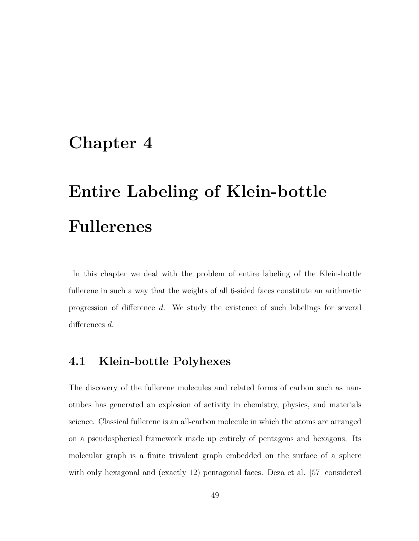# Chapter 4

# Entire Labeling of Klein-bottle Fullerenes

In this chapter we deal with the problem of entire labeling of the Klein-bottle fullerene in such a way that the weights of all 6-sided faces constitute an arithmetic progression of difference d. We study the existence of such labelings for several differences d.

## 4.1 Klein-bottle Polyhexes

The discovery of the fullerene molecules and related forms of carbon such as nanotubes has generated an explosion of activity in chemistry, physics, and materials science. Classical fullerene is an all-carbon molecule in which the atoms are arranged on a pseudospherical framework made up entirely of pentagons and hexagons. Its molecular graph is a finite trivalent graph embedded on the surface of a sphere with only hexagonal and (exactly 12) pentagonal faces. Deza et al. [57] considered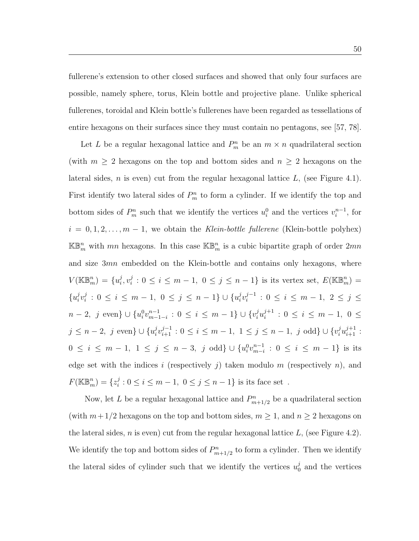fullerene's extension to other closed surfaces and showed that only four surfaces are possible, namely sphere, torus, Klein bottle and projective plane. Unlike spherical fullerenes, toroidal and Klein bottle's fullerenes have been regarded as tessellations of entire hexagons on their surfaces since they must contain no pentagons, see [57, 78].

Let L be a regular hexagonal lattice and  $P_m^n$  be an  $m \times n$  quadrilateral section (with  $m \geq 2$  hexagons on the top and bottom sides and  $n \geq 2$  hexagons on the lateral sides,  $n$  is even) cut from the regular hexagonal lattice  $L$ , (see Figure 4.1). First identify two lateral sides of  $P_m^n$  to form a cylinder. If we identify the top and bottom sides of  $P_m^n$  such that we identify the vertices  $u_i^0$  and the vertices  $v_i^{n-1}$  $i^{n-1}$ , for  $i = 0, 1, 2, \ldots, m - 1$ , we obtain the Klein-bottle fullerene (Klein-bottle polyhex)  $\mathbb{KB}_m^n$  with mn hexagons. In this case  $\mathbb{KB}_m^n$  is a cubic bipartite graph of order  $2mn$ and size 3mn embedded on the Klein-bottle and contains only hexagons, where  $V(\mathbb{KB}_m^n) = \{u_i^j\}$  $_i^j, v_i^j$  $i: 0 \leq i \leq m-1, 0 \leq j \leq n-1$  is its vertex set,  $E(\mathbb{KB}_{m}^{n}) =$  $\{u_i^j\}$  $i^{j}v_i^j$  $i_i^j : 0 \le i \le m-1, 0 \le j \le n-1$   $\cup \{u_i^j\}$  $i^{j}v_i^{j-1}$  $i_j^{j-1}$  :  $0 \leq i \leq m-1, 2 \leq j \leq j$  $n-2, j \text{ even} \} \cup \{u_i^0 v_{m-1}^{n-1}$  $_{m-1-i}^{n-1} : 0 \leq i \leq m-1$   $\cup \{v_i^j u_i^{j+1} \}$  $i_j^{j+1}$  :  $0 \leq i \leq m-1, 0 \leq$  $j \leq n-2, j \text{ even} \} \cup \{u_i^j\}$  $j_{i}v_{i+1}^{j-1}: 0 \leq i \leq m-1, 1 \leq j \leq n-1, j \text{ odd} \} \cup \{v_{i}^{j}u_{i+1}^{j+1}:$  $0 \leq i \leq m-1, \ 1 \leq j \leq n-3, \ j \text{ odd} \} \cup \{u_i^0 v_{m-i}^{n-1}$  $_{m-i}^{n-1} : 0 \leq i \leq m-1$ } is its edge set with the indices i (respectively  $j$ ) taken modulo  $m$  (respectively  $n$ ), and  $F(\mathbb{KB}_m^n) = \{z_i^j\}$  $i : 0 \le i \le m - 1, 0 \le j \le n - 1$  is its face set.

Now, let L be a regular hexagonal lattice and  $P_{m+1/2}^n$  be a quadrilateral section (with  $m+1/2$  hexagons on the top and bottom sides,  $m \ge 1$ , and  $n \ge 2$  hexagons on the lateral sides,  $n$  is even) cut from the regular hexagonal lattice  $L$ , (see Figure 4.2). We identify the top and bottom sides of  $P_{m+1/2}^n$  to form a cylinder. Then we identify the lateral sides of cylinder such that we identify the vertices  $u_0^j$  $_0<sup>j</sup>$  and the vertices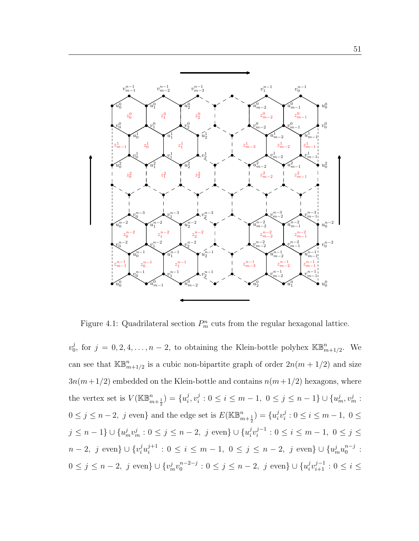

Figure 4.1: Quadrilateral section  $P_m^n$  cuts from the regular hexagonal lattice.

 $v_0^j$  $j_0^j$ , for  $j = 0, 2, 4, \ldots, n-2$ , to obtaining the Klein-bottle polyhex  $\mathbb{KB}_{m+1/2}^n$ . We can see that  $\mathbb{KB}_{m+1/2}^n$  is a cubic non-bipartite graph of order  $2n(m+1/2)$  and size  $3n(m+1/2)$  embedded on the Klein-bottle and contains  $n(m+1/2)$  hexagons, where the vertex set is  $V(\mathbb{KB}_{m+\frac{1}{2}}^n) = \{u_i^j\}$  $_i^j, v_i^j$  $i : 0 \leq i \leq m-1, 0 \leq j \leq n-1$   $\cup$   $\{u_m^j, v_m^j :$  $0 \leq j \leq n-2$ , j even} and the edge set is  $E(\mathbb{KB}_{m+\frac{1}{2}}^n) = \{u_i^j\}$  $_{i}^{j}v_{i}^{j}$  $i_i^j : 0 \le i \le m-1, 0 \le j$  $j \leq n-1$   $\} \cup \{u_m^j v_m^j : 0 \leq j \leq n-2, j \text{ even}\} \cup \{u_i^j\}$  $i^{j}v_i^{j-1}$  $i_j^{j-1}: 0 \leq i \leq m-1, 0 \leq j \leq$  $n-2, j \text{ even}$   $\cup \{v_i^j u_i^{j+1}\}$  $i_j^{j+1}: 0 \leq i \leq m-1, 0 \leq j \leq n-2, j \text{ even} \} \cup \{u_m^j u_0^{n-j} \}$  $\begin{smallmatrix} n-j \ 0 \end{smallmatrix}$  :  $0 \le j \le n-2$ , j even}  $\cup \{v_m^j v_0^{n-2-j}\}$  $0_0^{n-2-j} : 0 \le j \le n-2, j \text{ even} \} \cup \{u_i^j\}$  $i \, v_{i+1}^{j-1} : 0 \leq i \leq$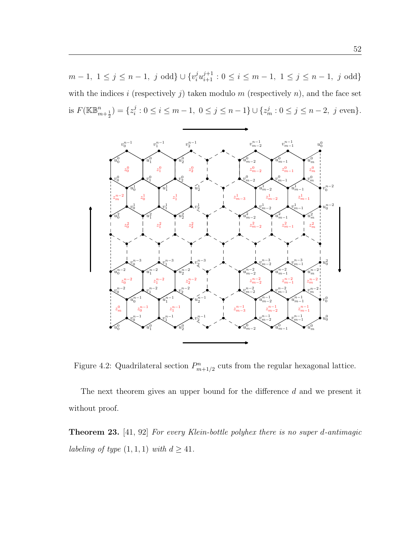$m-1, 1 \le j \le n-1, j \text{ odd} \} \cup \{v_i^j u_{i+1}^{j+1} : 0 \le i \le m-1, 1 \le j \le n-1, j \text{ odd} \}$ with the indices i (respectively j) taken modulo  $m$  (respectively  $n$ ), and the face set is  $F(\mathbb{KB}_{m+\frac{1}{2}}^n) = \{z_i^j\}$  $i: 0 \le i \le m-1, 0 \le j \le n-1$   $\cup \{z_m^j : 0 \le j \le n-2, j \text{ even}\}.$ 



Figure 4.2: Quadrilateral section  $P_{m+1/2}^n$  cuts from the regular hexagonal lattice.

The next theorem gives an upper bound for the difference d and we present it without proof.

Theorem 23. [41, 92] For every Klein-bottle polyhex there is no super d-antimagic labeling of type  $(1, 1, 1)$  with  $d \geq 41$ .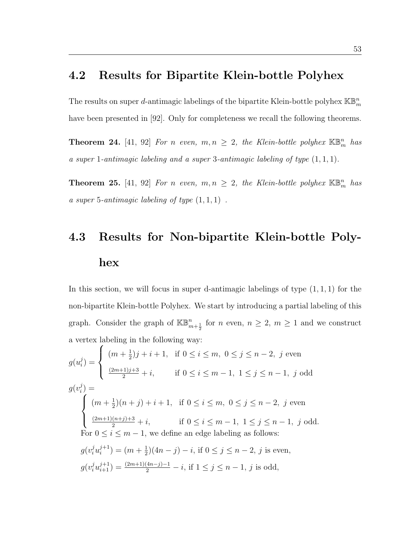## 4.2 Results for Bipartite Klein-bottle Polyhex

The results on super d-antimagic labelings of the bipartite Klein-bottle polyhex  $\mathbb{KB}_m^n$ have been presented in [92]. Only for completeness we recall the following theorems.

**Theorem 24.** [41, 92] For n even,  $m, n \geq 2$ , the Klein-bottle polyhex  $\mathbb{KB}_m^n$  has a super 1-antimagic labeling and a super 3-antimagic labeling of type  $(1, 1, 1)$ .

**Theorem 25.** [41, 92] For n even,  $m, n \geq 2$ , the Klein-bottle polyhex  $\mathbb{KB}_m^n$  has a super 5-antimagic labeling of type  $(1,1,1)$ .

# 4.3 Results for Non-bipartite Klein-bottle Polyhex

In this section, we will focus in super d-antimagic labelings of type  $(1, 1, 1)$  for the non-bipartite Klein-bottle Polyhex. We start by introducing a partial labeling of this graph. Consider the graph of  $\mathbb{KB}_{m+\frac{1}{2}}^n$  for n even,  $n \geq 2$ ,  $m \geq 1$  and we construct a vertex labeling in the following way:

 $g(u_i^j)$  $\binom{j}{i}$  $\sqrt{ }$  $\int$  $\overline{\mathcal{L}}$  $(m + \frac{1}{2})$  $(\frac{1}{2})j + i + 1$ , if  $0 \le i \le m$ ,  $0 \le j \le n - 2$ , j even  $\frac{(2m+1)j+3}{2} + i$ , if  $0 \le i \le m-1$ ,  $1 \le j \le n-1$ , j odd  $g(v_i^j) =$  $\sum_{i=1}^{i}$  $\int$  $\overline{\mathcal{L}}$  $(m + \frac{1}{2})$  $\frac{1}{2}(n+j)+i+1$ , if  $0 \le i \le m$ ,  $0 \le j \le n-2$ , j even  $\frac{(2m+1)(n+j)+3}{2} + i$ , if  $0 \le i \le m-1$ ,  $1 \le j \le n-1$ , j odd. For  $0 \leq i \leq m-1$ , we define an edge labeling as follows:  $g(v_i^j u_i^{j+1})$  $i^{j+1}) = (m + \frac{1}{2})$  $(\frac{1}{2})(4n-j) - i$ , if  $0 \le j \le n-2$ , j is even,  $g(v_i^j u_{i+1}^{j+1}) = \frac{(2m+1)(4n-j)-1}{2} - i$ , if  $1 \le j \le n-1$ , j is odd,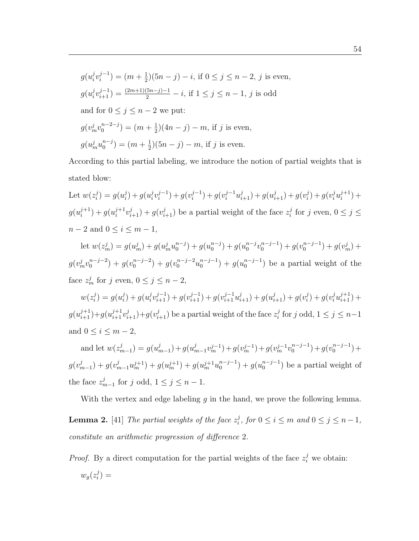$$
g(u_i^j v_i^{j-1}) = (m + \frac{1}{2})(5n - j) - i
$$
, if  $0 \le j \le n - 2$ , j is even,  
\n
$$
g(u_i^j v_{i+1}^{j-1}) = \frac{(2m+1)(5n-j)-1}{2} - i
$$
, if  $1 \le j \le n - 1$ , j is odd  
\nand for  $0 \le j \le n - 2$  we put:  
\n
$$
g(v_m^j v_0^{n-2-j}) = (m + \frac{1}{2})(4n - j) - m
$$
, if j is even,  
\n
$$
g(u_m^j u_0^{n-j}) = (m + \frac{1}{2})(5n - j) - m
$$
, if j is even.

According to this partial labeling, we introduce the notion of partial weights that is stated blow:

Let  $w(z_i^j)$  $i^j$ ) =  $g(u_i^j)$  $i^{j}$ ) +  $g(u_{i}^{j})$  $i^{j}v_i^{j-1}$  $\binom{j-1}{i} + g(v_i^{j-1})$  $\binom{j-1}{i} + g(v_i^{j-1}u_{i+1}^j) + g(u_{i+1}^j) + g(v_i^j)$  $j_{i}^{j}$ ) +  $g(v_{i}^{j}u_{i}^{j+1})$  $i^{j+1}) +$  $g(u_i^{j+1})$  $\binom{j+1}{i} + g(u_i^{j+1})$  $(y_i^{j+1}v_{i+1}^j) + g(v_{i+1}^j)$  be a partial weight of the face  $z_i^j$  $i<sup>j</sup>$  for j even,  $0 \leq j \leq$  $n-2$  and  $0 \le i \le m-1$ ,

let  $w(z_m^j) = g(u_m^j) + g(u_m^ju_0^{n-j})$  $\binom{n-j}{0} + g(u_0^{n-j})$  $\binom{n-j}{0} + g(u_0^{n-j})$  $_{0}^{n-j}v_{0}^{n-j-1}$  $\binom{n-j-1}{0} + g(\upsilon_0^{n-j-1})$  $\binom{n-j-1}{0} + g(v_m^j) +$  $g(v_m^j v_0^{n-j-2})$  $j_0^{n-j-2}$ ) +  $g(v_0^{n-j-2})$  $\binom{n-j-2}{0}$  +  $g(v_0^{n-j-2}u_0^{n-j-1})$  $\binom{n-j-1}{0} + g(u_0^{n-j-1})$  $\binom{n-j-1}{0}$  be a partial weight of the face  $z_m^j$  for j even,  $0 \le j \le n-2$ ,

 $w(z_i^j$  $i^j$ ) =  $g(u_i^j)$  $i^{j}$  +  $g(u_{i}^{j})$  $j_i^j v_{i+1}^{j-1}$ ) +  $g(v_{i+1}^{j-1}) + g(v_{i+1}^{j-1} u_{i+1}^j) + g(u_{i+1}^j) + g(v_i^j)$  $j_{i}^{j})+g(v_{i}^{j}u_{i+1}^{j+1})+$  $g(u_{i+1}^{j+1})+g(u_{i+1}^{j+1}v_{i+1}^j)+g(v_{i+1}^j)$  be a partial weight of the face  $z_i^j$  $j$  for j odd,  $1 \leq j \leq n-1$ and  $0 \leq i \leq m-2$ ,

and let  $w(z_n^j)$  $\binom{j}{m-1} = g(u_n^j)$  $\binom{j}{m-1}+g(u_r^j)$  $(y_{m-1}^j v_m^{j-1})+g(v_m^{j-1})+g(v_m^{j-1}v_0^{n-j-1})$  $\binom{n-j-1}{0} + g(\upsilon_0^{n-j-1})$  $_{0}^{n-j-1}) +$  $g(v_n^j)$  $(y^{(j)}_{m-1}) + g(y^{(j+1)}_{m}) + g(u^{(j+1)}_{m}) + g(u^{(j+1)}_{m}u^{(j-1)}_{0})$  $\binom{n-j-1}{0} + g(u_0^{n-j-1})$  $\binom{n-j-1}{0}$  be a partial weight of the face  $z_n^j$  $j_{m-1}$  for j odd,  $1 \leq j \leq n-1$ .

With the vertex and edge labeling  $g$  in the hand, we prove the following lemma.

**Lemma 2.** [41] The partial weights of the face  $z_i^j$  $i<sup>j</sup>$ , for  $0 \le i \le m$  and  $0 \le j \le n-1$ , constitute an arithmetic progression of difference 2.

*Proof.* By a direct computation for the partial weights of the face  $z_i^j$  we obtain:  $w_g(z_i^j)$  $\binom{J}{i}$  =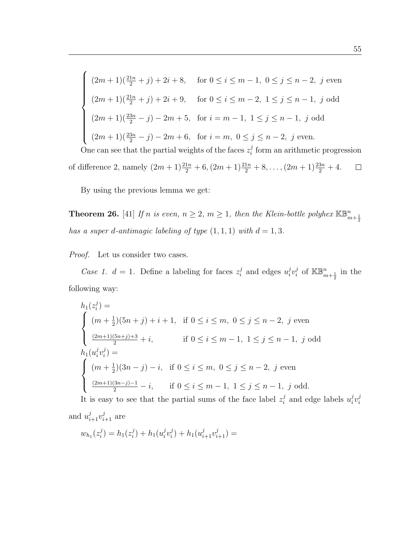$\sqrt{ }$  $\begin{array}{c} \hline \end{array}$  $\begin{array}{c} \hline \end{array}$  $(2m+1)(\frac{21n}{2}+j)+2i+8$ , for  $0 \le i \le m-1$ ,  $0 \le j \le n-2$ , j even  $(2m+1)(\frac{21n}{2}+j)+2i+9$ , for  $0 \le i \le m-2$ ,  $1 \le j \le n-1$ , j odd  $(2m+1)(\frac{23n}{2}-j)-2m+5$ , for  $i=m-1$ ,  $1 \le j \le n-1$ , j odd  $(2m+1)(\frac{23n}{2}-j)-2m+6$ , for  $i=m$ ,  $0 \le j \le n-2$ , j even. One can see that the partial weights of the faces  $z_i^j$  $i$  form an arithmetic progression

of difference 2, namely  $(2m+1)\frac{21n}{2}+6$ ,  $(2m+1)\frac{21n}{2}+8$ , ...,  $(2m+1)\frac{23n}{2}+4$ .  $\Box$ 

By using the previous lemma we get:

**Theorem 26.** [41] If n is even,  $n \geq 2$ ,  $m \geq 1$ , then the Klein-bottle polyhex  $\mathbb{KB}_{m+\frac{1}{2}}^n$ has a super d-antimagic labeling of type  $(1, 1, 1)$  with  $d = 1, 3$ .

*Proof.* Let us consider two cases.

Case 1.  $d = 1$ . Define a labeling for faces  $z_i^j$  $i$  and edges  $u_i^j$  $_{i}^{j}v_{i}^{j}$  $i$  of  $\mathbb{KB}_{m+\frac{1}{2}}^{n}$  in the following way:

$$
h_1(z_i^j) =
$$
\n
$$
\begin{cases}\n(m + \frac{1}{2})(5n + j) + i + 1, & \text{if } 0 \le i \le m, \ 0 \le j \le n - 2, \ j \text{ even} \\
\frac{(2m+1)(5n+j)+3}{2} + i, & \text{if } 0 \le i \le m - 1, \ 1 \le j \le n - 1, \ j \text{ odd}\n\end{cases}
$$
\n
$$
h_1(u_i^j v_i^j) =
$$
\n
$$
\begin{cases}\n(m + \frac{1}{2})(3n - j) - i, & \text{if } 0 \le i \le m, \ 0 \le j \le n - 2, \ j \text{ even} \\
\frac{(2m+1)(3n-j)-1}{2} - i, & \text{if } 0 \le i \le m - 1, \ 1 \le j \le n - 1, \ j \text{ odd.} \\
\end{cases}
$$
\nIt is a result, so that the partial curve of the f and hold  $u^j$  and also be the

It is easy to see that the partial sums of the face label  $z_i^j$  $i$  and edge labels  $u_i^j$  $\frac{j}{i}v_i^j$ i and  $u_{i+1}^j v_{i+1}^j$  are

$$
w_{h_1}(z_i^j) = h_1(z_i^j) + h_1(u_i^j v_i^j) + h_1(u_{i+1}^j v_{i+1}^j) =
$$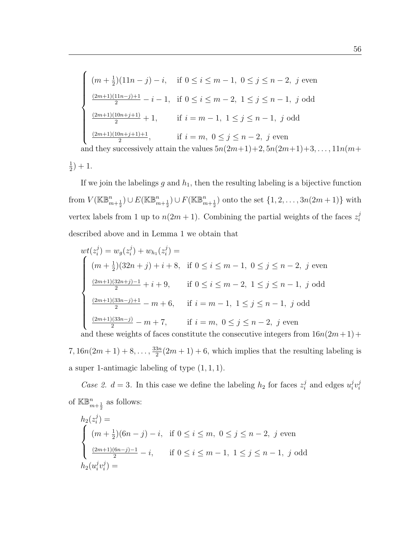$$
\begin{cases}\n(m + \frac{1}{2})(11n - j) - i, & \text{if } 0 \le i \le m - 1, 0 \le j \le n - 2, j \text{ even} \\
\frac{(2m+1)(11n - j) + 1}{2} - i - 1, & \text{if } 0 \le i \le m - 2, 1 \le j \le n - 1, j \text{ odd} \\
\frac{(2m+1)(10n + j + 1)}{2} + 1, & \text{if } i = m - 1, 1 \le j \le n - 1, j \text{ odd} \\
\frac{(2m+1)(10n + j + 1) + 1}{2}, & \text{if } i = m, 0 \le j \le n - 2, j \text{ even} \\
\text{and they successively attain the values } 5n(2m+1) + 2, 5n(2m+1) + 3, \dots, 11n(m+1) + 1, \dots, 11n(m+1) + 1, \dots, 11n(m+1) + 1, \dots, 11n(m+1) + 1, \dots, 11n(m+1) + 1, \dots, 11n(m+1) + 1, \dots, 11n(m+1) + 1, \dots, 11n(m+1) + 1, \dots, 11n(m+1) + 1, \dots, 11n(m+1) + 1, \dots, 11n(m+1) + 1, \dots, 11n(m+1) + 1, \dots, 11n(m+1) + 1, \dots, 11n(m+1) + 1, \dots, 11n(m+1) + 1, \dots, 11n(m+1) + 1, \dots, 11n(m+1) + 1, \dots, 11n(m+1) + 1, \dots, 11n(m+1) + 1, \dots, 11n(m+1) + 1, \dots, 11n(m+1) + 1, \dots, 11n(m+1) + 1, \dots, 11n(m+1) + 1, \dots, 11n(m+1) + 1, \dots, 11n(m+1) + 1, \dots, 11n(m+1) + 1, \dots, 11n(m+1) + 1, \dots, 11n(m+1) + 1, \dots, 11n(m+1) + 1, \dots, 11n(m+1) + 1, \dots, 11n(m+1) + 1, \dots, 11n(m+1) + 1, \dots, 11n(m+1)
$$

1  $(\frac{1}{2})+1.$ 

If we join the labelings  $g$  and  $h_1$ , then the resulting labeling is a bijective function from  $V(\mathbb{KB}_{m+\frac{1}{2}}^n) \cup E(\mathbb{KB}_{m+\frac{1}{2}}^n) \cup F(\mathbb{KB}_{m+\frac{1}{2}}^n)$  onto the set  $\{1, 2, ..., 3n(2m+1)\}$  with vertex labels from 1 up to  $n(2m+1)$ . Combining the partial weights of the faces  $z_i^j$ i described above and in Lemma 1 we obtain that

$$
wt(z_i^j) = w_g(z_i^j) + w_{h_1}(z_i^j) =
$$
\n
$$
\begin{cases}\n(m + \frac{1}{2})(32n + j) + i + 8, & \text{if } 0 \le i \le m - 1, 0 \le j \le n - 2, j \text{ even} \\
\frac{(2m+1)(32n+j)-1}{2} + i + 9, & \text{if } 0 \le i \le m - 2, 1 \le j \le n - 1, j \text{ odd} \\
\frac{(2m+1)(33n-j)+1}{2} - m + 6, & \text{if } i = m - 1, 1 \le j \le n - 1, j \text{ odd} \\
\frac{(2m+1)(33n-j)}{2} - m + 7, & \text{if } i = m, 0 \le j \le n - 2, j \text{ even} \\
\text{and these weights of faces constitute the consecutive integers from } 16n(2m+1)+\n\end{cases}
$$

 $7, 16n(2m+1)+8, \ldots, \frac{33n}{2}$  $\frac{3n}{2}(2m+1)+6$ , which implies that the resulting labeling is a super 1-antimagic labeling of type  $(1, 1, 1)$ .

Case 2.  $d = 3$ . In this case we define the labeling  $h_2$  for faces  $z_i^j$  $i$  and edges  $u_i^j$  $\frac{j}{i}v_i^j$ i of  $\mathbb{KB}_{m+\frac{1}{2}}^n$  as follows:

$$
h_2(z_i^j) =
$$
\n
$$
\begin{cases}\n(m + \frac{1}{2})(6n - j) - i, & \text{if } 0 \le i \le m, \ 0 \le j \le n - 2, \ j \text{ even} \\
\frac{(2m+1)(6n-j)-1}{2} - i, & \text{if } 0 \le i \le m - 1, \ 1 \le j \le n - 1, \ j \text{ odd}\n\end{cases}
$$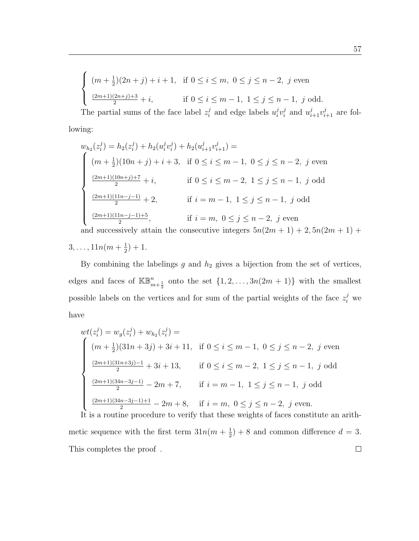$$
\begin{cases} (m + \frac{1}{2})(2n + j) + i + 1, & \text{if } 0 \le i \le m, \ 0 \le j \le n - 2, \ j \text{ even} \\ \frac{(2m+1)(2n+j)+3}{2} + i, & \text{if } 0 \le i \le m - 1, \ 1 \le j \le n - 1, \ j \text{ odd.} \end{cases}
$$

The partial sums of the face label  $z_i^j$  $i\atop i$  and edge labels  $u_i^j$  $i^{j}v_i^j$  $i$  and  $u_{i+1}^j v_{i+1}^j$  are following:

$$
w_{h_2}(z_i^j) = h_2(z_i^j) + h_2(u_i^j v_i^j) + h_2(u_{i+1}^j v_{i+1}^j) =
$$
\n
$$
\begin{cases}\n(m + \frac{1}{2})(10n + j) + i + 3, & \text{if } 0 \le i \le m - 1, 0 \le j \le n - 2, j \text{ even} \\
\frac{(2m+1)(10n+j)+7}{2} + i, & \text{if } 0 \le i \le m - 2, 1 \le j \le n - 1, j \text{ odd} \\
\frac{(2m+1)(11n-j-1)}{2} + 2, & \text{if } i = m - 1, 1 \le j \le n - 1, j \text{ odd} \\
\frac{(2m+1)(11n-j-1)+5}{2}, & \text{if } i = m, 0 \le j \le n - 2, j \text{ even}\n\end{cases}
$$

and successively attain the consecutive integers  $5n(2m + 1) + 2, 5n(2m + 1) +$ 

 $3, \ldots, 11n(m+\frac{1}{2})$  $(\frac{1}{2})+1.$ 

By combining the labelings  $g$  and  $h_2$  gives a bijection from the set of vertices, edges and faces of  $\mathbb{KB}_{m+\frac{1}{2}}^n$  onto the set  $\{1, 2, ..., 3n(2m + 1)\}\$  with the smallest possible labels on the vertices and for sum of the partial weights of the face  $z_i^j$  we have

$$
wt(z_i^j) = w_g(z_i^j) + w_{h_2}(z_i^j) =
$$
\n
$$
\begin{cases}\n(m + \frac{1}{2})(31n + 3j) + 3i + 11, & \text{if } 0 \le i \le m - 1, 0 \le j \le n - 2, j \text{ even} \\
\frac{(2m+1)(31n+3j)-1}{2} + 3i + 13, & \text{if } 0 \le i \le m - 2, 1 \le j \le n - 1, j \text{ odd} \\
\frac{(2m+1)(34n-3j-1)}{2} - 2m + 7, & \text{if } i = m - 1, 1 \le j \le n - 1, j \text{ odd} \\
\frac{(2m+1)(34n-3j-1)+1}{2} - 2m + 8, & \text{if } i = m, 0 \le j \le n - 2, j \text{ even.} \\
\end{cases}
$$

It is a routine procedure to verify that these weights of faces constitute an arithmetic sequence with the first term  $31n(m + \frac{1}{2})$  $(\frac{1}{2}) + 8$  and common difference  $d = 3$ . This completes the proof.  $\Box$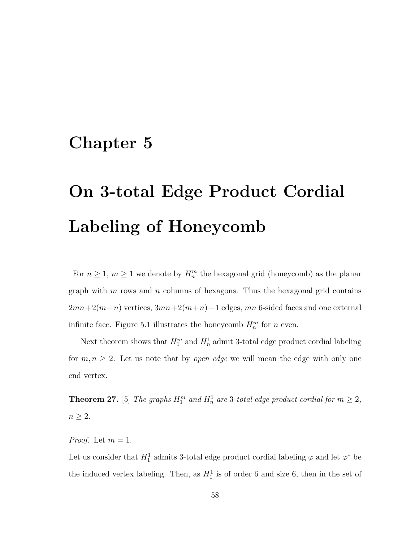#### Chapter 5

# On 3-total Edge Product Cordial Labeling of Honeycomb

For  $n \geq 1$ ,  $m \geq 1$  we denote by  $H_n^m$  the hexagonal grid (honeycomb) as the planar graph with  $m$  rows and  $n$  columns of hexagons. Thus the hexagonal grid contains  $2mn+2(m+n)$  vertices,  $3mn+2(m+n)-1$  edges,  $mn$  6-sided faces and one external infinite face. Figure 5.1 illustrates the honeycomb  $H_n^m$  for n even.

Next theorem shows that  $H_1^m$  and  $H_n^1$  admit 3-total edge product cordial labeling for  $m, n \geq 2$ . Let us note that by *open edge* we will mean the edge with only one end vertex.

**Theorem 27.** [5] The graphs  $H_1^m$  and  $H_n^1$  are 3-total edge product cordial for  $m \geq 2$ ,  $n \geq 2$ .

*Proof.* Let  $m = 1$ .

Let us consider that  $H_1^1$  admits 3-total edge product cordial labeling  $\varphi$  and let  $\varphi^*$  be the induced vertex labeling. Then, as  $H_1^1$  is of order 6 and size 6, then in the set of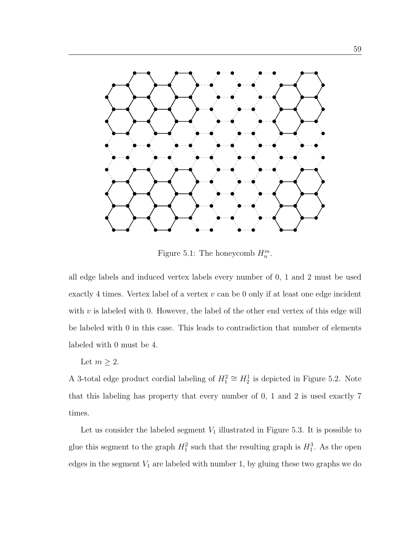

Figure 5.1: The honeycomb  $H_n^m$ .

all edge labels and induced vertex labels every number of 0, 1 and 2 must be used exactly 4 times. Vertex label of a vertex  $v$  can be 0 only if at least one edge incident with  $v$  is labeled with 0. However, the label of the other end vertex of this edge will be labeled with 0 in this case. This leads to contradiction that number of elements labeled with 0 must be 4.

Let  $m \geq 2$ .

A 3-total edge product cordial labeling of  $H_1^2 \cong H_2^1$  is depicted in Figure 5.2. Note that this labeling has property that every number of 0, 1 and 2 is used exactly 7 times.

Let us consider the labeled segment  $V_1$  illustrated in Figure 5.3. It is possible to glue this segment to the graph  $H_1^2$  such that the resulting graph is  $H_1^3$ . As the open edges in the segment  $V_1$  are labeled with number 1, by gluing these two graphs we do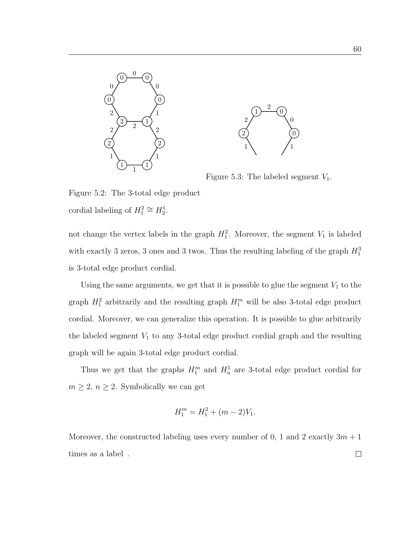



Figure 5.3: The labeled segment  $V_1$ .

Figure 5.2: The 3-total edge product cordial labeling of  $H_1^2 \cong H_2^1$ .

not change the vertex labels in the graph  $H_1^2$ . Moreover, the segment  $V_1$  is labeled with exactly 3 zeros, 3 ones and 3 twos. Thus the resulting labeling of the graph  $H_1^3$ is 3-total edge product cordial.

Using the same arguments, we get that it is possible to glue the segment  $V_1$  to the graph  $H_1^2$  arbitrarily and the resulting graph  $H_1^m$  will be also 3-total edge product cordial. Moreover, we can generalize this operation. It is possible to glue arbitrarily the labeled segment  $V_1$  to any 3-total edge product cordial graph and the resulting graph will be again 3-total edge product cordial.

Thus we get that the graphs  $H_1^m$  and  $H_n^1$  are 3-total edge product cordial for  $m\geq 2,$   $n\geq 2.$  Symbolically we can get

$$
H_1^m = H_1^2 + (m-2)V_1.
$$

Moreover, the constructed labeling uses every number of 0, 1 and 2 exactly  $3m + 1$ times as a label.  $\Box$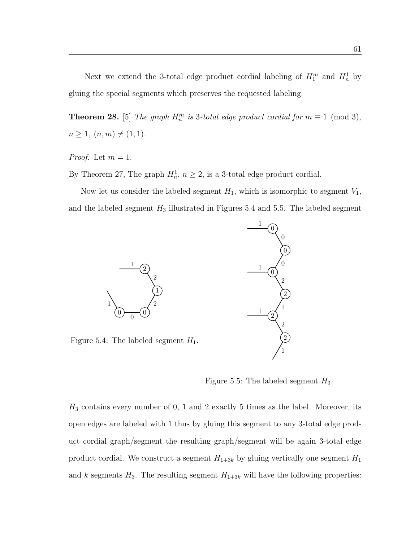Next we extend the 3-total edge product cordial labeling of  $H_1^m$  and  $H_n^1$  by gluing the special segments which preserves the requested labeling.

**Theorem 28.** [5] The graph  $H_n^m$  is 3-total edge product cordial for  $m \equiv 1 \pmod{3}$ ,  $n \geq 1, (n, m) \neq (1, 1).$ 

*Proof.* Let  $m = 1$ .

By Theorem 27, The graph  $H_n^1$ ,  $n \ge 2$ , is a 3-total edge product cordial.

Now let us consider the labeled segment  $H_1$ , which is isomorphic to segment  $V_1$ , and the labeled segment  $H_3$  illustrated in Figures 5.4 and 5.5. The labeled segment



Figure 5.4: The labeled segment  $H_1$ .

1

Figure 5.5: The labeled segment  $H_3$ .

1

 $H_3$  contains every number of 0, 1 and 2 exactly 5 times as the label. Moreover, its open edges are labeled with 1 thus by gluing this segment to any 3-total edge product cordial graph/segment the resulting graph/segment will be again 3-total edge product cordial. We construct a segment  $H_{1+3k}$  by gluing vertically one segment  $H_1$ and k segments  $H_3$ . The resulting segment  $H_{1+3k}$  will have the following properties: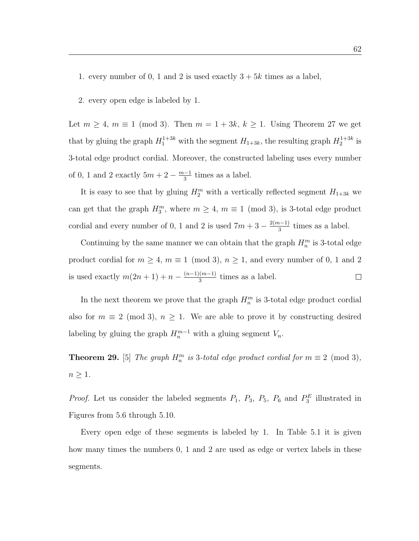1. every number of 0, 1 and 2 is used exactly  $3 + 5k$  times as a label,

2. every open edge is labeled by 1.

Let  $m \ge 4$ ,  $m \equiv 1 \pmod{3}$ . Then  $m = 1 + 3k$ ,  $k \ge 1$ . Using Theorem 27 we get that by gluing the graph  $H_1^{1+3k}$  with the segment  $H_{1+3k}$ , the resulting graph  $H_2^{1+3k}$  is 3-total edge product cordial. Moreover, the constructed labeling uses every number of 0, 1 and 2 exactly  $5m + 2 - \frac{m-1}{3}$  $\frac{a-1}{3}$  times as a label.

It is easy to see that by gluing  $H_2^m$  with a vertically reflected segment  $H_{1+3k}$  we can get that the graph  $H_3^m$ , where  $m \geq 4$ ,  $m \equiv 1 \pmod{3}$ , is 3-total edge product cordial and every number of 0, 1 and 2 is used  $7m + 3 - \frac{2(m-1)}{3}$  $\frac{1}{3}$  times as a label.

Continuing by the same manner we can obtain that the graph  $H_n^m$  is 3-total edge product cordial for  $m \ge 4$ ,  $m \equiv 1 \pmod{3}$ ,  $n \ge 1$ , and every number of 0, 1 and 2 is used exactly  $m(2n + 1) + n - \frac{(n-1)(m-1)}{3}$  $\frac{(m-1)}{3}$  times as a label.  $\Box$ 

In the next theorem we prove that the graph  $H_n^m$  is 3-total edge product cordial also for  $m \equiv 2 \pmod{3}$ ,  $n \ge 1$ . We are able to prove it by constructing desired labeling by gluing the graph  $H_n^{m-1}$  with a gluing segment  $V_n$ .

**Theorem 29.** [5] The graph  $H_n^m$  is 3-total edge product cordial for  $m \equiv 2 \pmod{3}$ ,  $n \geq 1$ .

*Proof.* Let us consider the labeled segments  $P_1$ ,  $P_3$ ,  $P_5$ ,  $P_6$  and  $P_3^E$  illustrated in Figures from 5.6 through 5.10.

Every open edge of these segments is labeled by 1. In Table 5.1 it is given how many times the numbers 0, 1 and 2 are used as edge or vertex labels in these segments.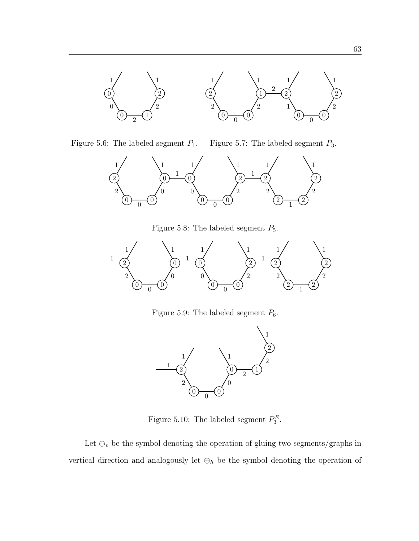

Figure 5.6: The labeled segment  $P_{\rm 1}.$ 

Figure 5.7: The labeled segment  $P_3$ .



Figure 5.8: The labeled segment  $P_5.$ 



Figure 5.9: The labeled segment  $P_6$ .



Figure 5.10: The labeled segment  $P_3^E$ .

Let  $\oplus_v$  be the symbol denoting the operation of gluing two segments/graphs in vertical direction and analogously let  $\oplus_h$  be the symbol denoting the operation of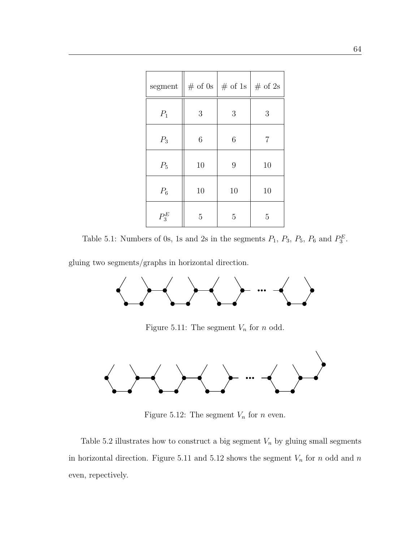| segment |                | $\#$ of 0s   $\#$ of 1s   $\#$ of 2s |    |
|---------|----------------|--------------------------------------|----|
| $P_1$   | 3              | 3                                    | 3  |
| $P_3$   | 6              | 6                                    | 7  |
| $P_5$   | 10             | 9                                    | 10 |
| $P_6$   | 10             | 10                                   | 10 |
| $P_3^E$ | $\overline{5}$ | 5                                    | 5  |

Table 5.1: Numbers of 0s, 1s and 2s in the segments  $P_1$ ,  $P_3$ ,  $P_5$ ,  $P_6$  and  $P_3^E$ .

gluing two segments/graphs in horizontal direction.



Figure 5.11: The segment  $V_n$  for  $n$  odd.



Figure 5.12: The segment  $V_n$  for  $n$  even.

Table 5.2 illustrates how to construct a big segment  $V_n$  by gluing small segments in horizontal direction. Figure 5.11 and 5.12 shows the segment  $V_n$  for n odd and n even, repectively.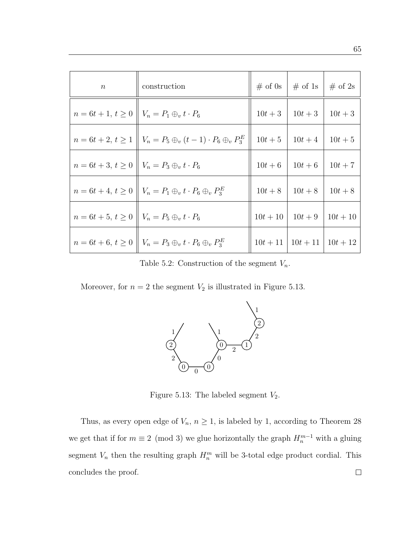| $\boldsymbol{n}$                                               | construction                                                                        |                  | # of 0s   # of 1s       | $\#$ of 2s |
|----------------------------------------------------------------|-------------------------------------------------------------------------------------|------------------|-------------------------|------------|
| $n = 6t + 1, t \ge 0 \parallel V_n = P_1 \oplus_v t \cdot P_6$ |                                                                                     |                  | $10t+3$   $10t+3$       | $10t + 3$  |
|                                                                | $n = 6t + 2, t \ge 1 \parallel V_n = P_5 \oplus_v (t - 1) \cdot P_6 \oplus_v P_3^E$ |                  | $10t+5$   $10t+4$       | $10t + 5$  |
| $n = 6t + 3, t \ge 0 \parallel V_n = P_3 \oplus_r t \cdot P_6$ |                                                                                     |                  | $10t+6$   $10t+6$       | $10t + 7$  |
|                                                                | $n = 6t + 4, t \ge 0 \parallel V_n = P_1 \oplus_v t \cdot P_6 \oplus_v P_3^E$       |                  | $10t+8$   $10t+8$       | $10t + 8$  |
| $n = 6t + 5, t \ge 0 \parallel V_n = P_5 \oplus_v t \cdot P_6$ |                                                                                     | $10t+10$ 10t + 9 |                         | $10t + 10$ |
|                                                                | $n = 6t + 6, t \ge 0$ $\parallel V_n = P_3 \oplus_v t \cdot P_6 \oplus_v P_3^E$     |                  | $10t + 11$   $10t + 11$ | $10t + 12$ |

Table 5.2: Construction of the segment  $V_n$ .

Moreover, for  $n = 2$  the segment  $V_2$  is illustrated in Figure 5.13.



Figure 5.13: The labeled segment  $V_2$ .

Thus, as every open edge of  $V_n$ ,  $n \geq 1$ , is labeled by 1, according to Theorem 28 we get that if for  $m \equiv 2 \pmod{3}$  we glue horizontally the graph  $H_n^{m-1}$  with a gluing segment  $V_n$  then the resulting graph  $H_n^m$  will be 3-total edge product cordial. This concludes the proof. $\Box$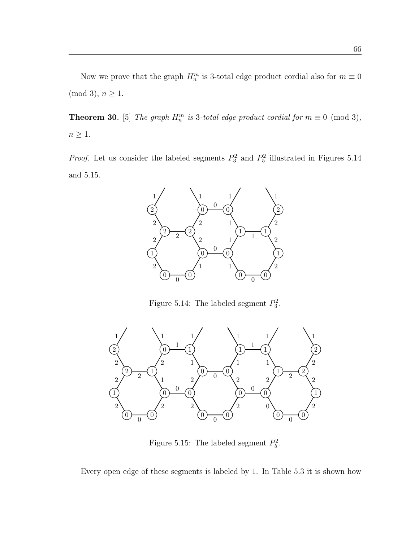Now we prove that the graph  $H_n^m$  is 3-total edge product cordial also for  $m \equiv 0$  $(mod 3), n \geq 1.$ 

**Theorem 30.** [5] The graph  $H_n^m$  is 3-total edge product cordial for  $m \equiv 0 \pmod{3}$ ,  $n\geq 1.$ 

*Proof.* Let us consider the labeled segments  $P_3^2$  and  $P_5^2$  illustrated in Figures 5.14 and 5.15.



Figure 5.14: The labeled segment  $P_3^2$ .



Figure 5.15: The labeled segment  $P_5^2$ .

Every open edge of these segments is labeled by 1. In Table 5.3 it is shown how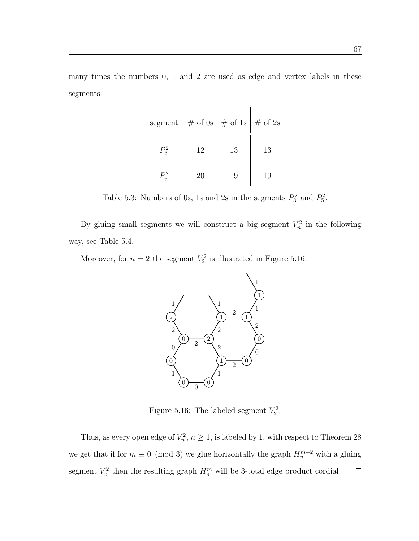many times the numbers 0, 1 and 2 are used as edge and vertex labels in these segments.

| segment | $\parallel \#$ of 0s $\parallel \#$ of 1s $\parallel \#$ of 2s |    |    |
|---------|----------------------------------------------------------------|----|----|
| $P_3^2$ | 12                                                             | 13 | 13 |
| $P_5^2$ | 20                                                             | 19 | 19 |

Table 5.3: Numbers of 0s, 1s and 2s in the segments  $P_3^2$  and  $P_5^2$ .

By gluing small segments we will construct a big segment  $V_n^2$  in the following way, see Table 5.4.

Moreover, for  $n = 2$  the segment  $V_2^2$  is illustrated in Figure 5.16.



Figure 5.16: The labeled segment  $V_2^2$ .

Thus, as every open edge of  $V_n^2$ ,  $n \geq 1$ , is labeled by 1, with respect to Theorem 28 we get that if for  $m \equiv 0 \pmod{3}$  we glue horizontally the graph  $H_n^{m-2}$  with a gluing segment  $V_n^2$  then the resulting graph  $H_n^m$  will be 3-total edge product cordial.  $\Box$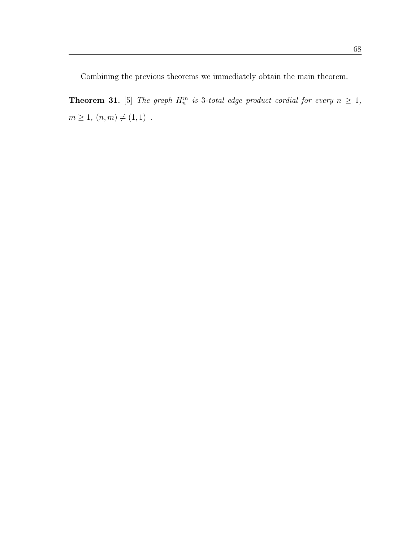Combining the previous theorems we immediately obtain the main theorem.

**Theorem 31.** [5] The graph  $H_n^m$  is 3-total edge product cordial for every  $n \geq 1$ ,  $m \ge 1, (n, m) \ne (1, 1)$ .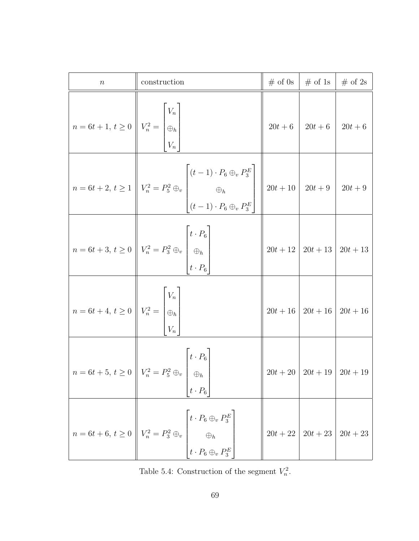| $\, n$                                                                                                                                                        | construction                                                                                                                                                                                                        | $\#$ of 0s | $\#$ of 1s   $\#$ of 2s              |            |
|---------------------------------------------------------------------------------------------------------------------------------------------------------------|---------------------------------------------------------------------------------------------------------------------------------------------------------------------------------------------------------------------|------------|--------------------------------------|------------|
| $n = 6t + 1, t \ge 0$ $V_n^2 =$ $\begin{bmatrix} V_n \\ \oplus_h \\ V_n \end{bmatrix}$                                                                        |                                                                                                                                                                                                                     |            | $20t+6$   $20t+6$                    | $20t + 6$  |
|                                                                                                                                                               | $n = 6t + 2, t \ge 1$ $V_n^2 = P_5^2 \oplus_v$ $\begin{bmatrix} (t - 1) \cdot P_6 \oplus_v P_3^E \\ \oplus_h \\ (t - 1) \cdot P_6 \oplus_v P_3^E \end{bmatrix}$ $\begin{bmatrix} 20t + 10 \\ 20t + 9 \end{bmatrix}$ |            |                                      | $20t + 9$  |
|                                                                                                                                                               | $n = 6t + 3, t \ge 0$ $V_n^2 = P_3^2 \oplus_v \begin{bmatrix} t \cdot P_6 \\ \oplus_h \\ t \cdot P_6 \end{bmatrix}$                                                                                                 |            | $20t+12$   $20t+13$   $20t+13$       |            |
| $\label{eq:1D1V2} n = 6t + 4, \, t \geq 0 \,\,\left\ \begin{array}{c} V_n \\ V_n^2 = \begin{bmatrix} V_n \\ \oplus_h \\ V_n \end{bmatrix} \end{array}\right.$ |                                                                                                                                                                                                                     |            | $20t+16$   $20t+16$   $20t+16$       |            |
|                                                                                                                                                               | $\left\  n = 6t + 5, t \ge 0 \right\  V_n^2 = P_5^2 \oplus_v \left[ t \cdot P_6 \right]$<br>$t\cdot P_6$                                                                                                            |            | $20t + 20$   $20t + 19$   $20t + 19$ |            |
| $n = 6t + 6, t \ge 0$ $\left  V_n^2 = P_3^2 \oplus_v \right $                                                                                                 | $\left  t\cdot P_6\oplus_v P_3^E \right $<br>$\begin{array}{c} \Bigg\vert \ \oplus_h \ t \cdot P_6 \oplus_v P_3^E \end{array}$                                                                                      |            | $20t+22$   $20t+23$                  | $20t + 23$ |

Table 5.4: Construction of the segment  $V_n^2$ .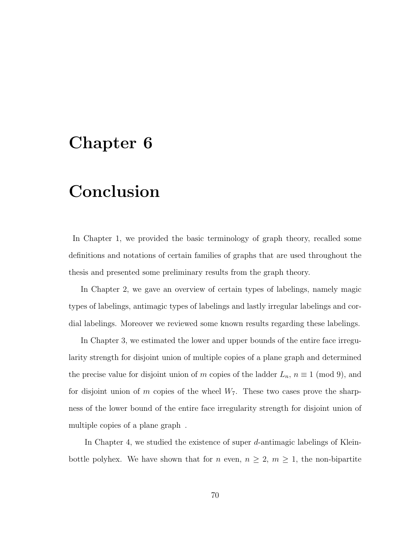#### Chapter 6

#### Conclusion

In Chapter 1, we provided the basic terminology of graph theory, recalled some definitions and notations of certain families of graphs that are used throughout the thesis and presented some preliminary results from the graph theory.

In Chapter 2, we gave an overview of certain types of labelings, namely magic types of labelings, antimagic types of labelings and lastly irregular labelings and cordial labelings. Moreover we reviewed some known results regarding these labelings.

In Chapter 3, we estimated the lower and upper bounds of the entire face irregularity strength for disjoint union of multiple copies of a plane graph and determined the precise value for disjoint union of m copies of the ladder  $L_n$ ,  $n \equiv 1 \pmod{9}$ , and for disjoint union of m copies of the wheel  $W_7$ . These two cases prove the sharpness of the lower bound of the entire face irregularity strength for disjoint union of multiple copies of a plane graph.

In Chapter 4, we studied the existence of super  $d$ -antimagic labelings of Kleinbottle polyhex. We have shown that for n even,  $n \geq 2$ ,  $m \geq 1$ , the non-bipartite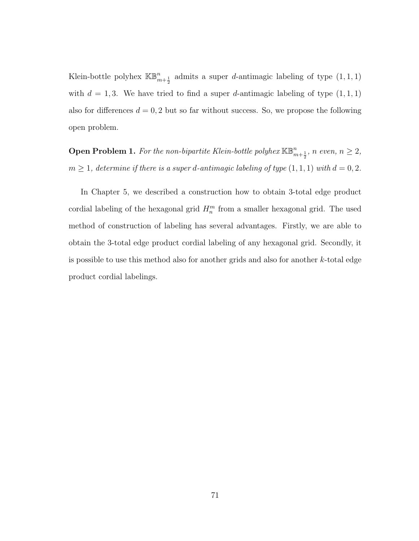Klein-bottle polyhex  $\mathbb{KB}_{m+\frac{1}{2}}^n$  admits a super *d*-antimagic labeling of type  $(1,1,1)$ with  $d = 1, 3$ . We have tried to find a super d-antimagic labeling of type  $(1, 1, 1)$ also for differences  $d = 0, 2$  but so far without success. So, we propose the following open problem.

**Open Problem 1.** For the non-bipartite Klein-bottle polyhex  $\mathbb{KB}_{m+\frac{1}{2}}^n$ , n even,  $n \geq 2$ ,  $m \geq 1$ , determine if there is a super d-antimagic labeling of type  $(1, 1, 1)$  with  $d = 0, 2$ .

In Chapter 5, we described a construction how to obtain 3-total edge product cordial labeling of the hexagonal grid  $H_n^m$  from a smaller hexagonal grid. The used method of construction of labeling has several advantages. Firstly, we are able to obtain the 3-total edge product cordial labeling of any hexagonal grid. Secondly, it is possible to use this method also for another grids and also for another  $k$ -total edge product cordial labelings."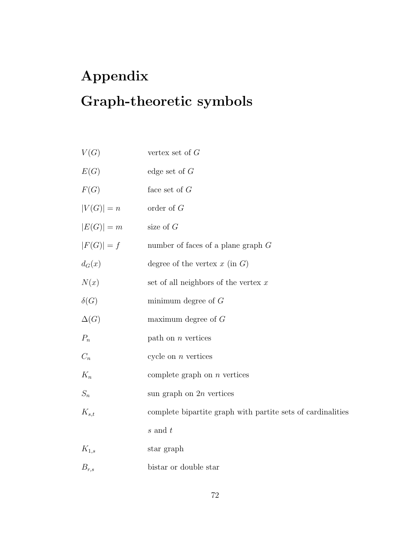## Appendix Graph-theoretic symbols

| V(G)        | vertex set of $G$                                           |
|-------------|-------------------------------------------------------------|
| E(G)        | edge set of $G$                                             |
| F(G)        | face set of $G$                                             |
| $ V(G) =n$  | order of $G$                                                |
| $ E(G) =m$  | size of $G$                                                 |
| $ F(G) =f$  | number of faces of a plane graph $G$                        |
| $d_G(x)$    | degree of the vertex $x$ (in $G$ )                          |
| N(x)        | set of all neighbors of the vertex $x$                      |
| $\delta(G)$ | minimum degree of $G$                                       |
| $\Delta(G)$ | maximum degree of $G$                                       |
| $P_n$       | path on $n$ vertices                                        |
| $C_n$       | cycle on $n$ vertices                                       |
| $K_n$       | complete graph on $n$ vertices                              |
| $S_n$       | sun graph on $2n$ vertices                                  |
| $K_{s,t}$   | complete bipartite graph with partite sets of cardinalities |
|             | $s$ and $t$                                                 |
| $K_{1,s}$   | star graph                                                  |
| $B_{r,s}$   | bistar or double star                                       |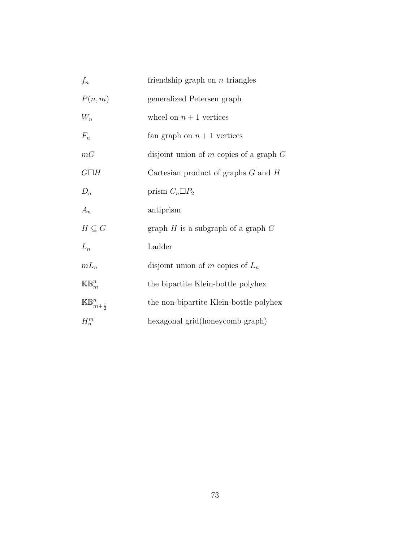| $f_n$                             | friendship graph on $n$ triangles           |
|-----------------------------------|---------------------------------------------|
| P(n,m)                            | generalized Petersen graph                  |
| $W_n$                             | wheel on $n+1$ vertices                     |
| $F_n$                             | fan graph on $n+1$ vertices                 |
| mG                                | disjoint union of $m$ copies of a graph $G$ |
| $G\Box H$                         | Cartesian product of graphs $G$ and $H$     |
| $D_n$                             | prism $C_n \Box P_2$                        |
| $A_n$                             | antiprism                                   |
| $H \subseteq G$                   | graph $H$ is a subgraph of a graph $G$      |
| $L_n$                             | Ladder                                      |
| $mL_n$                            | disjoint union of m copies of $L_n$         |
| $\mathbb{KB}_m^n$                 | the bipartite Klein-bottle polyhex          |
| $\mathbb{KB}_{m+\frac{1}{2}}^{n}$ | the non-bipartite Klein-bottle polyhex      |
| $H_n^m$                           | hexagonal grid(honeycomb graph)             |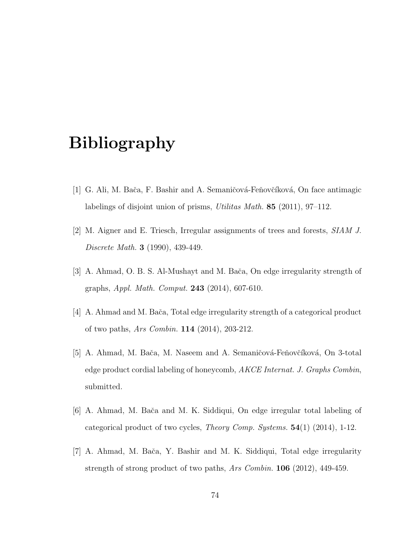### Bibliography

- [1] G. Ali, M. Bača, F. Bashir and A. Semaničová-Feňovčíková, On face antimagic labelings of disjoint union of prisms, Utilitas Math. 85 (2011), 97–112.
- [2] M. Aigner and E. Triesch, Irregular assignments of trees and forests, SIAM J. Discrete Math. 3 (1990), 439-449.
- [3] A. Ahmad, O. B. S. Al-Mushayt and M. Bača, On edge irregularity strength of graphs, Appl. Math. Comput. 243 (2014), 607-610.
- [4] A. Ahmad and M. Baˇca, Total edge irregularity strength of a categorical product of two paths, Ars Combin. 114 (2014), 203-212.
- [5] A. Ahmad, M. Bača, M. Naseem and A. Semaničová-Feňovčíková, On 3-total edge product cordial labeling of honeycomb, AKCE Internat. J. Graphs Combin, submitted.
- [6] A. Ahmad, M. Baˇca and M. K. Siddiqui, On edge irregular total labeling of categorical product of two cycles, *Theory Comp. Systems.*  $54(1)$  (2014), 1-12.
- [7] A. Ahmad, M. Baˇca, Y. Bashir and M. K. Siddiqui, Total edge irregularity strength of strong product of two paths, Ars Combin. 106 (2012), 449-459.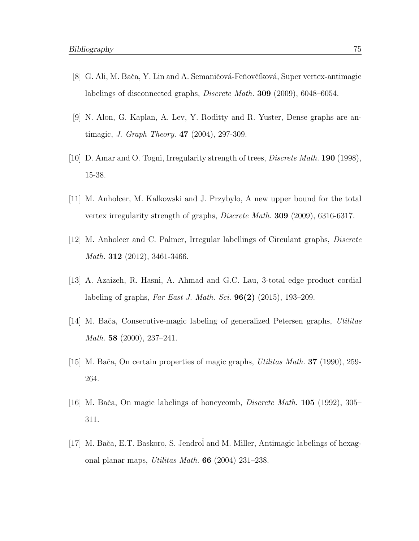- [8] G. Ali, M. Bača, Y. Lin and A. Semaničová-Feňovčíková, Super vertex-antimagic labelings of disconnected graphs, Discrete Math. 309 (2009), 6048–6054.
- [9] N. Alon, G. Kaplan, A. Lev, Y. Roditty and R. Yuster, Dense graphs are antimagic, J. Graph Theory. 47 (2004), 297-309.
- [10] D. Amar and O. Togni, Irregularity strength of trees, Discrete Math. 190 (1998), 15-38.
- [11] M. Anholcer, M. Kalkowski and J. Przybylo, A new upper bound for the total vertex irregularity strength of graphs, Discrete Math. 309 (2009), 6316-6317.
- [12] M. Anholcer and C. Palmer, Irregular labellings of Circulant graphs, Discrete Math. 312 (2012), 3461-3466.
- [13] A. Azaizeh, R. Hasni, A. Ahmad and G.C. Lau, 3-total edge product cordial labeling of graphs, Far East J. Math. Sci.  $96(2)$  (2015), 193–209.
- [14] M. Bača, Consecutive-magic labeling of generalized Petersen graphs, Utilitas Math. 58 (2000), 237–241.
- [15] M. Baˇca, On certain properties of magic graphs, Utilitas Math. 37 (1990), 259- 264.
- [16] M. Baˇca, On magic labelings of honeycomb, Discrete Math. 105 (1992), 305– 311.
- [17] M. Bača, E.T. Baskoro, S. Jendrol and M. Miller, Antimagic labelings of hexagonal planar maps, Utilitas Math. 66 (2004) 231–238.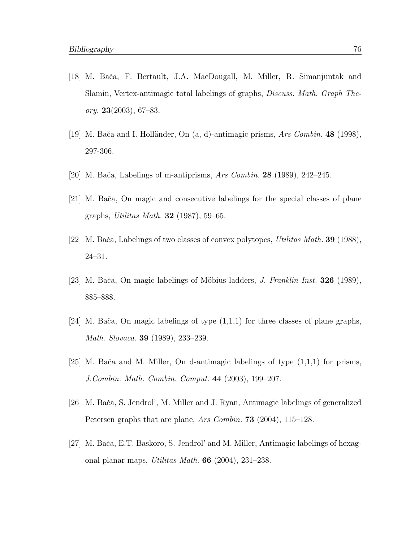- [18] M. Baˇca, F. Bertault, J.A. MacDougall, M. Miller, R. Simanjuntak and Slamin, Vertex-antimagic total labelings of graphs, Discuss. Math. Graph Theory.  $23(2003)$ , 67–83.
- [19] M. Bača and I. Holländer, On  $(a, d)$ -antimagic prisms, Ars Combin. 48 (1998), 297-306.
- [20] M. Bača, Labelings of m-antiprisms, Ars Combin.  $28$  (1989), 242–245.
- [21] M. Baˇca, On magic and consecutive labelings for the special classes of plane graphs, Utilitas Math. 32 (1987), 59–65.
- [22] M. Bača, Labelings of two classes of convex polytopes, *Utilitas Math.* **39** (1988), 24–31.
- [23] M. Bača, On magic labelings of Möbius ladders, *J. Franklin Inst.* **326** (1989), 885–888.
- [24] M. Bača, On magic labelings of type  $(1,1,1)$  for three classes of plane graphs, Math. Slovaca. 39 (1989), 233–239.
- [25] M. Bača and M. Miller, On d-antimagic labelings of type  $(1,1,1)$  for prisms, J.Combin. Math. Combin. Comput. 44 (2003), 199–207.
- [26] M. Baˇca, S. Jendrol', M. Miller and J. Ryan, Antimagic labelings of generalized Petersen graphs that are plane, Ars Combin. **73** (2004), 115–128.
- [27] M. Baˇca, E.T. Baskoro, S. Jendrol' and M. Miller, Antimagic labelings of hexagonal planar maps, Utilitas Math. 66 (2004), 231–238.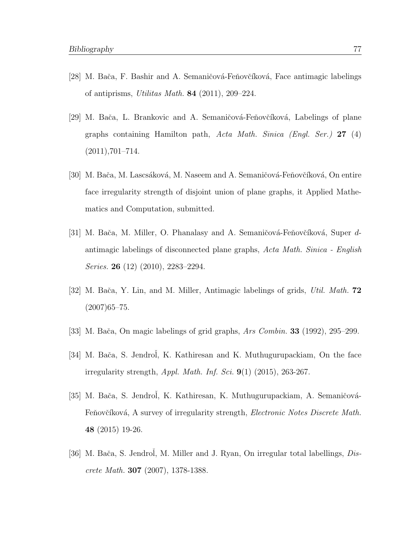- [28] M. Bača, F. Bashir and A. Semaničová-Feňovčíková, Face antimagic labelings of antiprisms, Utilitas Math.  $84$  (2011), 209–224.
- [29] M. Bača, L. Brankovic and A. Semaničová-Feňovčíková, Labelings of plane graphs containing Hamilton path, Acta Math. Sinica (Engl. Ser.) 27 (4)  $(2011),701-714.$
- [30] M. Bača, M. Lascsáková, M. Naseem and A. Semaničová-Feňovčíková, On entire face irregularity strength of disjoint union of plane graphs, it Applied Mathematics and Computation, submitted.
- [31] M. Bača, M. Miller, O. Phanalasy and A. Semaničová-Feňovčíková, Super dantimagic labelings of disconnected plane graphs, Acta Math. Sinica - English Series. **26** (12) (2010), 2283–2294.
- [32] M. Bača, Y. Lin, and M. Miller, Antimagic labelings of grids, Util. Math. **72**  $(2007)65 - 75.$
- [33] M. Bača, On magic labelings of grid graphs, Ars Combin. **33** (1992), 295–299.
- [34] M. Bača, S. Jendrol, K. Kathiresan and K. Muthugurupackiam, On the face irregularity strength, *Appl. Math. Inf. Sci.*  $9(1)$   $(2015)$ ,  $263-267$ .
- [35] M. Bača, S. Jendrol, K. Kathiresan, K. Muthugurupackiam, A. Semaničová-Feňovčíková, A survey of irregularity strength, Electronic Notes Discrete Math. 48 (2015) 19-26.
- [36] M. Bača, S. Jendrol, M. Miller and J. Ryan, On irregular total labellings,  $Dis$ crete Math. 307 (2007), 1378-1388.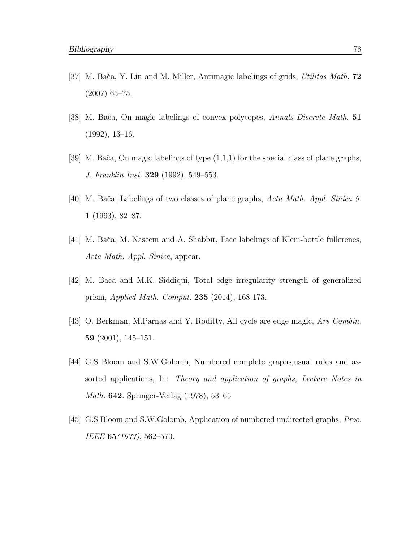- [37] M. Bača, Y. Lin and M. Miller, Antimagic labelings of grids, Utilitas Math. **72** (2007) 65–75.
- [38] M. Bača, On magic labelings of convex polytopes, Annals Discrete Math. 51 (1992), 13–16.
- [39] M. Bača, On magic labelings of type  $(1,1,1)$  for the special class of plane graphs, J. Franklin Inst. 329 (1992), 549–553.
- [40] M. Bača, Labelings of two classes of plane graphs, Acta Math. Appl. Sinica 9. 1 (1993), 82–87.
- [41] M. Baˇca, M. Naseem and A. Shabbir, Face labelings of Klein-bottle fullerenes, Acta Math. Appl. Sinica, appear.
- [42] M. Baˇca and M.K. Siddiqui, Total edge irregularity strength of generalized prism, Applied Math. Comput. 235 (2014), 168-173.
- [43] O. Berkman, M.Parnas and Y. Roditty, All cycle are edge magic, Ars Combin. 59 (2001), 145–151.
- [44] G.S Bloom and S.W.Golomb, Numbered complete graphs,usual rules and assorted applications, In: Theory and application of graphs, Lecture Notes in Math. 642. Springer-Verlag (1978), 53–65
- [45] G.S Bloom and S.W.Golomb, Application of numbered undirected graphs, Proc. IEEE **65** (1977), 562–570.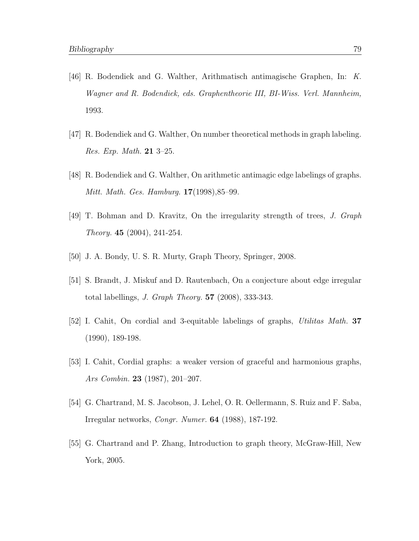- [46] R. Bodendiek and G. Walther, Arithmatisch antimagische Graphen, In: K. Wagner and R. Bodendiek, eds. Graphentheorie III, BI-Wiss. Verl. Mannheim, 1993.
- [47] R. Bodendiek and G. Walther, On number theoretical methods in graph labeling. Res. Exp. Math. 21 3–25.
- [48] R. Bodendiek and G. Walther, On arithmetic antimagic edge labelings of graphs. Mitt. Math. Ges. Hamburg. 17(1998),85–99.
- [49] T. Bohman and D. Kravitz, On the irregularity strength of trees, J. Graph Theory. 45 (2004), 241-254.
- [50] J. A. Bondy, U. S. R. Murty, Graph Theory, Springer, 2008.
- [51] S. Brandt, J. Miskuf and D. Rautenbach, On a conjecture about edge irregular total labellings, *J. Graph Theory.*  $57$  (2008), 333-343.
- [52] I. Cahit, On cordial and 3-equitable labelings of graphs, Utilitas Math. 37 (1990), 189-198.
- [53] I. Cahit, Cordial graphs: a weaker version of graceful and harmonious graphs, Ars Combin. 23 (1987), 201–207.
- [54] G. Chartrand, M. S. Jacobson, J. Lehel, O. R. Oellermann, S. Ruiz and F. Saba, Irregular networks, Congr. Numer. 64 (1988), 187-192.
- [55] G. Chartrand and P. Zhang, Introduction to graph theory, McGraw-Hill, New York, 2005.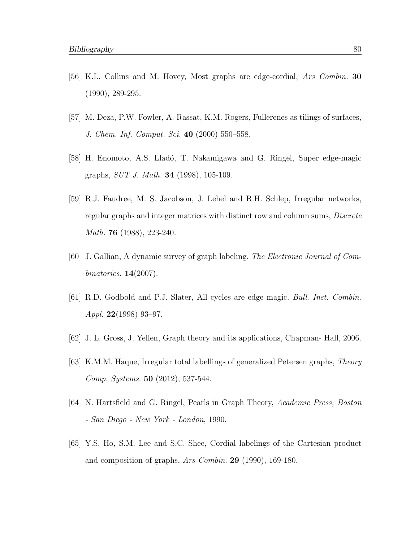- [56] K.L. Collins and M. Hovey, Most graphs are edge-cordial, Ars Combin. 30 (1990), 289-295.
- [57] M. Deza, P.W. Fowler, A. Rassat, K.M. Rogers, Fullerenes as tilings of surfaces, J. Chem. Inf. Comput. Sci. 40 (2000) 550–558.
- [58] H. Enomoto, A.S. Lladó, T. Nakamigawa and G. Ringel, Super edge-magic graphs, SUT J. Math. 34 (1998), 105-109.
- [59] R.J. Faudree, M. S. Jacobson, J. Lehel and R.H. Schlep, Irregular networks, regular graphs and integer matrices with distinct row and column sums, Discrete Math. **76** (1988), 223-240.
- [60] J. Gallian, A dynamic survey of graph labeling. The Electronic Journal of Combinatorics. 14(2007).
- [61] R.D. Godbold and P.J. Slater, All cycles are edge magic. Bull. Inst. Combin. Appl. 22(1998) 93–97.
- [62] J. L. Gross, J. Yellen, Graph theory and its applications, Chapman- Hall, 2006.
- [63] K.M.M. Haque, Irregular total labellings of generalized Petersen graphs, Theory Comp. Systems. 50 (2012), 537-544.
- [64] N. Hartsfield and G. Ringel, Pearls in Graph Theory, Academic Press, Boston - San Diego - New York - London, 1990.
- [65] Y.S. Ho, S.M. Lee and S.C. Shee, Cordial labelings of the Cartesian product and composition of graphs, Ars Combin. 29 (1990), 169-180.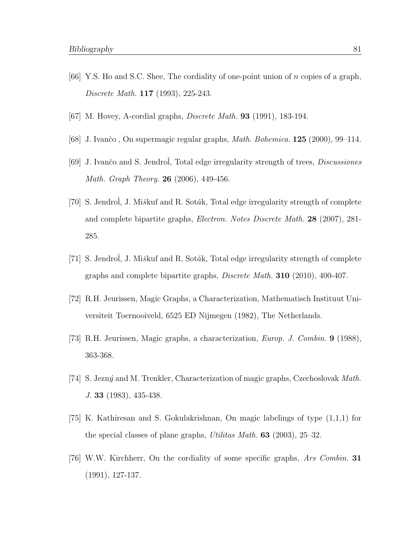- [66] Y.S. Ho and S.C. Shee, The cordiality of one-point union of n copies of a graph, Discrete Math. 117 (1993), 225-243.
- [67] M. Hovey, A-cordial graphs, *Discrete Math.* **93** (1991), 183-194.
- [68] J. Ivančo, On supermagic regular graphs, *Math. Bohemica.* **125** (2000), 99–114.
- [69] J. Ivančo and S. Jendrol, Total edge irregularity strength of trees, *Discussiones* Math. Graph Theory. 26 (2006), 449-456.
- [70] S. Jendrol, J. Miškuf and R. Soták, Total edge irregularity strength of complete and complete bipartite graphs, Electron. Notes Discrete Math. 28 (2007), 281- 285.
- [71] S. Jendrol, J. Miškuf and R. Soták, Total edge irregularity strength of complete graphs and complete bipartite graphs, Discrete Math. 310 (2010), 400-407.
- [72] R.H. Jeurissen, Magic Graphs, a Characterization, Mathematisch Instituut Universiteit Toernooiveld, 6525 ED Nijmegen (1982), The Netherlands.
- [73] R.H. Jeurissen, Magic graphs, a characterization, Europ. J. Combin. 9 (1988), 363-368.
- [74] S. Jezný and M. Trenkler, Characterization of magic graphs, Czechoslovak Math. J. 33 (1983), 435-438.
- [75] K. Kathiresan and S. Gokulakrishnan, On magic labelings of type (1,1,1) for the special classes of plane graphs, *Utilitas Math.* **63** (2003),  $25-32$ .
- [76] W.W. Kirchherr, On the cordiality of some specific graphs, Ars Combin. 31 (1991), 127-137.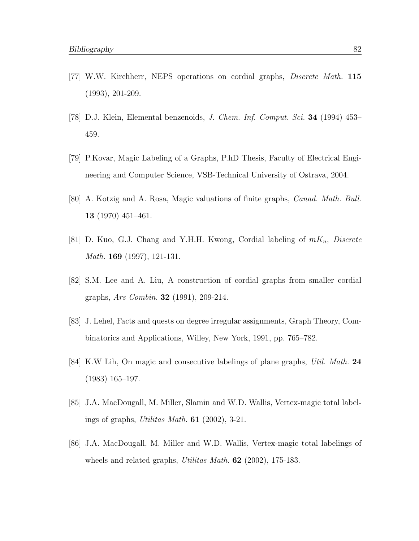- [77] W.W. Kirchherr, NEPS operations on cordial graphs, Discrete Math. 115 (1993), 201-209.
- [78] D.J. Klein, Elemental benzenoids, J. Chem. Inf. Comput. Sci. 34 (1994) 453– 459.
- [79] P.Kovar, Magic Labeling of a Graphs, P.hD Thesis, Faculty of Electrical Engineering and Computer Science, VSB-Technical University of Ostrava, 2004.
- [80] A. Kotzig and A. Rosa, Magic valuations of finite graphs, Canad. Math. Bull. 13 (1970) 451–461.
- [81] D. Kuo, G.J. Chang and Y.H.H. Kwong, Cordial labeling of  $mK_n$ , Discrete Math. 169 (1997), 121-131.
- [82] S.M. Lee and A. Liu, A construction of cordial graphs from smaller cordial graphs, Ars Combin. 32 (1991), 209-214.
- [83] J. Lehel, Facts and quests on degree irregular assignments, Graph Theory, Combinatorics and Applications, Willey, New York, 1991, pp. 765–782.
- [84] K.W Lih, On magic and consecutive labelings of plane graphs, Util. Math. 24 (1983) 165–197.
- [85] J.A. MacDougall, M. Miller, Slamin and W.D. Wallis, Vertex-magic total labelings of graphs, Utilitas Math. 61 (2002), 3-21.
- [86] J.A. MacDougall, M. Miller and W.D. Wallis, Vertex-magic total labelings of wheels and related graphs, *Utilitas Math.* **62** (2002), 175-183.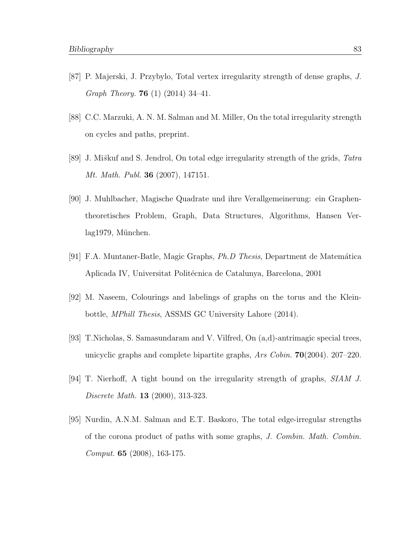- [87] P. Majerski, J. Przybylo, Total vertex irregularity strength of dense graphs, J. Graph Theory. 76 (1) (2014) 34–41.
- [88] C.C. Marzuki, A. N. M. Salman and M. Miller, On the total irregularity strength on cycles and paths, preprint.
- [89] J. Miškuf and S. Jendrol, On total edge irregularity strength of the grids, Tatra Mt. Math. Publ. 36 (2007), 147151.
- [90] J. Muhlbacher, Magische Quadrate und ihre Verallgemeinerung: ein Graphentheoretisches Problem, Graph, Data Structures, Algorithms, Hansen Verlag1979, München.
- [91] F.A. Muntaner-Batle, Magic Graphs, *Ph.D Thesis*, Department de Matemática Aplicada IV, Universitat Politécnica de Catalunya, Barcelona, 2001
- [92] M. Naseem, Colourings and labelings of graphs on the torus and the Kleinbottle, MPhill Thesis, ASSMS GC University Lahore (2014).
- [93] T.Nicholas, S. Samasundaram and V. Vilfred, On (a,d)-antrimagic special trees, unicyclic graphs and complete bipartite graphs,  $\text{Ans } Cobin$ . **70**(2004). 207–220.
- [94] T. Nierhoff, A tight bound on the irregularity strength of graphs, SIAM J. Discrete Math. 13 (2000), 313-323.
- [95] Nurdin, A.N.M. Salman and E.T. Baskoro, The total edge-irregular strengths of the corona product of paths with some graphs, J. Combin. Math. Combin. Comput. 65 (2008), 163-175.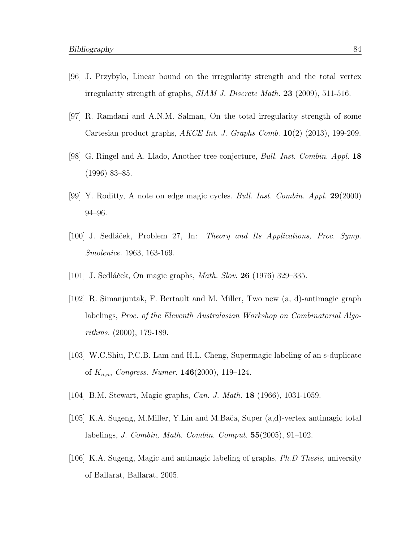- [96] J. Przybylo, Linear bound on the irregularity strength and the total vertex irregularity strength of graphs, SIAM J. Discrete Math. 23 (2009), 511-516.
- [97] R. Ramdani and A.N.M. Salman, On the total irregularity strength of some Cartesian product graphs,  $AKCE$  Int. J. Graphs Comb.  $10(2)$  (2013), 199-209.
- [98] G. Ringel and A. Llado, Another tree conjecture, Bull. Inst. Combin. Appl. 18 (1996) 83–85.
- [99] Y. Roditty, A note on edge magic cycles. Bull. Inst. Combin. Appl. 29(2000) 94–96.
- [100] J. Sedláček, Problem 27, In: Theory and Its Applications, Proc. Symp. Smolenice. 1963, 163-169.
- [101] J. Sedláček, On magic graphs, *Math. Slov.* **26** (1976) 329–335.
- [102] R. Simanjuntak, F. Bertault and M. Miller, Two new (a, d)-antimagic graph labelings, Proc. of the Eleventh Australasian Workshop on Combinatorial Algorithms. (2000), 179-189.
- [103] W.C.Shiu, P.C.B. Lam and H.L. Cheng, Supermagic labeling of an s-duplicate of  $K_{n,n}$ , Congress. Numer. **146**(2000), 119–124.
- [104] B.M. Stewart, Magic graphs, Can. J. Math. 18 (1966), 1031-1059.
- [105] K.A. Sugeng, M.Miller, Y.Lin and M.Bača, Super (a,d)-vertex antimagic total labelings, J. Combin, Math. Combin. Comput. 55(2005), 91–102.
- [106] K.A. Sugeng, Magic and antimagic labeling of graphs, Ph.D Thesis, university of Ballarat, Ballarat, 2005.